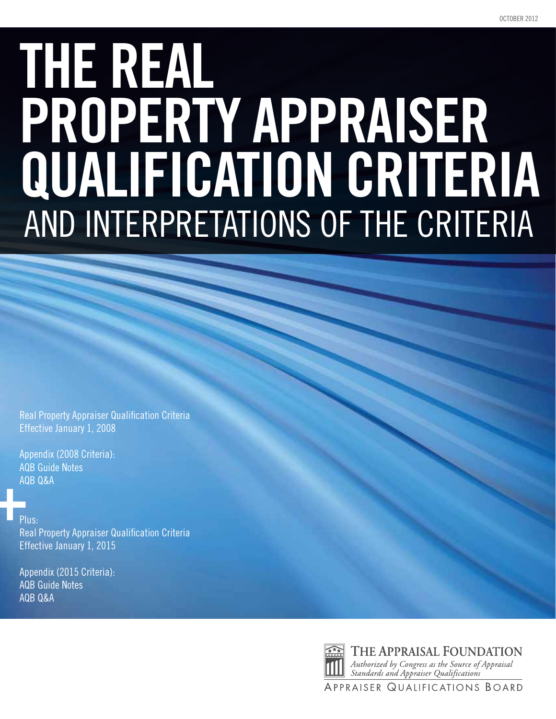# **THE REAL PROPERTY APPRAISER QUALIFICATION CRITERIA**  AND INTERPRETATIONS OF THE CRITERIA

Real Property Appraiser Qualification Criteria Effective January 1, 2008

Appendix (2008 Criteria): AQB Guide Notes AQB Q&A

#### Plus:

Real Property Appraiser Qualification Criteria Effective January 1, 2015

Appendix (2015 Criteria): AQB Guide Notes AQB Q&A



Authorized by Congress as the Source of Appraisal<br>Standards and Appraiser Qualifications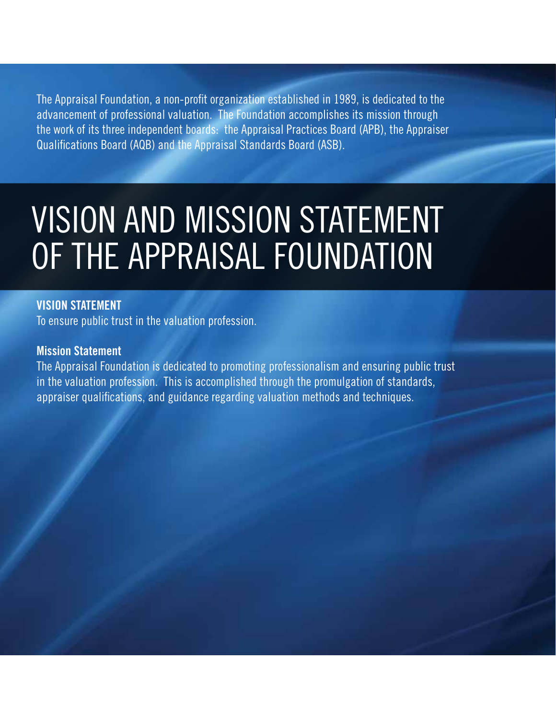The Appraisal Foundation, a non-profit organization established in 1989, is dedicated to the advancement of professional valuation. The Foundation accomplishes its mission through the work of its three independent boards: the Appraisal Practices Board (APB), the Appraiser Qualifications Board (AQB) and the Appraisal Standards Board (ASB).

### Vision and Mission Statement of The Appraisal Foundation

#### **Vision Statement**

To ensure public trust in the valuation profession.

#### **Mission Statement**

The Appraisal Foundation is dedicated to promoting professionalism and ensuring public trust in the valuation profession. This is accomplished through the promulgation of standards, appraiser qualifications, and guidance regarding valuation methods and techniques.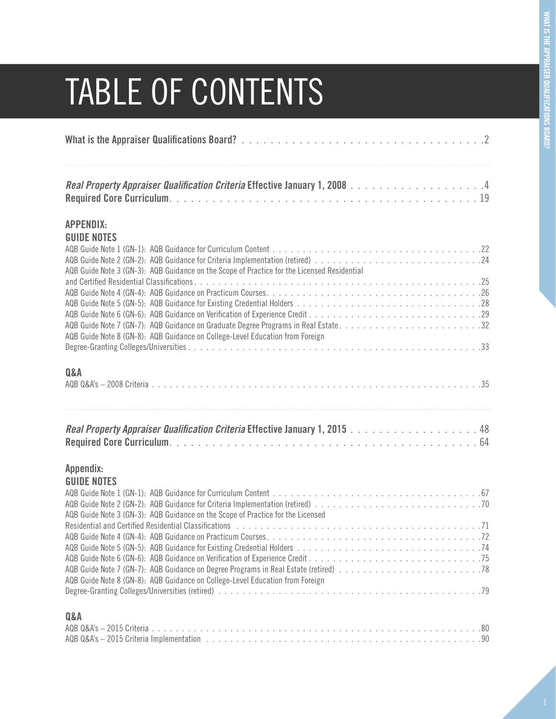### TABLE OF CONTENTS

| <b>APPENDIX:</b><br><b>GUIDE NOTES</b>                                                      |  |
|---------------------------------------------------------------------------------------------|--|
| AQB Guide Note 3 (GN-3): AQB Guidance on the Scope of Practice for the Licensed Residential |  |
|                                                                                             |  |
| AQB Guide Note 8 (GN-8): AQB Guidance on College-Level Education from Foreign               |  |
| Q&A                                                                                         |  |
| Real Property Appraiser Qualification Criteria Effective January 1, 2015 48                 |  |
| Appendix:<br><b>GUIDE NOTES</b>                                                             |  |
| AQB Guide Note 3 (GN-3): AQB Guidance on the Scope of Practice for the Licensed             |  |
| AQB Guide Note 8 (GN-8): AQB Guidance on College-Level Education from Foreign               |  |
| Q&A                                                                                         |  |
|                                                                                             |  |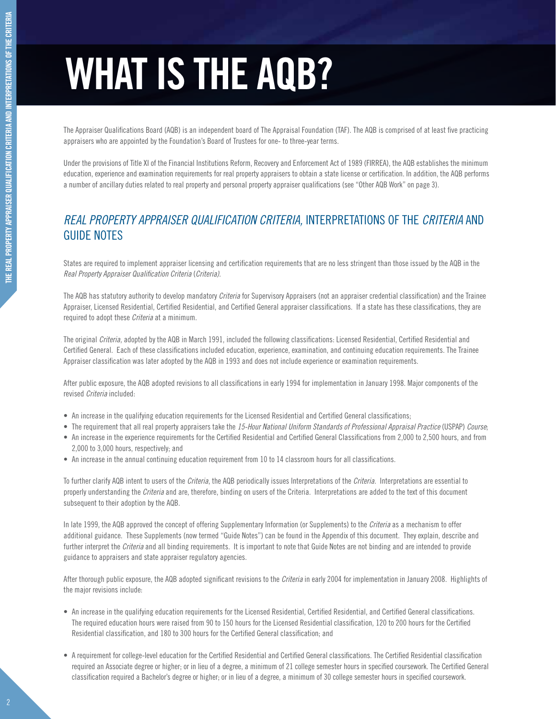# **WHAT IS THE AQB?**

The Appraiser Qualifications Board (AQB) is an independent board of The Appraisal Foundation (TAF). The AQB is comprised of at least five practicing appraisers who are appointed by the Foundation's Board of Trustees for one- to three-year terms.

Under the provisions of Title XI of the Financial Institutions Reform, Recovery and Enforcement Act of 1989 (FIRREA), the AQB establishes the minimum education, experience and examination requirements for real property appraisers to obtain a state license or certification. In addition, the AQB performs a number of ancillary duties related to real property and personal property appraiser qualifications (see "Other AQB Work" on page 3).

#### *REAL PROPERTY APPRAISER QUALIFICATION CRITERIA,* Interpretations of the *Criteria* and guide notes

States are required to implement appraiser licensing and certification requirements that are no less stringent than those issued by the AQB in the *Real Property Appraiser Qualification Criteria* (*Criteria)*.

The AQB has statutory authority to develop mandatory *Criteria* for Supervisory Appraisers (not an appraiser credential classification) and the Trainee Appraiser, Licensed Residential, Certified Residential, and Certified General appraiser classifications. If a state has these classifications, they are required to adopt these *Criteria* at a minimum.

The original *Criteria*, adopted by the AQB in March 1991, included the following classifications: Licensed Residential, Certified Residential and Certified General. Each of these classifications included education, experience, examination, and continuing education requirements. The Trainee Appraiser classification was later adopted by the AQB in 1993 and does not include experience or examination requirements.

After public exposure, the AQB adopted revisions to all classifications in early 1994 for implementation in January 1998. Major components of the revised *Criteria* included:

- An increase in the qualifying education requirements for the Licensed Residential and Certified General classifications;
- • The requirement that all real property appraisers take the *15-Hour National Uniform Standards of Professional Appraisal Practice* (USPAP) *Course*;
- An increase in the experience requirements for the Certified Residential and Certified General Classifications from 2,000 to 2,500 hours, and from 2,000 to 3,000 hours, respectively; and
- An increase in the annual continuing education requirement from 10 to 14 classroom hours for all classifications.

To further clarify AQB intent to users of the *Criteria*, the AQB periodically issues Interpretations of the *Criteria*. Interpretations are essential to properly understanding the *Criteria* and are, therefore, binding on users of the Criteria. Interpretations are added to the text of this document subsequent to their adoption by the AQB.

In late 1999, the AQB approved the concept of offering Supplementary Information (or Supplements) to the *Criteria* as a mechanism to offer additional guidance. These Supplements (now termed "Guide Notes") can be found in the Appendix of this document. They explain, describe and further interpret the *Criteria* and all binding requirements. It is important to note that Guide Notes are not binding and are intended to provide guidance to appraisers and state appraiser regulatory agencies.

After thorough public exposure, the AQB adopted significant revisions to the *Criteria* in early 2004 for implementation in January 2008. Highlights of the major revisions include:

- • An increase in the qualifying education requirements for the Licensed Residential, Certified Residential, and Certified General classifications. The required education hours were raised from 90 to 150 hours for the Licensed Residential classification, 120 to 200 hours for the Certified Residential classification, and 180 to 300 hours for the Certified General classification; and
- • A requirement for college-level education for the Certified Residential and Certified General classifications. The Certified Residential classification required an Associate degree or higher; or in lieu of a degree, a minimum of 21 college semester hours in specified coursework. The Certified General classification required a Bachelor's degree or higher; or in lieu of a degree, a minimum of 30 college semester hours in specified coursework.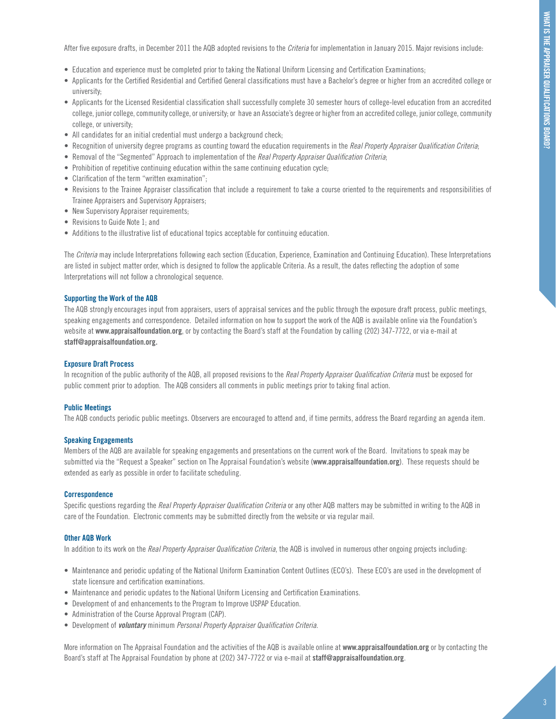After five exposure drafts, in December 2011 the AQB adopted revisions to the *Criteria* for implementation in January 2015. Major revisions include:

- • Education and experience must be completed prior to taking the National Uniform Licensing and Certification Examinations;
- • Applicants for the Certified Residential and Certified General classifications must have a Bachelor's degree or higher from an accredited college or university;
- • Applicants for the Licensed Residential classification shall successfully complete 30 semester hours of college-level education from an accredited college, junior college, community college, or university; or have an Associate's degree or higher from an accredited college, junior college, community college, or university;
- All candidates for an initial credential must undergo a background check;
- • Recognition of university degree programs as counting toward the education requirements in the *Real Property Appraiser Qualification Criteria*;
- • Removal of the "Segmented" Approach to implementation of the *Real Property Appraiser Qualification Criteria*;
- Prohibition of repetitive continuing education within the same continuing education cycle;
- Clarification of the term "written examination";
- • Revisions to the Trainee Appraiser classification that include a requirement to take a course oriented to the requirements and responsibilities of Trainee Appraisers and Supervisory Appraisers;
- New Supervisory Appraiser requirements;
- Revisions to Guide Note 1; and
- Additions to the illustrative list of educational topics acceptable for continuing education.

The *Criteria* may include Interpretations following each section (Education, Experience, Examination and Continuing Education). These Interpretations are listed in subject matter order, which is designed to follow the applicable Criteria. As a result, the dates reflecting the adoption of some Interpretations will not follow a chronological sequence.

#### **Supporting the Work of the AQB**

The AQB strongly encourages input from appraisers, users of appraisal services and the public through the exposure draft process, public meetings, speaking engagements and correspondence. Detailed information on how to support the work of the AQB is available online via the Foundation's website at **www.appraisalfoundation.org**, or by contacting the Board's staff at the Foundation by calling (202) 347-7722, or via e-mail at **staff@appraisalfoundation.org**.

#### **Exposure Draft Process**

In recognition of the public authority of the AQB, all proposed revisions to the *Real Property Appraiser Qualification Criteria* must be exposed for public comment prior to adoption. The AQB considers all comments in public meetings prior to taking final action.

#### **Public Meetings**

The AQB conducts periodic public meetings. Observers are encouraged to attend and, if time permits, address the Board regarding an agenda item.

#### **Speaking Engagements**

Members of the AQB are available for speaking engagements and presentations on the current work of the Board. Invitations to speak may be submitted via the "Request a Speaker" section on The Appraisal Foundation's website (**www.appraisalfoundation.org**). These requests should be extended as early as possible in order to facilitate scheduling.

#### **Correspondence**

Specific questions regarding the *Real Property Appraiser Qualification Criteria* or any other AQB matters may be submitted in writing to the AQB in care of the Foundation. Electronic comments may be submitted directly from the website or via regular mail.

#### **Other AQB Work**

In addition to its work on the *Real Property Appraiser Qualification Criteria*, the AQB is involved in numerous other ongoing projects including:

- Maintenance and periodic updating of the National Uniform Examination Content Outlines (ECO's). These ECO's are used in the development of state licensure and certification examinations.
- • Maintenance and periodic updates to the National Uniform Licensing and Certification Examinations.
- Development of and enhancements to the Program to Improve USPAP Education.
- Administration of the Course Approval Program (CAP).
- • Development of *voluntary* minimum *Personal Property Appraiser Qualification Criteria*.

More information on The Appraisal Foundation and the activities of the AQB is available online at **www.appraisalfoundation.org** or by contacting the Board's staff at The Appraisal Foundation by phone at (202) 347-7722 or via e-mail at **staff@appraisalfoundation.org**.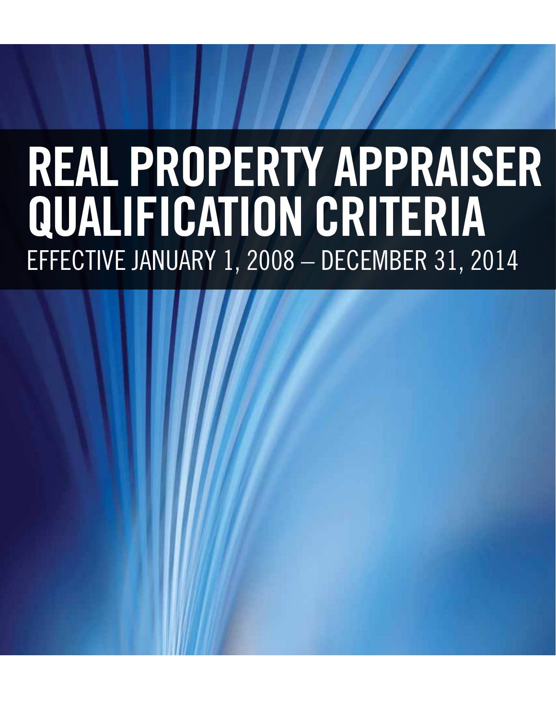# **REAL PROPERTY APPRAISER QUALIFICATION CRITERIA**  EFFECTIVE JANUARY 1, 2008 – DECEMBER 31, 2014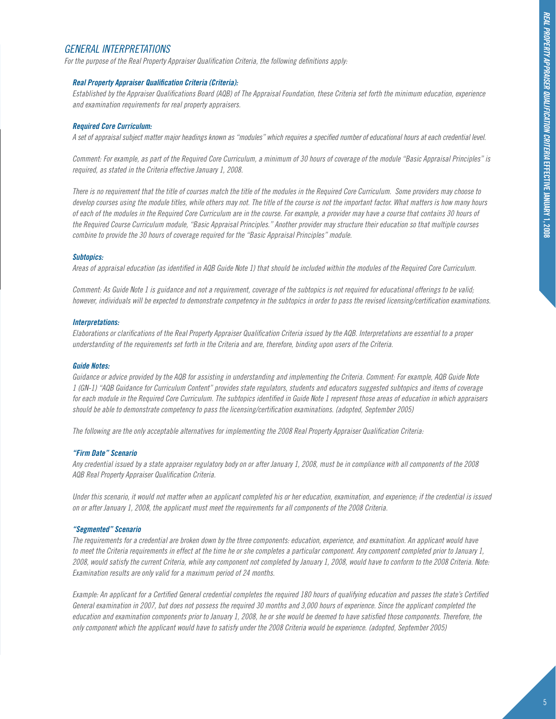#### *General Interpretations*

*For the purpose of the Real Property Appraiser Qualification Criteria, the following definitions apply:*

#### *Real Property Appraiser Qualification Criteria (Criteria):*

*Established by the Appraiser Qualifications Board (AQB) of The Appraisal Foundation, these Criteria set forth the minimum education, experience and examination requirements for real property appraisers.*

#### *Required Core Curriculum:*

*A set of appraisal subject matter major headings known as "modules" which requires a specified number of educational hours at each credential level.*

*Comment: For example, as part of the Required Core Curriculum, a minimum of 30 hours of coverage of the module "Basic Appraisal Principles" is required, as stated in the Criteria effective January 1, 2008.*

*There is no requirement that the title of courses match the title of the modules in the Required Core Curriculum. Some providers may choose to develop courses using the module titles, while others may not. The title of the course is not the important factor. What matters is how many hours of each of the modules in the Required Core Curriculum are in the course. For example, a provider may have a course that contains 30 hours of the Required Course Curriculum module, "Basic Appraisal Principles." Another provider may structure their education so that multiple courses combine to provide the 30 hours of coverage required for the "Basic Appraisal Principles" module.*

#### *Subtopics:*

*Areas of appraisal education (as identified in AQB Guide Note 1) that should be included within the modules of the Required Core Curriculum.*

*Comment: As Guide Note 1 is guidance and not a requirement, coverage of the subtopics is not required for educational offerings to be valid; however, individuals will be expected to demonstrate competency in the subtopics in order to pass the revised licensing/certification examinations.*

#### *Interpretations:*

*Elaborations or clarifications of the Real Property Appraiser Qualification Criteria issued by the AQB. Interpretations are essential to a proper understanding of the requirements set forth in the Criteria and are, therefore, binding upon users of the Criteria.*

#### *Guide Notes:*

*Guidance or advice provided by the AQB for assisting in understanding and implementing the Criteria. Comment: For example, AQB Guide Note 1 (GN-1) "AQB Guidance for Curriculum Content" provides state regulators, students and educators suggested subtopics and items of coverage for each module in the Required Core Curriculum. The subtopics identified in Guide Note 1 represent those areas of education in which appraisers should be able to demonstrate competency to pass the licensing/certification examinations. (adopted, September 2005)*

*The following are the only acceptable alternatives for implementing the 2008 Real Property Appraiser Qualification Criteria:*

#### *"Firm Date" Scenario*

*Any credential issued by a state appraiser regulatory body on or after January 1, 2008, must be in compliance with all components of the 2008 AQB Real Property Appraiser Qualification Criteria.*

*Under this scenario, it would not matter when an applicant completed his or her education, examination, and experience; if the credential is issued on or after January 1, 2008, the applicant must meet the requirements for all components of the 2008 Criteria.*

#### *"Segmented" Scenario*

*The requirements for a credential are broken down by the three components: education, experience, and examination. An applicant would have to meet the Criteria requirements in effect at the time he or she completes a particular component. Any component completed prior to January 1, 2008, would satisfy the current Criteria, while any component not completed by January 1, 2008, would have to conform to the 2008 Criteria. Note: Examination results are only valid for a maximum period of 24 months.*

*Example: An applicant for a Certified General credential completes the required 180 hours of qualifying education and passes the state's Certified General examination in 2007, but does not possess the required 30 months and 3,000 hours of experience. Since the applicant completed the education and examination components prior to January 1, 2008, he or she would be deemed to have satisfied those components. Therefore, the only component which the applicant would have to satisfy under the 2008 Criteria would be experience. (adopted, September 2005)*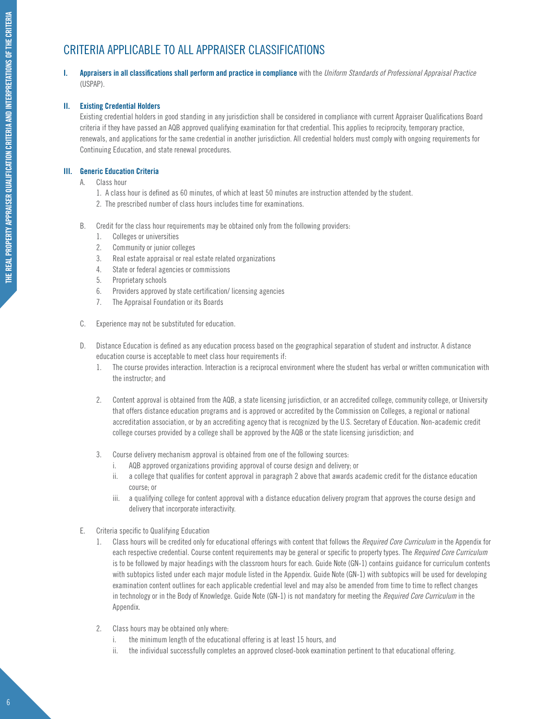#### CRITERIA APPLICABLE TO ALL APPRAISER CLASSIFICATIONS

**I. Appraisers in all classifications shall perform and practice in compliance** with the *Uniform Standards of Professional Appraisal Practice* (USPAP).

#### **II. Existing Credential Holders**

Existing credential holders in good standing in any jurisdiction shall be considered in compliance with current Appraiser Qualifications Board criteria if they have passed an AQB approved qualifying examination for that credential. This applies to reciprocity, temporary practice, renewals, and applications for the same credential in another jurisdiction. All credential holders must comply with ongoing requirements for Continuing Education, and state renewal procedures.

#### **III. Generic Education Criteria**

- A. Class hour
	- 1. A class hour is defined as 60 minutes, of which at least 50 minutes are instruction attended by the student.
	- 2. The prescribed number of class hours includes time for examinations.
- B. Credit for the class hour requirements may be obtained only from the following providers:
	- 1. Colleges or universities
	- 2. Community or junior colleges
	- 3. Real estate appraisal or real estate related organizations
	- 4. State or federal agencies or commissions
	- 5. Proprietary schools
	- 6. Providers approved by state certification/ licensing agencies
	- 7. The Appraisal Foundation or its Boards
- C. Experience may not be substituted for education.
- D. Distance Education is defined as any education process based on the geographical separation of student and instructor. A distance education course is acceptable to meet class hour requirements if:
	- 1. The course provides interaction. Interaction is a reciprocal environment where the student has verbal or written communication with the instructor; and
	- 2. Content approval is obtained from the AQB, a state licensing jurisdiction, or an accredited college, community college, or University that offers distance education programs and is approved or accredited by the Commission on Colleges, a regional or national accreditation association, or by an accrediting agency that is recognized by the U.S. Secretary of Education. Non-academic credit college courses provided by a college shall be approved by the AQB or the state licensing jurisdiction; and
	- 3. Course delivery mechanism approval is obtained from one of the following sources:
		- i. AQB approved organizations providing approval of course design and delivery; or
		- ii. a college that qualifies for content approval in paragraph 2 above that awards academic credit for the distance education course; or
		- iii. a qualifying college for content approval with a distance education delivery program that approves the course design and delivery that incorporate interactivity.
- E. Criteria specific to Qualifying Education
	- 1. Class hours will be credited only for educational offerings with content that follows the *Required Core Curriculum* in the Appendix for each respective credential. Course content requirements may be general or specific to property types. The *Required Core Curriculum* is to be followed by major headings with the classroom hours for each. Guide Note (GN-1) contains guidance for curriculum contents with subtopics listed under each major module listed in the Appendix. Guide Note (GN-1) with subtopics will be used for developing examination content outlines for each applicable credential level and may also be amended from time to time to reflect changes in technology or in the Body of Knowledge. Guide Note (GN-1) is not mandatory for meeting the *Required Core Curriculum* in the Appendix.
	- 2. Class hours may be obtained only where:
		- i. the minimum length of the educational offering is at least 15 hours, and
		- ii. the individual successfully completes an approved closed-book examination pertinent to that educational offering.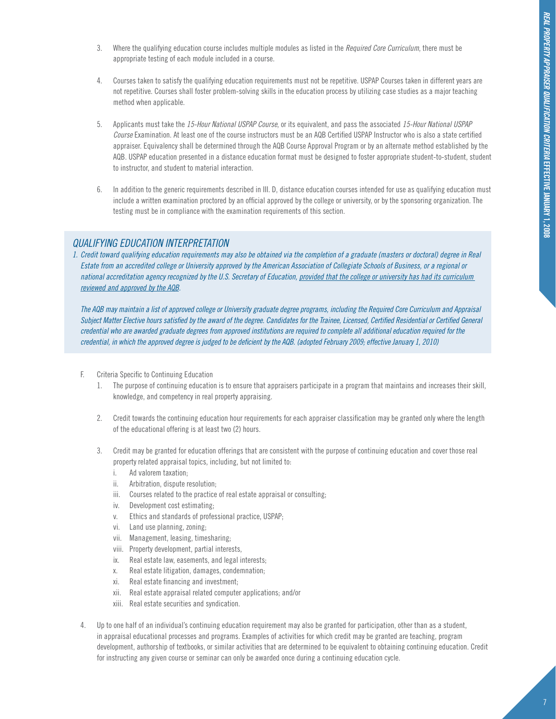- 3. Where the qualifying education course includes multiple modules as listed in the *Required Core Curriculum*, there must be appropriate testing of each module included in a course.
- 4. Courses taken to satisfy the qualifying education requirements must not be repetitive. USPAP Courses taken in different years are not repetitive. Courses shall foster problem-solving skills in the education process by utilizing case studies as a major teaching method when applicable.
- 5. Applicants must take the *15-Hour National USPAP Course*, or its equivalent, and pass the associated *15-Hour National USPAP Course* Examination. At least one of the course instructors must be an AQB Certified USPAP Instructor who is also a state certified appraiser. Equivalency shall be determined through the AQB Course Approval Program or by an alternate method established by the AQB. USPAP education presented in a distance education format must be designed to foster appropriate student-to-student, student to instructor, and student to material interaction.
- 6. In addition to the generic requirements described in III. D, distance education courses intended for use as qualifying education must include a written examination proctored by an official approved by the college or university, or by the sponsoring organization. The testing must be in compliance with the examination requirements of this section.

#### *Qualifying Education Interpretation*

*1. Credit toward qualifying education requirements may also be obtained via the completion of a graduate (masters or doctoral) degree in Real Estate from an accredited college or University approved by the American Association of Collegiate Schools of Business, or a regional or national accreditation agency recognized by the U.S. Secretary of Education, provided that the college or university has had its curriculum reviewed and approved by the AQB.*

*The AQB may maintain a list of approved college or University graduate degree programs, including the Required Core Curriculum and Appraisal Subject Matter Elective hours satisfied by the award of the degree. Candidates for the Trainee, Licensed, Certified Residential or Certified General credential who are awarded graduate degrees from approved institutions are required to complete all additional education required for the credential, in which the approved degree is judged to be deficient by the AQB. (adopted February 2009; effective January 1, 2010)*

- F. Criteria Specific to Continuing Education
	- 1. The purpose of continuing education is to ensure that appraisers participate in a program that maintains and increases their skill, knowledge, and competency in real property appraising.
	- 2. Credit towards the continuing education hour requirements for each appraiser classification may be granted only where the length of the educational offering is at least two (2) hours.
	- 3. Credit may be granted for education offerings that are consistent with the purpose of continuing education and cover those real property related appraisal topics, including, but not limited to:
		- i. Ad valorem taxation;
		- ii. Arbitration, dispute resolution;
		- iii. Courses related to the practice of real estate appraisal or consulting;
		- iv. Development cost estimating;
		- v. Ethics and standards of professional practice, USPAP;
		- vi. Land use planning, zoning;
		- vii. Management, leasing, timesharing;
		- viii. Property development, partial interests,
		- ix. Real estate law, easements, and legal interests;
		- x. Real estate litigation, damages, condemnation;
		- xi. Real estate financing and investment;
		- xii. Real estate appraisal related computer applications; and/or
		- xiii. Real estate securities and syndication.
- 4. Up to one half of an individual's continuing education requirement may also be granted for participation, other than as a student, in appraisal educational processes and programs. Examples of activities for which credit may be granted are teaching, program development, authorship of textbooks, or similar activities that are determined to be equivalent to obtaining continuing education. Credit for instructing any given course or seminar can only be awarded once during a continuing education cycle.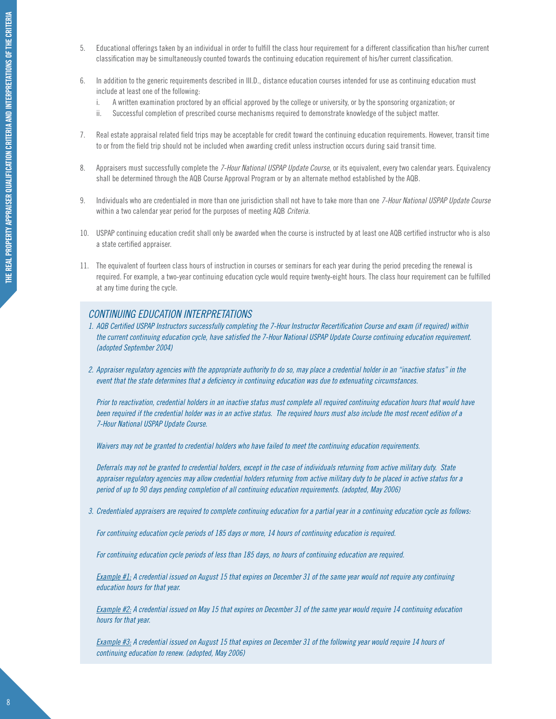- 5. Educational offerings taken by an individual in order to fulfill the class hour requirement for a different classification than his/her current classification may be simultaneously counted towards the continuing education requirement of his/her current classification.
- 6. In addition to the generic requirements described in III.D., distance education courses intended for use as continuing education must include at least one of the following:
	- i. A written examination proctored by an official approved by the college or university, or by the sponsoring organization; or
	- ii. Successful completion of prescribed course mechanisms required to demonstrate knowledge of the subject matter.
- 7. Real estate appraisal related field trips may be acceptable for credit toward the continuing education requirements. However, transit time to or from the field trip should not be included when awarding credit unless instruction occurs during said transit time.
- 8. Appraisers must successfully complete the *7-Hour National USPAP Update Course*, or its equivalent, every two calendar years. Equivalency shall be determined through the AQB Course Approval Program or by an alternate method established by the AQB.
- 9. Individuals who are credentialed in more than one jurisdiction shall not have to take more than one *7-Hour National USPAP Update Course* within a two calendar year period for the purposes of meeting AQB *Criteria*.
- 10. USPAP continuing education credit shall only be awarded when the course is instructed by at least one AQB certified instructor who is also a state certified appraiser.
- 11. The equivalent of fourteen class hours of instruction in courses or seminars for each year during the period preceding the renewal is required. For example, a two-year continuing education cycle would require twenty-eight hours. The class hour requirement can be fulfilled at any time during the cycle.

#### *Continuing Education Interpretations*

- *1. AQB Certified USPAP Instructors successfully completing the 7-Hour Instructor Recertification Course and exam (if required) within the current continuing education cycle, have satisfied the 7-Hour National USPAP Update Course continuing education requirement. (adopted September 2004)*
- *2. Appraiser regulatory agencies with the appropriate authority to do so, may place a credential holder in an "inactive status" in the event that the state determines that a deficiency in continuing education was due to extenuating circumstances.*

*Prior to reactivation, credential holders in an inactive status must complete all required continuing education hours that would have been required if the credential holder was in an active status. The required hours must also include the most recent edition of a 7-Hour National USPAP Update Course.*

*Waivers may not be granted to credential holders who have failed to meet the continuing education requirements.* 

*Deferrals may not be granted to credential holders, except in the case of individuals returning from active military duty. State appraiser regulatory agencies may allow credential holders returning from active military duty to be placed in active status for a period of up to 90 days pending completion of all continuing education requirements. (adopted, May 2006)*

*3. Credentialed appraisers are required to complete continuing education for a partial year in a continuing education cycle as follows:*

*For continuing education cycle periods of 185 days or more, 14 hours of continuing education is required.*

*For continuing education cycle periods of less than 185 days, no hours of continuing education are required.*

*Example #1: A credential issued on August 15 that expires on December 31 of the same year would not require any continuing education hours for that year.*

*Example #2: A credential issued on May 15 that expires on December 31 of the same year would require 14 continuing education hours for that year.*

*Example #3: A credential issued on August 15 that expires on December 31 of the following year would require 14 hours of continuing education to renew. (adopted, May 2006)*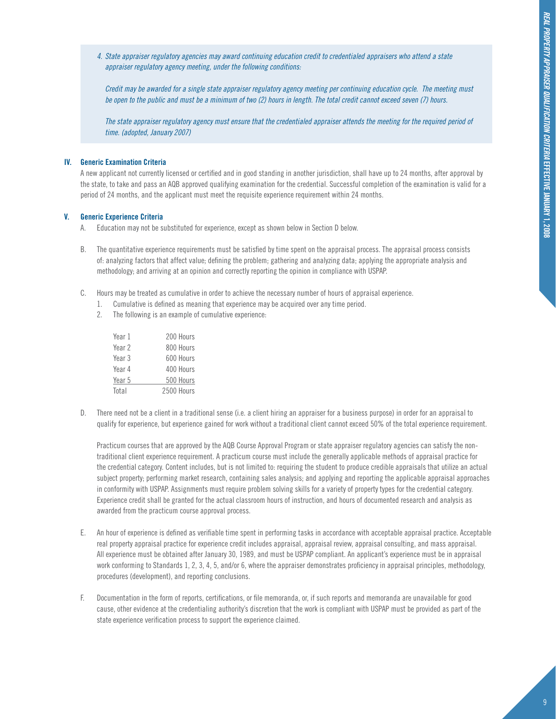*4. State appraiser regulatory agencies may award continuing education credit to credentialed appraisers who attend a state appraiser regulatory agency meeting, under the following conditions:*

*Credit may be awarded for a single state appraiser regulatory agency meeting per continuing education cycle. The meeting must be open to the public and must be a minimum of two (2) hours in length. The total credit cannot exceed seven (7) hours.*

*The state appraiser regulatory agency must ensure that the credentialed appraiser attends the meeting for the required period of time. (adopted, January 2007)*

#### **IV. Generic Examination Criteria**

A new applicant not currently licensed or certified and in good standing in another jurisdiction, shall have up to 24 months, after approval by the state, to take and pass an AQB approved qualifying examination for the credential. Successful completion of the examination is valid for a period of 24 months, and the applicant must meet the requisite experience requirement within 24 months.

#### **V. Generic Experience Criteria**

- A. Education may not be substituted for experience, except as shown below in Section D below.
- B. The quantitative experience requirements must be satisfied by time spent on the appraisal process. The appraisal process consists of: analyzing factors that affect value; defining the problem; gathering and analyzing data; applying the appropriate analysis and methodology; and arriving at an opinion and correctly reporting the opinion in compliance with USPAP.
- C. Hours may be treated as cumulative in order to achieve the necessary number of hours of appraisal experience.
	- 1. Cumulative is defined as meaning that experience may be acquired over any time period.
	- 2. The following is an example of cumulative experience:

| Year 1 | 200 Hours  |
|--------|------------|
| Year 2 | 800 Hours  |
| Year 3 | 600 Hours  |
| Year 4 | 400 Hours  |
| Year 5 | 500 Hours  |
| Total  | 2500 Hours |

D. There need not be a client in a traditional sense (i.e. a client hiring an appraiser for a business purpose) in order for an appraisal to qualify for experience, but experience gained for work without a traditional client cannot exceed 50% of the total experience requirement.

Practicum courses that are approved by the AQB Course Approval Program or state appraiser regulatory agencies can satisfy the nontraditional client experience requirement. A practicum course must include the generally applicable methods of appraisal practice for the credential category. Content includes, but is not limited to: requiring the student to produce credible appraisals that utilize an actual subject property; performing market research, containing sales analysis; and applying and reporting the applicable appraisal approaches in conformity with USPAP. Assignments must require problem solving skills for a variety of property types for the credential category. Experience credit shall be granted for the actual classroom hours of instruction, and hours of documented research and analysis as awarded from the practicum course approval process.

- E. An hour of experience is defined as verifiable time spent in performing tasks in accordance with acceptable appraisal practice. Acceptable real property appraisal practice for experience credit includes appraisal, appraisal review, appraisal consulting, and mass appraisal. All experience must be obtained after January 30, 1989, and must be USPAP compliant. An applicant's experience must be in appraisal work conforming to Standards 1, 2, 3, 4, 5, and/or 6, where the appraiser demonstrates proficiency in appraisal principles, methodology, procedures (development), and reporting conclusions.
- F. Documentation in the form of reports, certifications, or file memoranda, or, if such reports and memoranda are unavailable for good cause, other evidence at the credentialing authority's discretion that the work is compliant with USPAP must be provided as part of the state experience verification process to support the experience claimed.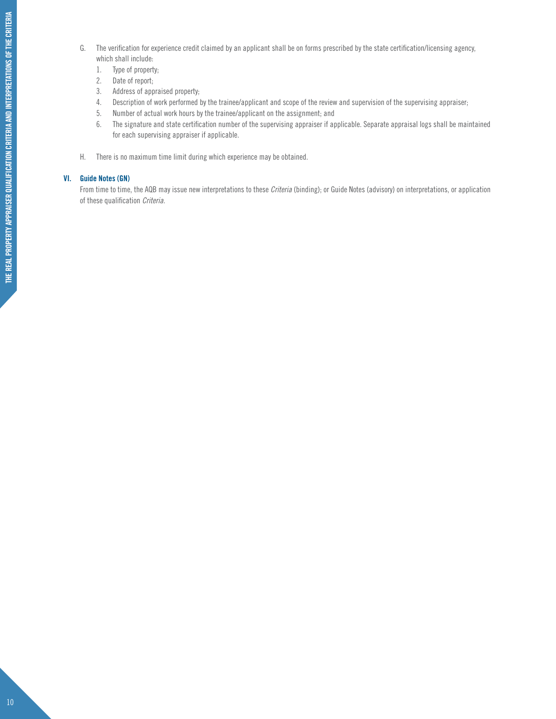- G. The verification for experience credit claimed by an applicant shall be on forms prescribed by the state certification/licensing agency, which shall include:
	- 1. Type of property;
	- 2. Date of report;
	- 3. Address of appraised property;
	- 4. Description of work performed by the trainee/applicant and scope of the review and supervision of the supervising appraiser;
	- 5. Number of actual work hours by the trainee/applicant on the assignment; and
	- 6. The signature and state certification number of the supervising appraiser if applicable. Separate appraisal logs shall be maintained for each supervising appraiser if applicable.
- H. There is no maximum time limit during which experience may be obtained.

#### **VI. Guide Notes (GN)**

From time to time, the AQB may issue new interpretations to these *Criteria* (binding); or Guide Notes (advisory) on interpretations, or application of these qualification *Criteria*.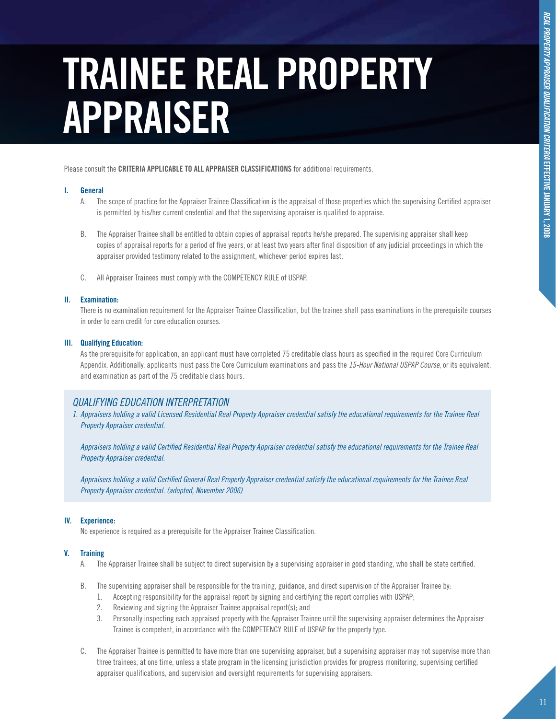### **TRAINEE REAL PROPERTY APPRAISER**

Please consult the **CRITERIA APPLICABLE TO ALL APPRAISER CLASSIFICATIONS** for additional requirements.

#### **I. General**

- A. The scope of practice for the Appraiser Trainee Classification is the appraisal of those properties which the supervising Certified appraiser is permitted by his/her current credential and that the supervising appraiser is qualified to appraise.
- B. The Appraiser Trainee shall be entitled to obtain copies of appraisal reports he/she prepared. The supervising appraiser shall keep copies of appraisal reports for a period of five years, or at least two years after final disposition of any judicial proceedings in which the appraiser provided testimony related to the assignment, whichever period expires last.
- C. All Appraiser Trainees must comply with the COMPETENCY RULE of USPAP.

#### **II. Examination:**

There is no examination requirement for the Appraiser Trainee Classification, but the trainee shall pass examinations in the prerequisite courses in order to earn credit for core education courses.

#### **III. Qualifying Education:**

As the prerequisite for application, an applicant must have completed 75 creditable class hours as specified in the required Core Curriculum Appendix. Additionally, applicants must pass the Core Curriculum examinations and pass the *15-Hour National USPAP Course*, or its equivalent, and examination as part of the 75 creditable class hours.

#### *Qualifying Education Interpretation*

*1. Appraisers holding a valid Licensed Residential Real Property Appraiser credential satisfy the educational requirements for the Trainee Real Property Appraiser credential.*

*Appraisers holding a valid Certified Residential Real Property Appraiser credential satisfy the educational requirements for the Trainee Real Property Appraiser credential.*

*Appraisers holding a valid Certified General Real Property Appraiser credential satisfy the educational requirements for the Trainee Real Property Appraiser credential. (adopted, November 2006)*

#### **IV. Experience:**

No experience is required as a prerequisite for the Appraiser Trainee Classification.

#### **V. Training**

- A. The Appraiser Trainee shall be subject to direct supervision by a supervising appraiser in good standing, who shall be state certified.
- B. The supervising appraiser shall be responsible for the training, guidance, and direct supervision of the Appraiser Trainee by:
	- 1. Accepting responsibility for the appraisal report by signing and certifying the report complies with USPAP;
	- 2. Reviewing and signing the Appraiser Trainee appraisal report(s); and
	- 3. Personally inspecting each appraised property with the Appraiser Trainee until the supervising appraiser determines the Appraiser Trainee is competent, in accordance with the COMPETENCY RULE of USPAP for the property type.
- C. The Appraiser Trainee is permitted to have more than one supervising appraiser, but a supervising appraiser may not supervise more than three trainees, at one time, unless a state program in the licensing jurisdiction provides for progress monitoring, supervising certified appraiser qualifications, and supervision and oversight requirements for supervising appraisers.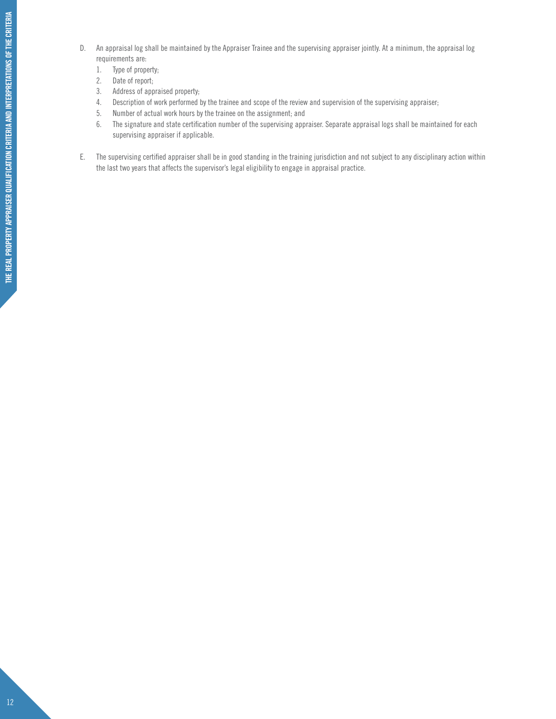- D. An appraisal log shall be maintained by the Appraiser Trainee and the supervising appraiser jointly. At a minimum, the appraisal log requirements are:
	- 1. Type of property;
	- 2. Date of report;
	- 3. Address of appraised property;
	- 4. Description of work performed by the trainee and scope of the review and supervision of the supervising appraiser;
	- 5. Number of actual work hours by the trainee on the assignment; and
	- 6. The signature and state certification number of the supervising appraiser. Separate appraisal logs shall be maintained for each supervising appraiser if applicable.
- E. The supervising certified appraiser shall be in good standing in the training jurisdiction and not subject to any disciplinary action within the last two years that affects the supervisor's legal eligibility to engage in appraisal practice.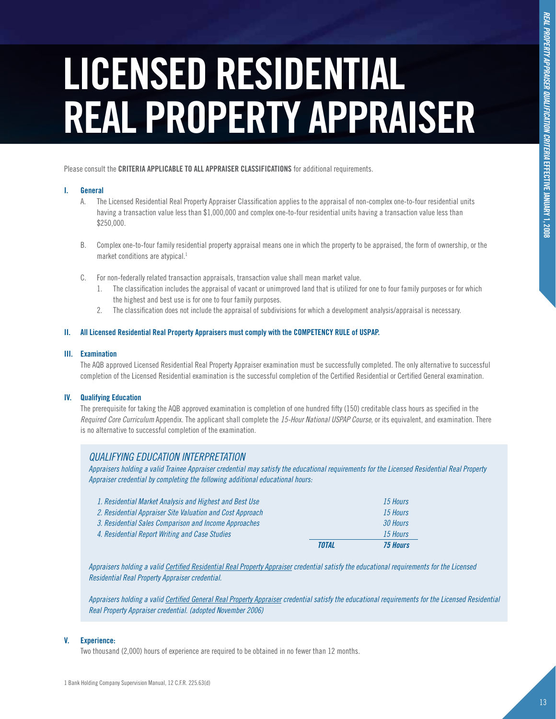## **LICENSED RESIDENTIAL REAL PROPERTY APPRAISER**

Please consult the **CRITERIA APPLICABLE TO ALL APPRAISER CLASSIFICATIONS** for additional requirements.

#### **I. General**

- A. The Licensed Residential Real Property Appraiser Classification applies to the appraisal of non-complex one-to-four residential units having a transaction value less than \$1,000,000 and complex one-to-four residential units having a transaction value less than \$250,000.
- B. Complex one-to-four family residential property appraisal means one in which the property to be appraised, the form of ownership, or the market conditions are atypical.<sup>1</sup>
- C. For non-federally related transaction appraisals, transaction value shall mean market value.
	- 1. The classification includes the appraisal of vacant or unimproved land that is utilized for one to four family purposes or for which the highest and best use is for one to four family purposes.
	- 2. The classification does not include the appraisal of subdivisions for which a development analysis/appraisal is necessary.

#### **II. All Licensed Residential Real Property Appraisers must comply with the COMPETENCY RULE of USPAP.**

#### **III. Examination**

The AQB approved Licensed Residential Real Property Appraiser examination must be successfully completed. The only alternative to successful completion of the Licensed Residential examination is the successful completion of the Certified Residential or Certified General examination.

#### **IV. Qualifying Education**

The prerequisite for taking the AQB approved examination is completion of one hundred fifty (150) creditable class hours as specified in the *Required Core Curriculum* Appendix. The applicant shall complete the *15-Hour National USPAP Course,* or its equivalent, and examination. There is no alternative to successful completion of the examination.

#### *Qualifying Education Interpretation*

*Appraisers holding a valid Trainee Appraiser credential may satisfy the educational requirements for the Licensed Residential Real Property Appraiser credential by completing the following additional educational hours:* 

|                                                           | TOTAL | <b>75 Hours</b> |
|-----------------------------------------------------------|-------|-----------------|
| 4. Residential Report Writing and Case Studies            |       | 15 Hours        |
| 3. Residential Sales Comparison and Income Approaches     |       | 30 Hours        |
| 2. Residential Appraiser Site Valuation and Cost Approach |       | 15 Hours        |
| 1. Residential Market Analysis and Highest and Best Use   |       | 15 Hours        |

*Appraisers holding a valid Certified Residential Real Property Appraiser credential satisfy the educational requirements for the Licensed Residential Real Property Appraiser credential.*

*Appraisers holding a valid Certified General Real Property Appraiser credential satisfy the educational requirements for the Licensed Residential Real Property Appraiser credential. (adopted November 2006)*

#### **V. Experience:**

Two thousand (2,000) hours of experience are required to be obtained in no fewer than 12 months.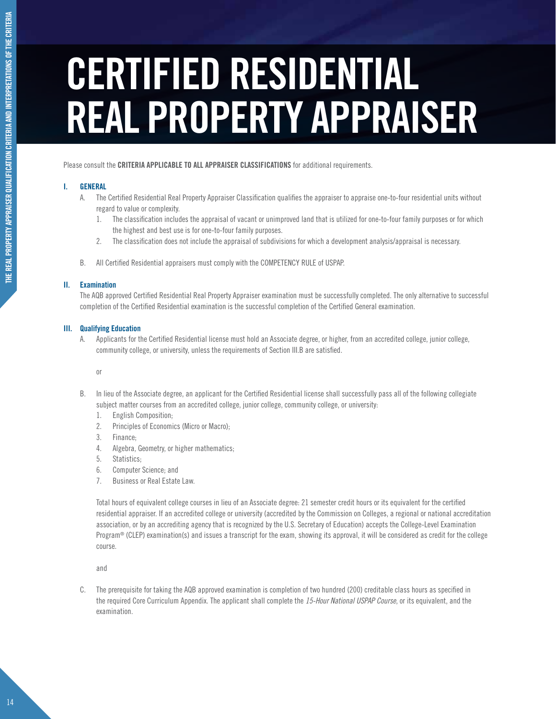### **CERTIFIED RESIDENTIAL REAL PROPERTY APPRAISER**

Please consult the **CRITERIA APPLICABLE TO ALL APPRAISER CLASSIFICATIONS** for additional requirements.

#### **I. General**

- A. The Certified Residential Real Property Appraiser Classification qualifies the appraiser to appraise one-to-four residential units without regard to value or complexity.
	- 1. The classification includes the appraisal of vacant or unimproved land that is utilized for one-to-four family purposes or for which the highest and best use is for one-to-four family purposes.
	- 2. The classification does not include the appraisal of subdivisions for which a development analysis/appraisal is necessary.
- B. All Certified Residential appraisers must comply with the COMPETENCY RULE of USPAP.

#### **II. Examination**

The AQB approved Certified Residential Real Property Appraiser examination must be successfully completed. The only alternative to successful completion of the Certified Residential examination is the successful completion of the Certified General examination.

#### **III. Qualifying Education**

A. Applicants for the Certified Residential license must hold an Associate degree, or higher, from an accredited college, junior college, community college, or university, unless the requirements of Section III.B are satisfied.

or

- B. In lieu of the Associate degree, an applicant for the Certified Residential license shall successfully pass all of the following collegiate subject matter courses from an accredited college, junior college, community college, or university:
	- 1. English Composition;
	- 2. Principles of Economics (Micro or Macro);
	- 3. Finance;
	- 4. Algebra, Geometry, or higher mathematics;
	- 5. Statistics;
	- 6. Computer Science; and
	- 7. Business or Real Estate Law.

Total hours of equivalent college courses in lieu of an Associate degree: 21 semester credit hours or its equivalent for the certified residential appraiser. If an accredited college or university (accredited by the Commission on Colleges, a regional or national accreditation association, or by an accrediting agency that is recognized by the U.S. Secretary of Education) accepts the College-Level Examination Program<sup>®</sup> (CLEP) examination(s) and issues a transcript for the exam, showing its approval, it will be considered as credit for the college course.

and

C. The prerequisite for taking the AQB approved examination is completion of two hundred (200) creditable class hours as specified in the required Core Curriculum Appendix. The applicant shall complete the *15-Hour National USPAP Course*, or its equivalent, and the examination.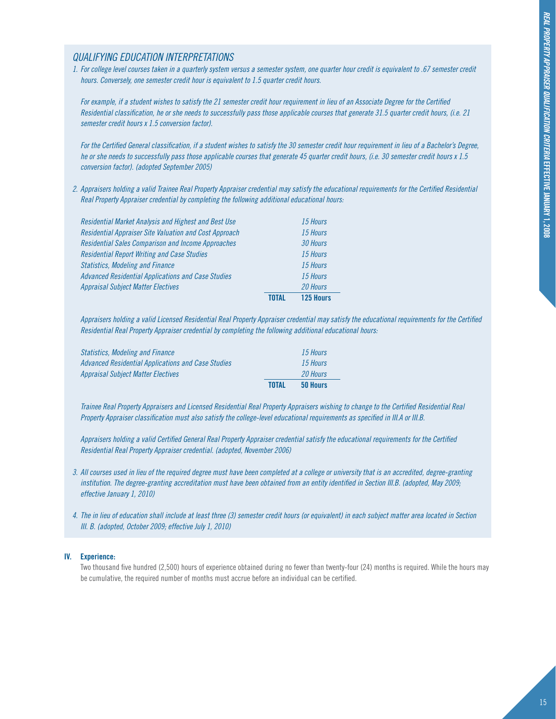#### *Qualifying Education Interpretations*

*1. For college level courses taken in a quarterly system versus a semester system, one quarter hour credit is equivalent to .67 semester credit hours. Conversely, one semester credit hour is equivalent to 1.5 quarter credit hours.*

*For example, if a student wishes to satisfy the 21 semester credit hour requirement in lieu of an Associate Degree for the Certified Residential classification, he or she needs to successfully pass those applicable courses that generate 31.5 quarter credit hours, (i.e. 21 semester credit hours x 1.5 conversion factor).*

*For the Certified General classification, if a student wishes to satisfy the 30 semester credit hour requirement in lieu of a Bachelor's Degree, he or she needs to successfully pass those applicable courses that generate 45 quarter credit hours, (i.e. 30 semester credit hours x 1.5 conversion factor). (adopted September 2005)*

*2. Appraisers holding a valid Trainee Real Property Appraiser credential may satisfy the educational requirements for the Certified Residential Real Property Appraiser credential by completing the following additional educational hours:*

|                                                               | <b>TNTAL</b> | 125 Hours |
|---------------------------------------------------------------|--------------|-----------|
| <b>Appraisal Subject Matter Electives</b>                     |              | 20 Hours  |
| <b>Advanced Residential Applications and Case Studies</b>     |              | 15 Hours  |
| <b>Statistics, Modeling and Finance</b>                       |              | 15 Hours  |
| <b>Residential Report Writing and Case Studies</b>            |              | 15 Hours  |
| <b>Residential Sales Comparison and Income Approaches</b>     |              | 30 Hours  |
| <b>Residential Appraiser Site Valuation and Cost Approach</b> |              | 15 Hours  |
| Residential Market Analysis and Highest and Best Use          |              | 15 Hours  |
|                                                               |              |           |

*Appraisers holding a valid Licensed Residential Real Property Appraiser credential may satisfy the educational requirements for the Certified Residential Real Property Appraiser credential by completing the following additional educational hours:*

| <b>Statistics, Modeling and Finance</b>            |              | 15 Hours        |
|----------------------------------------------------|--------------|-----------------|
| Advanced Residential Applications and Case Studies |              | 15 Hours        |
| <b>Appraisal Subject Matter Electives</b>          |              | <b>20 Hours</b> |
|                                                    | <b>TOTAL</b> | 50 Hours        |

*Trainee Real Property Appraisers and Licensed Residential Real Property Appraisers wishing to change to the Certified Residential Real Property Appraiser classification must also satisfy the college-level educational requirements as specified in III.A or III.B.*

*Appraisers holding a valid Certified General Real Property Appraiser credential satisfy the educational requirements for the Certified Residential Real Property Appraiser credential. (adopted, November 2006)*

- *3. All courses used in lieu of the required degree must have been completed at a college or university that is an accredited, degree-granting institution. The degree-granting accreditation must have been obtained from an entity identified in Section III.B. (adopted, May 2009; effective January 1, 2010)*
- *4. The in lieu of education shall include at least three (3) semester credit hours (or equivalent) in each subject matter area located in Section III. B. (adopted, October 2009; effective July 1, 2010)*

#### **IV. Experience:**

Two thousand five hundred (2,500) hours of experience obtained during no fewer than twenty-four (24) months is required. While the hours may be cumulative, the required number of months must accrue before an individual can be certified.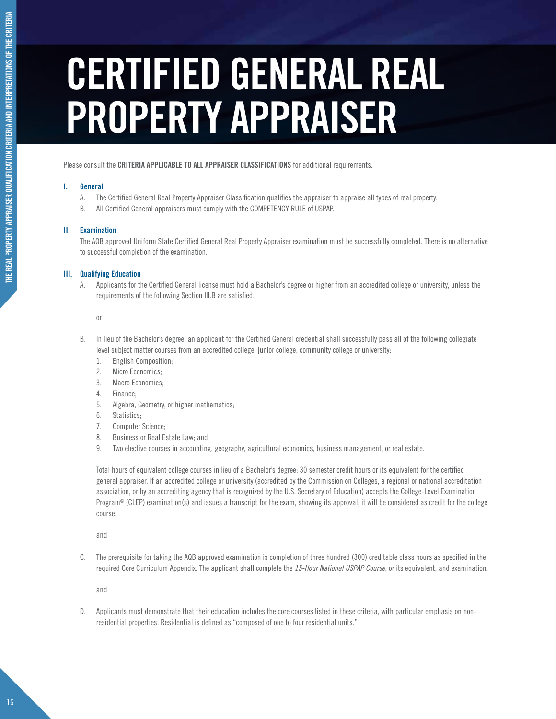### **CERTIFIED GENERAL REAL PROPERTY APPRAISER**

Please consult the **CRITERIA APPLICABLE TO ALL APPRAISER CLASSIFICATIONS** for additional requirements.

#### **I. General**

- A. The Certified General Real Property Appraiser Classification qualifies the appraiser to appraise all types of real property.
- B. All Certified General appraisers must comply with the COMPETENCY RULE of USPAP.

#### **II. Examination**

The AQB approved Uniform State Certified General Real Property Appraiser examination must be successfully completed. There is no alternative to successful completion of the examination.

#### **III. Qualifying Education**

A. Applicants for the Certified General license must hold a Bachelor's degree or higher from an accredited college or university, unless the requirements of the following Section III.B are satisfied.

or

- B. In lieu of the Bachelor's degree, an applicant for the Certified General credential shall successfully pass all of the following collegiate level subject matter courses from an accredited college, junior college, community college or university:
	- 1. English Composition;
	- 2. Micro Economics:
	- 3. Macro Economics:
	- 4. Finance;
	- 5. Algebra, Geometry, or higher mathematics;
	- 6. Statistics;
	- 7. Computer Science;
	- 8. Business or Real Estate Law; and
	- 9. Two elective courses in accounting, geography, agricultural economics, business management, or real estate.

Total hours of equivalent college courses in lieu of a Bachelor's degree: 30 semester credit hours or its equivalent for the certified general appraiser. If an accredited college or university (accredited by the Commission on Colleges, a regional or national accreditation association, or by an accrediting agency that is recognized by the U.S. Secretary of Education) accepts the College-Level Examination Program<sup>®</sup> (CLEP) examination(s) and issues a transcript for the exam, showing its approval, it will be considered as credit for the college course.

and

C. The prerequisite for taking the AQB approved examination is completion of three hundred (300) creditable class hours as specified in the required Core Curriculum Appendix. The applicant shall complete the *15-Hour National USPAP Course*, or its equivalent, and examination.

and

D. Applicants must demonstrate that their education includes the core courses listed in these criteria, with particular emphasis on nonresidential properties. Residential is defined as "composed of one to four residential units."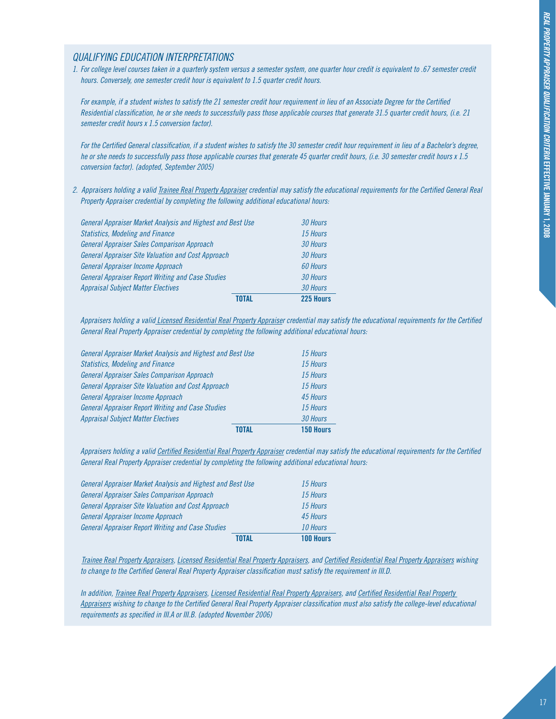#### *Qualifying Education Interpretations*

*1. For college level courses taken in a quarterly system versus a semester system, one quarter hour credit is equivalent to .67 semester credit hours. Conversely, one semester credit hour is equivalent to 1.5 quarter credit hours.*

*For example, if a student wishes to satisfy the 21 semester credit hour requirement in lieu of an Associate Degree for the Certified Residential classification, he or she needs to successfully pass those applicable courses that generate 31.5 quarter credit hours, (i.e. 21 semester credit hours x 1.5 conversion factor).*

*For the Certified General classification, if a student wishes to satisfy the 30 semester credit hour requirement in lieu of a Bachelor's degree, he or she needs to successfully pass those applicable courses that generate 45 quarter credit hours, (i.e. 30 semester credit hours x 1.5 conversion factor). (adopted, September 2005)*

*2. Appraisers holding a valid Trainee Real Property Appraiser credential may satisfy the educational requirements for the Certified General Real Property Appraiser credential by completing the following additional educational hours:* 

|                                                            | TNTAI | 225 Hours |
|------------------------------------------------------------|-------|-----------|
| <b>Appraisal Subject Matter Electives</b>                  |       | 30 Hours  |
| <b>General Appraiser Report Writing and Case Studies</b>   |       | 30 Hours  |
| General Appraiser Income Approach                          |       | 60 Hours  |
| <b>General Appraiser Site Valuation and Cost Approach</b>  |       | 30 Hours  |
| General Appraiser Sales Comparison Approach                |       | 30 Hours  |
| <b>Statistics, Modeling and Finance</b>                    |       | 15 Hours  |
| General Appraiser Market Analysis and Highest and Best Use |       | 30 Hours  |

*Appraisers holding a valid Licensed Residential Real Property Appraiser credential may satisfy the educational requirements for the Certified General Real Property Appraiser credential by completing the following additional educational hours:* 

|                                                            | 150 Hours |
|------------------------------------------------------------|-----------|
| <b>Appraisal Subject Matter Electives</b>                  | 30 Hours  |
| <b>General Appraiser Report Writing and Case Studies</b>   | 15 Hours  |
| General Appraiser Income Approach                          | 45 Hours  |
| <b>General Appraiser Site Valuation and Cost Approach</b>  | 15 Hours  |
| General Appraiser Sales Comparison Approach                | 15 Hours  |
| <b>Statistics, Modeling and Finance</b>                    | 15 Hours  |
| General Appraiser Market Analysis and Highest and Best Use | 15 Hours  |
|                                                            |           |

*Appraisers holding a valid Certified Residential Real Property Appraiser credential may satisfy the educational requirements for the Certified General Real Property Appraiser credential by completing the following additional educational hours:* 

|                                                            | TNTAI | 100 Hours |
|------------------------------------------------------------|-------|-----------|
| <b>General Appraiser Report Writing and Case Studies</b>   |       | 10 Hours  |
| General Appraiser Income Approach                          |       | 45 Hours  |
| <b>General Appraiser Site Valuation and Cost Approach</b>  |       | 15 Hours  |
| General Appraiser Sales Comparison Approach                |       | 15 Hours  |
| General Appraiser Market Analysis and Highest and Best Use |       | 15 Hours  |

*Trainee Real Property Appraisers, Licensed Residential Real Property Appraisers, and Certified Residential Real Property Appraisers wishing to change to the Certified General Real Property Appraiser classification must satisfy the requirement in III.D.*

*In addition, Trainee Real Property Appraisers, Licensed Residential Real Property Appraisers, and Certified Residential Real Property Appraisers wishing to change to the Certified General Real Property Appraiser classification must also satisfy the college-level educational requirements as specified in III.A or III.B. (adopted November 2006)*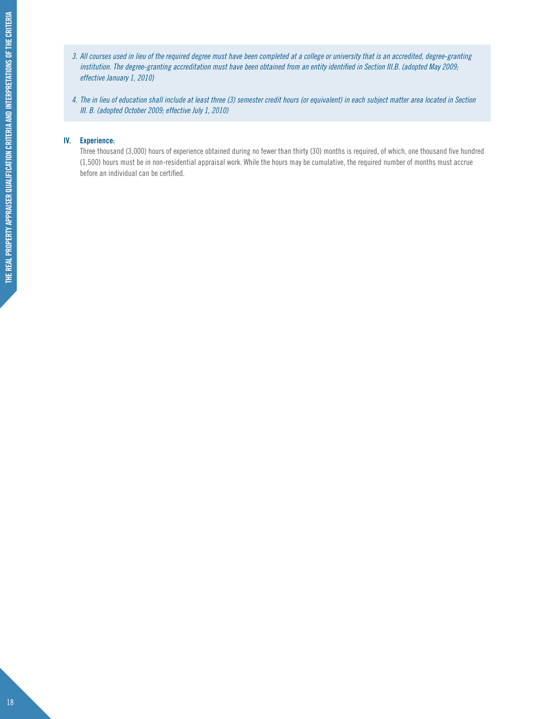- *3. All courses used in lieu of the required degree must have been completed at a college or university that is an accredited, degree-granting institution. The degree-granting accreditation must have been obtained from an entity identified in Section III.B. (adopted May 2009; effective January 1, 2010)*
- *4. The in lieu of education shall include at least three (3) semester credit hours (or equivalent) in each subject matter area located in Section III. B. (adopted October 2009; effective July 1, 2010)*

#### **IV. Experience:**

Three thousand (3,000) hours of experience obtained during no fewer than thirty (30) months is required, of which, one thousand five hundred (1,500) hours must be in non-residential appraisal work. While the hours may be cumulative, the required number of months must accrue before an individual can be certified.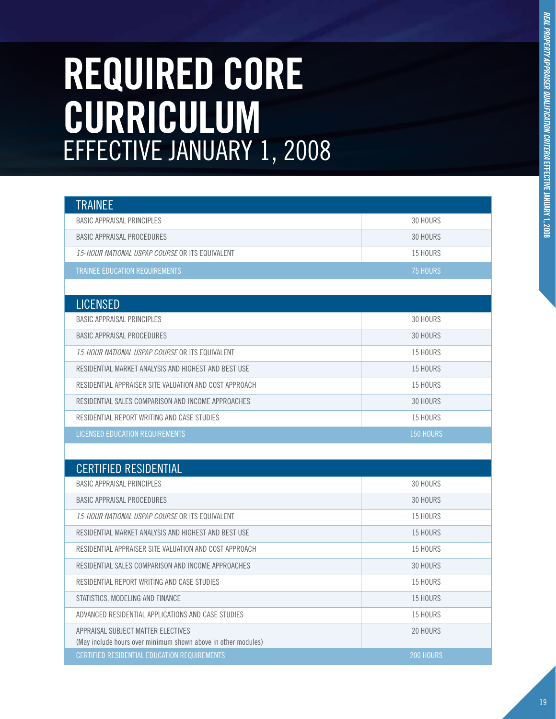# REAL PROPERTY APPRAISER QUALIFICATION CRITERIA EFFECTIVE JANUARY 1, 2008 *REAL PROPERTY APPRAISER QUALIFICATION CRITERIA* **EFFECTIVE JANUARY 1, 2008**

### **REQUIRED CORE CURRICULUM** EFFECTIVE JANUARY 1, 2008

| <b>TRAINEE</b>                                  |                 |
|-------------------------------------------------|-----------------|
| BASIC APPRAISAL PRINCIPLES                      | 30 HOURS        |
| BASIC APPRAISAL PROCEDURES                      | 30 HOURS        |
| 15-HOUR NATIONAL USPAP COURSE OR ITS EQUIVALENT | 15 HOURS        |
| TRAINEE EDUCATION REQUIREMENTS                  | <b>75 HOURS</b> |
|                                                 |                 |
| <b>LICENSED</b>                                 |                 |

| BASIC APPRAISAL PRINCIPLES                             | 30 HOURS  |
|--------------------------------------------------------|-----------|
| BASIC APPRAISAL PROCEDURES                             | 30 HOURS  |
| 15-HOUR NATIONAL USPAP COURSE OR ITS EQUIVALENT        | 15 HOURS  |
| RESIDENTIAL MARKET ANALYSIS AND HIGHEST AND BEST USE   | 15 HOURS  |
| RESIDENTIAL APPRAISER SITE VALUATION AND COST APPROACH | 15 HOURS  |
| RESIDENTIAL SALES COMPARISON AND INCOME APPROACHES     | 30 HOURS  |
| RESIDENTIAL REPORT WRITING AND CASE STUDIES            | 15 HOURS  |
| LICENSED EDUCATION REQUIREMENTS                        | 150 HOURS |

| <b>CERTIFIED RESIDENTIAL</b>                                                                        |           |
|-----------------------------------------------------------------------------------------------------|-----------|
| BASIC APPRAISAL PRINCIPLES                                                                          | 30 HOURS  |
| <b>BASIC APPRAISAL PROCEDURES</b>                                                                   | 30 HOURS  |
| 15-HOUR NATIONAL USPAP COURSE OR ITS EQUIVALENT                                                     | 15 HOURS  |
| RESIDENTIAL MARKET ANALYSIS AND HIGHEST AND BEST USE                                                | 15 HOURS  |
| RESIDENTIAL APPRAISER SITE VALUATION AND COST APPROACH                                              | 15 HOURS  |
| RESIDENTIAL SALES COMPARISON AND INCOME APPROACHES                                                  | 30 HOURS  |
| RESIDENTIAL REPORT WRITING AND CASE STUDIES                                                         | 15 HOURS  |
| STATISTICS, MODELING AND FINANCE                                                                    | 15 HOURS  |
| ADVANCED RESIDENTIAL APPLICATIONS AND CASE STUDIES                                                  | 15 HOURS  |
| APPRAISAL SUBJECT MATTER FLECTIVES<br>(May include hours over minimum shown above in other modules) | 20 HOURS  |
| CERTIFIED RESIDENTIAL EDUCATION REQUIREMENTS                                                        | 200 HOURS |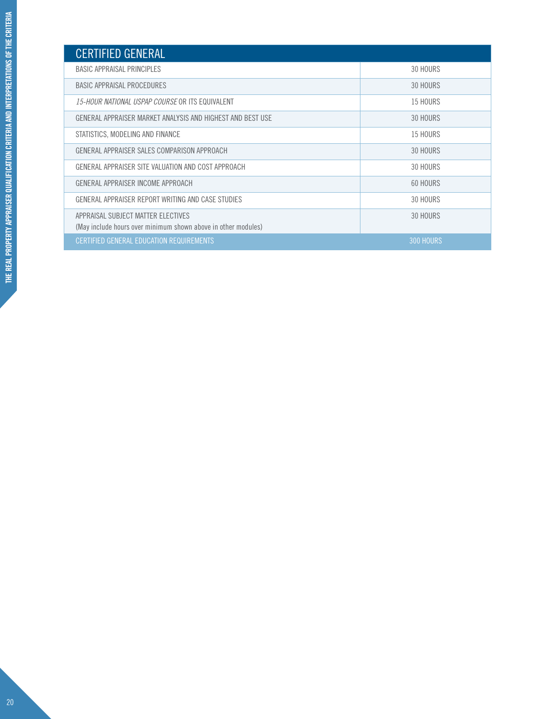| <b>CERTIFIED GENERAL</b>                                                                            |                  |
|-----------------------------------------------------------------------------------------------------|------------------|
| BASIC APPRAISAL PRINCIPLES                                                                          | 30 HOURS         |
| BASIC APPRAISAL PROCEDURES                                                                          | 30 HOURS         |
| <i>15-HOUR NATIONAL USPAP COURSE</i> OR ITS EQUIVALENT                                              | 15 HOURS         |
| GENERAL APPRAISER MARKET ANALYSIS AND HIGHEST AND BEST USE                                          | 30 HOURS         |
| STATISTICS, MODELING AND FINANCE                                                                    | 15 HOURS         |
| GENERAL APPRAISER SALES COMPARISON APPROACH                                                         | 30 HOURS         |
| GENERAL APPRAISER SITE VALUATION AND COST APPROACH                                                  | 30 HOURS         |
| GENERAL APPRAISER INCOME APPROACH                                                                   | 60 HOURS         |
| GENERAL APPRAISER REPORT WRITING AND CASE STUDIES                                                   | 30 HOURS         |
| APPRAISAL SUBJECT MATTER FLECTIVES<br>(May include hours over minimum shown above in other modules) | 30 HOURS         |
| CERTIFIED GENERAL EDUCATION REQUIREMENTS                                                            | <b>300 HOURS</b> |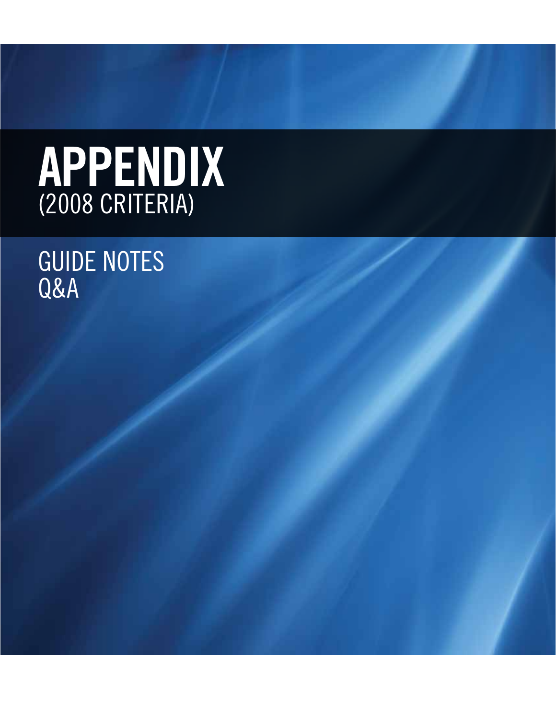### AP (2008 CRITERIA)

### Guide Notes Q&A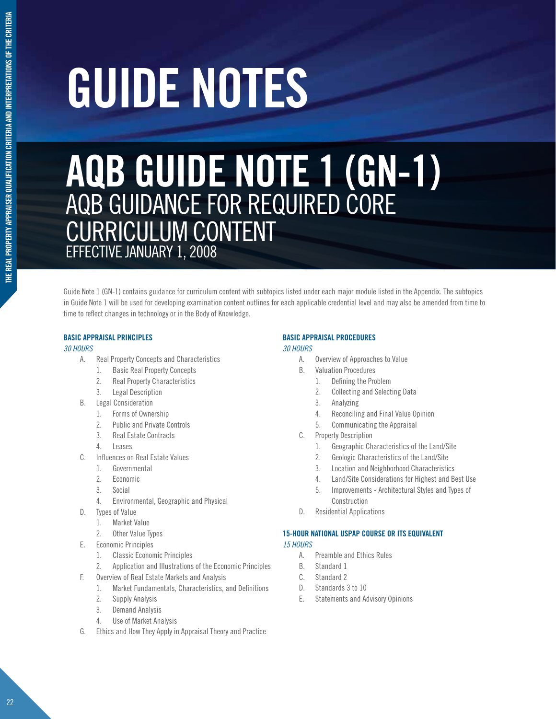# **guide notes**

### **AQB GUIDE NOTE 1 (GN-1)** AQB GUIDANCE FOR REQUIRED CORE CURRICULUM CONTENT EFFECTIVE JANUARY 1, 2008

Guide Note 1 (GN-1) contains guidance for curriculum content with subtopics listed under each major module listed in the Appendix. The subtopics in Guide Note 1 will be used for developing examination content outlines for each applicable credential level and may also be amended from time to time to reflect changes in technology or in the Body of Knowledge.

#### **BASIC APPRAISAL PRINCIPLES**

#### *30 HOURS*

- A. Real Property Concepts and Characteristics
	- 1. Basic Real Property Concepts
	- 2. Real Property Characteristics
	- 3. Legal Description
- B. Legal Consideration
	- 1. Forms of Ownership
		- 2. Public and Private Controls
	- 3. Real Estate Contracts
	- 4. Leases
- C. Influences on Real Estate Values
	- 1. Governmental
	- 2. Economic
	- 3. Social
	- 4. Environmental, Geographic and Physical
- D. Types of Value
	- 1. Market Value
	- 2. Other Value Types
- E. Economic Principles
	- 1. Classic Economic Principles
	- 2. Application and Illustrations of the Economic Principles
- F. Overview of Real Estate Markets and Analysis
	- 1. Market Fundamentals, Characteristics, and Definitions
	- 2. Supply Analysis
	- 3. Demand Analysis
	- 4. Use of Market Analysis
- G. Ethics and How They Apply in Appraisal Theory and Practice

#### **BASIC APPRAISAL PROCEDURES**

#### *30 HOURS*

- A. Overview of Approaches to Value
- B. Valuation Procedures
	- 1. Defining the Problem
	- 2. Collecting and Selecting Data
	- 3. Analyzing
	- 4. Reconciling and Final Value Opinion
	- 5. Communicating the Appraisal
- C. Property Description
	- 1. Geographic Characteristics of the Land/Site
	- 2. Geologic Characteristics of the Land/Site
	- 3. Location and Neighborhood Characteristics
	- 4. Land/Site Considerations for Highest and Best Use
	- 5. Improvements Architectural Styles and Types of Construction
- D. Residential Applications

#### **15-HOUR NATIONAL USPAP COURSE OR ITS EQUIVALENT**

- *15 HOURS*
	- A. Preamble and Ethics Rules
	- B. Standard 1
	- C. Standard 2
	- D. Standards 3 to 10
	- E. Statements and Advisory Opinions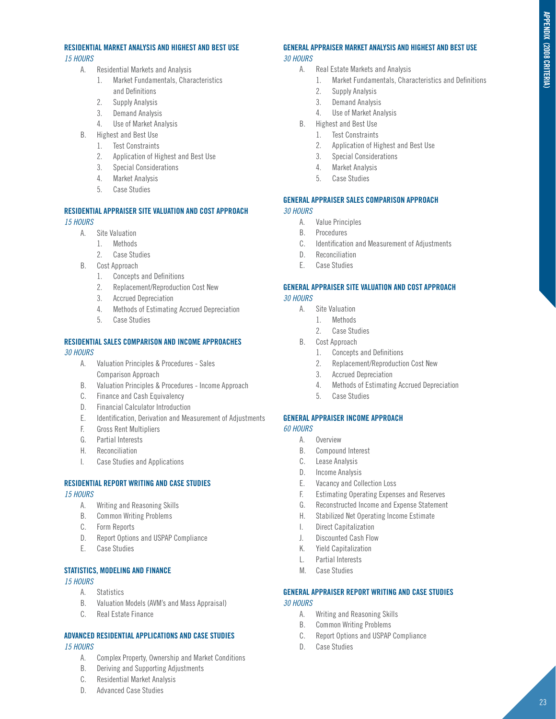#### **RESIDENTIAL MARKET ANALYSIS AND HIGHEST AND BEST USE**  *15 HOURS*

- A. Residential Markets and Analysis
	- 1. Market Fundamentals, Characteristics and Definitions
	- 2. Supply Analysis
	- 3. Demand Analysis
	- 4. Use of Market Analysis
- B. Highest and Best Use
	- 1. Test Constraints
	- 2. Application of Highest and Best Use
	- 3. Special Considerations
	- 4. Market Analysis
	- 5. Case Studies

#### **RESIDENTIAL APPRAISER SITE VALUATION AND COST APPROACH**  *15 HOURS*

- A. Site Valuation
	- 1. Methods
	- 2. Case Studies
- B. Cost Approach
	- 1. Concepts and Definitions
	- 2. Replacement/Reproduction Cost New
	- 3. Accrued Depreciation
	- 4. Methods of Estimating Accrued Depreciation
	- 5. Case Studies

#### **RESIDENTIAL SALES COMPARISON AND INCOME APPROACHES**

#### *30 HOURS*

- A. Valuation Principles & Procedures Sales Comparison Approach
- B. Valuation Principles & Procedures Income Approach
- C. Finance and Cash Equivalency
- D. Financial Calculator Introduction
- E. Identification, Derivation and Measurement of Adjustments
- F. Gross Rent Multipliers
- G. Partial Interests
- H. Reconciliation
- I. Case Studies and Applications

#### **RESIDENTIAL REPORT WRITING AND CASE STUDIES**

*15 HOURS*

- A. Writing and Reasoning Skills
- B. Common Writing Problems
- C. Form Reports
- D. Report Options and USPAP Compliance
- E. Case Studies

#### **STATISTICS, MODELING AND FINANCE**

#### *15 HOURS*

- A. Statistics
- B. Valuation Models (AVM's and Mass Appraisal)
- C. Real Estate Finance

#### **ADVANCED RESIDENTIAL APPLICATIONS AND CASE STUDIES** *15 HOURS*

- A. Complex Property, Ownership and Market Conditions
- B. Deriving and Supporting Adjustments
- C. Residential Market Analysis
- D. Advanced Case Studies

#### **GENERAL APPRAISER MARKET ANALYSIS AND HIGHEST AND BEST USE** *30 HOURS*

- A. Real Estate Markets and Analysis
	- 1. Market Fundamentals, Characteristics and Definitions
	- 2. Supply Analysis
	- 3. Demand Analysis
	- 4. Use of Market Analysis
- B. Highest and Best Use
	- 1. Test Constraints
	- 2. Application of Highest and Best Use
	- 3. Special Considerations
	- 4. Market Analysis
	- 5. Case Studies

#### **GENERAL APPRAISER SALES COMPARISON APPROACH** *30 HOURS*

- A. Value Principles
- B. Procedures
- C. Identification and Measurement of Adjustments
- D. Reconciliation
- E. Case Studies

#### **GENERAL APPRAISER SITE VALUATION AND COST APPROACH** *30 HOURS*

- A. Site Valuation
	- 1. Methods
	- 2. Case Studies
- B. Cost Approach
	- 1. Concepts and Definitions
	- 2. Replacement/Reproduction Cost New
	- 3. Accrued Depreciation
	- 4. Methods of Estimating Accrued Depreciation
	- 5. Case Studies

#### **GENERAL APPRAISER INCOME APPROACH**

- *60 HOURS*
	- A. Overview
	- B. Compound Interest
	- C. Lease Analysis
	- D. Income Analysis
	- E. Vacancy and Collection Loss
	- F. Estimating Operating Expenses and Reserves
	- G. Reconstructed Income and Expense Statement
	- H. Stabilized Net Operating Income Estimate
	- I. Direct Capitalization
	- J. Discounted Cash Flow
	- K. Yield Capitalization
	- L. Partial Interests
	- M. Case Studies

#### **GENERAL APPRAISER REPORT WRITING AND CASE STUDIES**  *30 HOURS*

- A. Writing and Reasoning Skills
- B. Common Writing Problems
- C. Report Options and USPAP Compliance
- D. Case Studies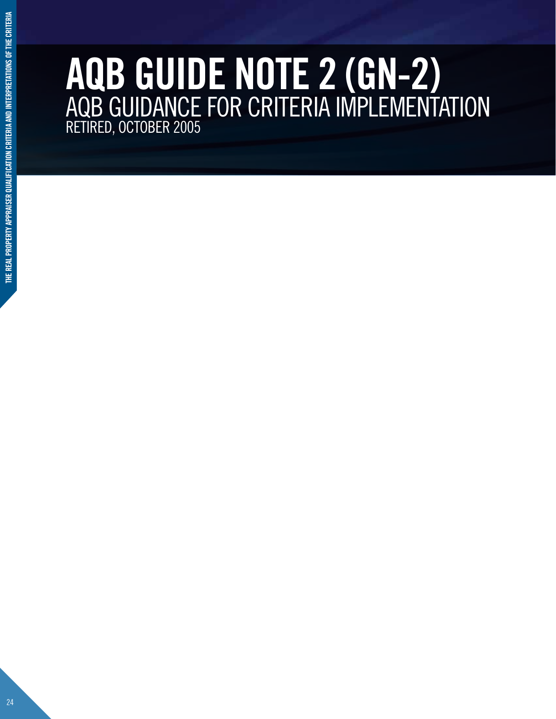### **AQB GUIDE NOTE 2 (GN-2)** AQB GUIDANCE FOR CRITERIA IMPLEMENTATION RETIRED, OCTOBER 2005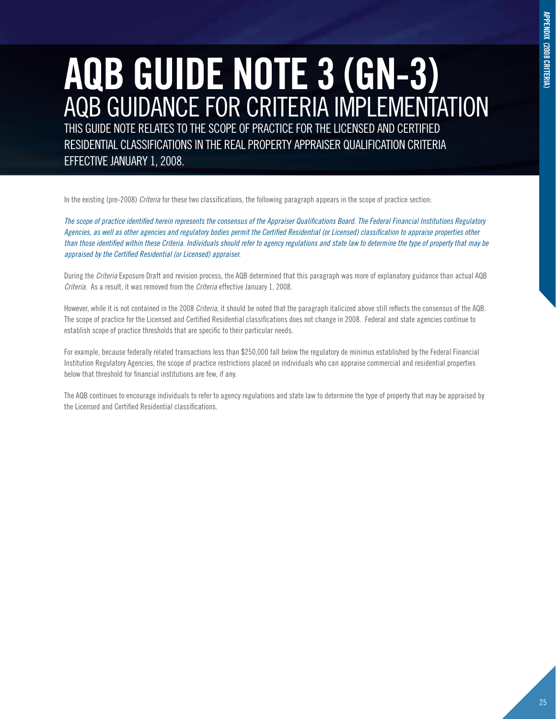### **AQB GUIDE NOTE 3 (GN-3)** AQB GUIDANCE FOR CRITERIA IMPLEMENTATION

THIS GUIDE NOTE RELATES TO THE SCOPE OF PRACTICE FOR THE LICENSED AND CERTIFIED RESIDENTIAL CLASSIFICATIONS IN THE REAL PROPERTY APPRAISER QUALIFICATION CRITERIA EFFECTIVE JANUARY 1, 2008.

In the existing (pre-2008) *Criteria* for these two classifications, the following paragraph appears in the scope of practice section:

*The scope of practice identified herein represents the consensus of the Appraiser Qualifications Board. The Federal Financial Institutions Regulatory Agencies, as well as other agencies and regulatory bodies permit the Certified Residential (or Licensed) classification to appraise properties other than those identified within these Criteria. Individuals should refer to agency regulations and state law to determine the type of property that may be appraised by the Certified Residential (or Licensed) appraiser.*

During the *Criteria* Exposure Draft and revision process, the AQB determined that this paragraph was more of explanatory guidance than actual AQB *Criteria*. As a result, it was removed from the *Criteria* effective January 1, 2008.

However, while it is not contained in the 2008 *Criteria*, it should be noted that the paragraph italicized above still reflects the consensus of the AQB. The scope of practice for the Licensed and Certified Residential classifications does not change in 2008. Federal and state agencies continue to establish scope of practice thresholds that are specific to their particular needs.

For example, because federally related transactions less than \$250,000 fall below the regulatory de minimus established by the Federal Financial Institution Regulatory Agencies, the scope of practice restrictions placed on individuals who can appraise commercial and residential properties below that threshold for financial institutions are few, if any.

The AQB continues to encourage individuals to refer to agency regulations and state law to determine the type of property that may be appraised by the Licensed and Certified Residential classifications.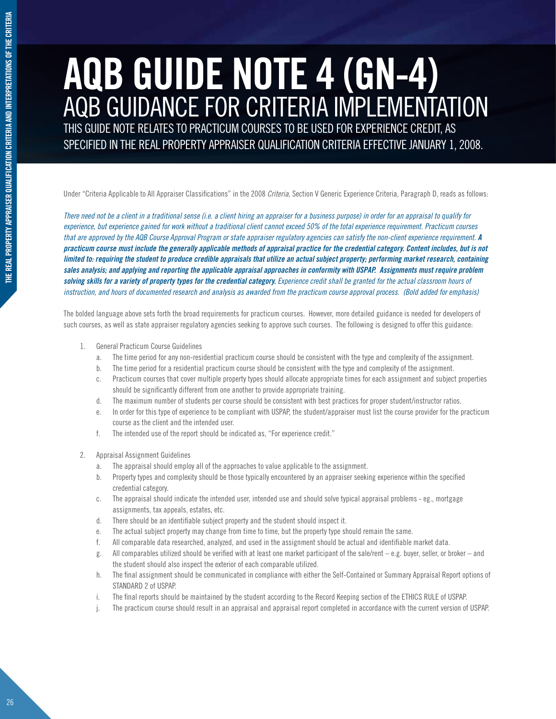### **AQB GUIDE NOTE 4 (GN-4)** AQB GUIDANCE FOR CRITERIA IMPLEMENTATION

THIS GUIDE NOTE RELATES TO PRACTICUM COURSES TO BE USED FOR EXPERIENCE CREDIT, AS SPECIFIED IN THE REAL PROPERTY APPRAISER QUALIFICATION CRITERIA EFFECTIVE JANUARY 1, 2008.

Under "Criteria Applicable to All Appraiser Classifications" in the 2008 *Criteria*, Section V Generic Experience Criteria, Paragraph D, reads as follows:

*There need not be a client in a traditional sense (i.e. a client hiring an appraiser for a business purpose) in order for an appraisal to qualify for experience, but experience gained for work without a traditional client cannot exceed 50% of the total experience requirement. Practicum courses that are approved by the AQB Course Approval Program or state appraiser regulatory agencies can satisfy the non-client experience requirement. A practicum course must include the generally applicable methods of appraisal practice for the credential category. Content includes, but is not limited to: requiring the student to produce credible appraisals that utilize an actual subject property; performing market research, containing sales analysis; and applying and reporting the applicable appraisal approaches in conformity with USPAP. Assignments must require problem*  solving skills for a variety of property types for the credential category. Experience credit shall be granted for the actual classroom hours of *instruction, and hours of documented research and analysis as awarded from the practicum course approval process. (Bold added for emphasis)*

The bolded language above sets forth the broad requirements for practicum courses. However, more detailed guidance is needed for developers of such courses, as well as state appraiser regulatory agencies seeking to approve such courses. The following is designed to offer this guidance:

- 1. General Practicum Course Guidelines
	- a. The time period for any non-residential practicum course should be consistent with the type and complexity of the assignment.
	- b. The time period for a residential practicum course should be consistent with the type and complexity of the assignment.
	- c. Practicum courses that cover multiple property types should allocate appropriate times for each assignment and subject properties should be significantly different from one another to provide appropriate training.
	- d. The maximum number of students per course should be consistent with best practices for proper student/instructor ratios.
	- e. In order for this type of experience to be compliant with USPAP, the student/appraiser must list the course provider for the practicum course as the client and the intended user.
	- f. The intended use of the report should be indicated as, "For experience credit."
- 2. Appraisal Assignment Guidelines
	- a. The appraisal should employ all of the approaches to value applicable to the assignment.
	- b. Property types and complexity should be those typically encountered by an appraiser seeking experience within the specified credential category.
	- c. The appraisal should indicate the intended user, intended use and should solve typical appraisal problems eg., mortgage assignments, tax appeals, estates, etc.
	- d. There should be an identifiable subject property and the student should inspect it.
	- e. The actual subject property may change from time to time, but the property type should remain the same.
	- f. All comparable data researched, analyzed, and used in the assignment should be actual and identifiable market data.
	- g. All comparables utilized should be verified with at least one market participant of the sale/rent e.g. buyer, seller, or broker and the student should also inspect the exterior of each comparable utilized.
	- h. The final assignment should be communicated in compliance with either the Self-Contained or Summary Appraisal Report options of STANDARD 2 of USPAP.
	- i. The final reports should be maintained by the student according to the Record Keeping section of the ETHICS RULE of USPAP.
	- The practicum course should result in an appraisal and appraisal report completed in accordance with the current version of USPAP.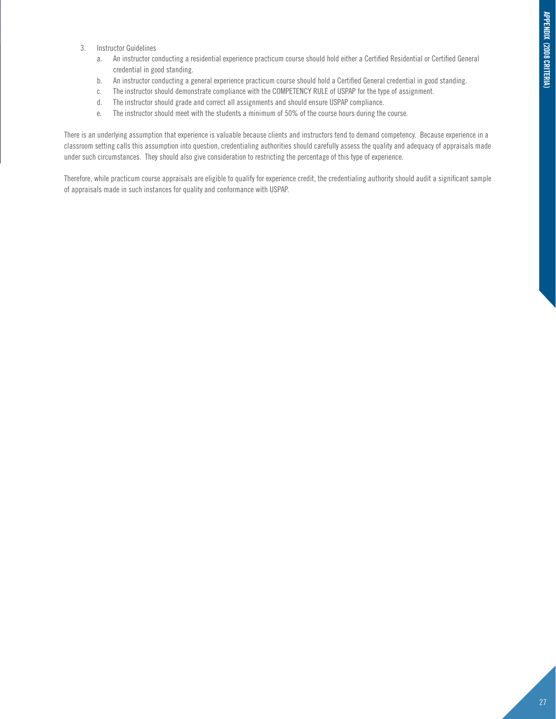- 3. Instructor Guidelines
	- a. An instructor conducting a residential experience practicum course should hold either a Certified Residential or Certified General credential in good standing.
	- b. An instructor conducting a general experience practicum course should hold a Certified General credential in good standing.
	- c. The instructor should demonstrate compliance with the COMPETENCY RULE of USPAP for the type of assignment.
	- d. The instructor should grade and correct all assignments and should ensure USPAP compliance.
	- e. The instructor should meet with the students a minimum of 50% of the course hours during the course.

There is an underlying assumption that experience is valuable because clients and instructors tend to demand competency. Because experience in a classroom setting calls this assumption into question, credentialing authorities should carefully assess the quality and adequacy of appraisals made under such circumstances. They should also give consideration to restricting the percentage of this type of experience.

Therefore, while practicum course appraisals are eligible to qualify for experience credit, the credentialing authority should audit a significant sample of appraisals made in such instances for quality and conformance with USPAP.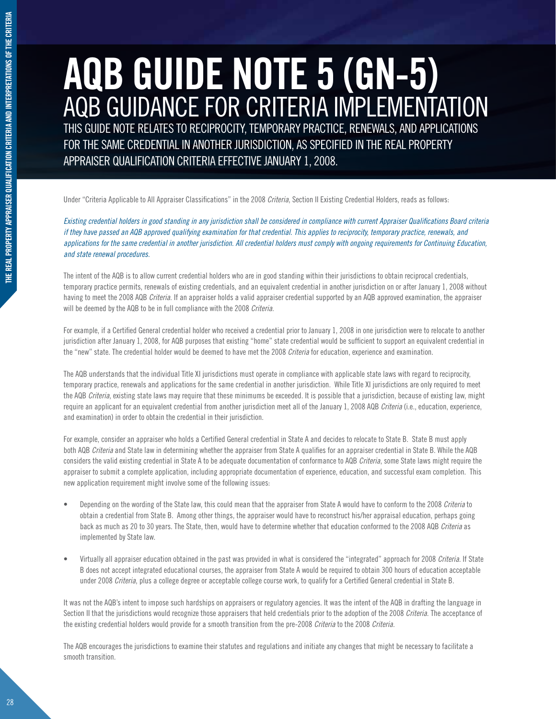### **AQB GUIDE NOTE 5 (GN-5)** AQB GUIDANCE FOR CRITERIA IMPLEMENTATION

THIS GUIDE NOTE RELATES TO RECIPROCITY, TEMPORARY PRACTICE, RENEWALS, AND APPLICATIONS FOR THE SAME CREDENTIAL IN ANOTHER JURISDICTION, AS SPECIFIED IN THE REAL PROPERTY APPRAISER QUALIFICATION CRITERIA EFFECTIVE JANUARY 1, 2008.

Under "Criteria Applicable to All Appraiser Classifications" in the 2008 *Criteria*, Section II Existing Credential Holders, reads as follows:

*Existing credential holders in good standing in any jurisdiction shall be considered in compliance with current Appraiser Qualifications Board criteria if they have passed an AQB approved qualifying examination for that credential. This applies to reciprocity, temporary practice, renewals, and applications for the same credential in another jurisdiction. All credential holders must comply with ongoing requirements for Continuing Education, and state renewal procedures.*

The intent of the AQB is to allow current credential holders who are in good standing within their jurisdictions to obtain reciprocal credentials, temporary practice permits, renewals of existing credentials, and an equivalent credential in another jurisdiction on or after January 1, 2008 without having to meet the 2008 AQB *Criteria*. If an appraiser holds a valid appraiser credential supported by an AQB approved examination, the appraiser will be deemed by the AQB to be in full compliance with the 2008 *Criteria*.

For example, if a Certified General credential holder who received a credential prior to January 1, 2008 in one jurisdiction were to relocate to another jurisdiction after January 1, 2008, for AQB purposes that existing "home" state credential would be sufficient to support an equivalent credential in the "new" state. The credential holder would be deemed to have met the 2008 *Criteria* for education, experience and examination.

The AQB understands that the individual Title XI jurisdictions must operate in compliance with applicable state laws with regard to reciprocity, temporary practice, renewals and applications for the same credential in another jurisdiction. While Title XI jurisdictions are only required to meet the AQB *Criteria*, existing state laws may require that these minimums be exceeded. It is possible that a jurisdiction, because of existing law, might require an applicant for an equivalent credential from another jurisdiction meet all of the January 1, 2008 AQB *Criteria* (i.e., education, experience, and examination) in order to obtain the credential in their jurisdiction.

For example, consider an appraiser who holds a Certified General credential in State A and decides to relocate to State B. State B must apply both AQB *Criteria* and State law in determining whether the appraiser from State A qualifies for an appraiser credential in State B. While the AQB considers the valid existing credential in State A to be adequate documentation of conformance to AQB *Criteria*, some State laws might require the appraiser to submit a complete application, including appropriate documentation of experience, education, and successful exam completion. This new application requirement might involve some of the following issues:

- Depending on the wording of the State law, this could mean that the appraiser from State A would have to conform to the 2008 *Criteria* to obtain a credential from State B. Among other things, the appraiser would have to reconstruct his/her appraisal education, perhaps going back as much as 20 to 30 years. The State, then, would have to determine whether that education conformed to the 2008 AQB *Criteria* as implemented by State law.
- Virtually all appraiser education obtained in the past was provided in what is considered the "integrated" approach for 2008 *Criteria*. If State B does not accept integrated educational courses, the appraiser from State A would be required to obtain 300 hours of education acceptable under 2008 *Criteria*, plus a college degree or acceptable college course work, to qualify for a Certified General credential in State B.

It was not the AQB's intent to impose such hardships on appraisers or regulatory agencies. It was the intent of the AQB in drafting the language in Section II that the jurisdictions would recognize those appraisers that held credentials prior to the adoption of the 2008 *Criteria*. The acceptance of the existing credential holders would provide for a smooth transition from the pre-2008 *Criteria* to the 2008 *Criteria*.

The AQB encourages the jurisdictions to examine their statutes and regulations and initiate any changes that might be necessary to facilitate a smooth transition.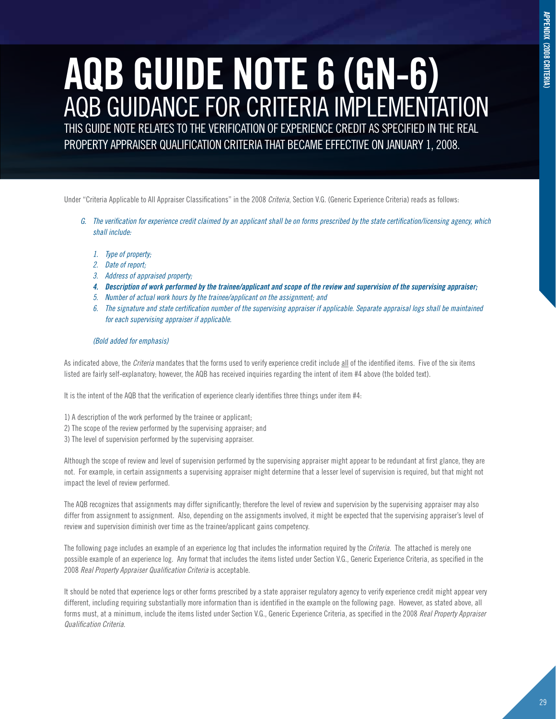### **APPENDIX (2008 CRITERIA) appendix (2008 criteria)**

### **AQB GUIDE NOTE 6 (GN-6)** AQB GUIDANCE FOR CRITERIA IMPLEMENTATION

THIS GUIDE NOTE RELATES TO THE VERIFICATION OF EXPERIENCE CREDIT AS SPECIFIED IN THE REAL PROPERTY APPRAISER QUALIFICATION CRITERIA THAT BECAME EFFECTIVE ON JANUARY 1, 2008.

Under "Criteria Applicable to All Appraiser Classifications" in the 2008 *Criteria*, Section V.G. (Generic Experience Criteria) reads as follows:

- *G. The verification for experience credit claimed by an applicant shall be on forms prescribed by the state certification/licensing agency, which shall include:*
	- *1. Type of property;*
	- *2. Date of report;*
	- *3. Address of appraised property;*
	- *4. Description of work performed by the trainee/applicant and scope of the review and supervision of the supervising appraiser;*
	- *5. Number of actual work hours by the trainee/applicant on the assignment; and*
	- *6. The signature and state certification number of the supervising appraiser if applicable. Separate appraisal logs shall be maintained for each supervising appraiser if applicable.*

#### *(Bold added for emphasis)*

As indicated above, the *Criteria* mandates that the forms used to verify experience credit include all of the identified items. Five of the six items listed are fairly self-explanatory; however, the AQB has received inquiries regarding the intent of item #4 above (the bolded text).

It is the intent of the AQB that the verification of experience clearly identifies three things under item #4:

- 1) A description of the work performed by the trainee or applicant;
- 2) The scope of the review performed by the supervising appraiser; and
- 3) The level of supervision performed by the supervising appraiser.

Although the scope of review and level of supervision performed by the supervising appraiser might appear to be redundant at first glance, they are not. For example, in certain assignments a supervising appraiser might determine that a lesser level of supervision is required, but that might not impact the level of review performed.

The AQB recognizes that assignments may differ significantly; therefore the level of review and supervision by the supervising appraiser may also differ from assignment to assignment. Also, depending on the assignments involved, it might be expected that the supervising appraiser's level of review and supervision diminish over time as the trainee/applicant gains competency.

The following page includes an example of an experience log that includes the information required by the *Criteria*. The attached is merely one possible example of an experience log. Any format that includes the items listed under Section V.G., Generic Experience Criteria, as specified in the 2008 *Real Property Appraiser Qualification Criteria* is acceptable.

It should be noted that experience logs or other forms prescribed by a state appraiser regulatory agency to verify experience credit might appear very different, including requiring substantially more information than is identified in the example on the following page. However, as stated above, all forms must, at a minimum, include the items listed under Section V.G., Generic Experience Criteria, as specified in the 2008 *Real Property Appraiser Qualification Criteria*.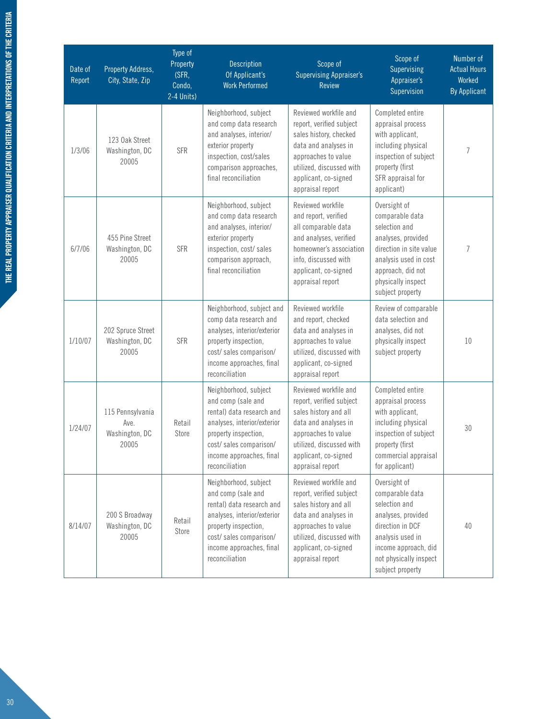| Date of<br>Report | Property Address,<br>City, State, Zip               | Type of<br>Property<br>(SFR,<br>Condo,<br>2-4 Units) | <b>Description</b><br>Of Applicant's<br><b>Work Performed</b>                                                                                                                                           | Scope of<br><b>Supervising Appraiser's</b><br><b>Review</b>                                                                                                                                        | Scope of<br>Supervising<br>Appraiser's<br>Supervision                                                                                                                                     | Number of<br><b>Actual Hours</b><br>Worked<br><b>By Applicant</b> |
|-------------------|-----------------------------------------------------|------------------------------------------------------|---------------------------------------------------------------------------------------------------------------------------------------------------------------------------------------------------------|----------------------------------------------------------------------------------------------------------------------------------------------------------------------------------------------------|-------------------------------------------------------------------------------------------------------------------------------------------------------------------------------------------|-------------------------------------------------------------------|
| 1/3/06            | 123 Oak Street<br>Washington, DC<br>20005           | <b>SFR</b>                                           | Neighborhood, subject<br>and comp data research<br>and analyses, interior/<br>exterior property<br>inspection, cost/sales<br>comparison approaches,<br>final reconciliation                             | Reviewed workfile and<br>report, verified subject<br>sales history, checked<br>data and analyses in<br>approaches to value<br>utilized, discussed with<br>applicant, co-signed<br>appraisal report | Completed entire<br>appraisal process<br>with applicant,<br>including physical<br>inspection of subject<br>property (first<br>SFR appraisal for<br>applicant)                             | 7                                                                 |
| 6/7/06            | 455 Pine Street<br>Washington, DC<br>20005          | <b>SFR</b>                                           | Neighborhood, subject<br>and comp data research<br>and analyses, interior/<br>exterior property<br>inspection, cost/sales<br>comparison approach,<br>final reconciliation                               | Reviewed workfile<br>and report, verified<br>all comparable data<br>and analyses, verified<br>homeowner's association<br>info, discussed with<br>applicant, co-signed<br>appraisal report          | Oversight of<br>comparable data<br>selection and<br>analyses, provided<br>direction in site value<br>analysis used in cost<br>approach, did not<br>physically inspect<br>subject property | 7                                                                 |
| 1/10/07           | 202 Spruce Street<br>Washington, DC<br>20005        | <b>SFR</b>                                           | Neighborhood, subject and<br>comp data research and<br>analyses, interior/exterior<br>property inspection,<br>cost/sales comparison/<br>income approaches, final<br>reconciliation                      | Reviewed workfile<br>and report, checked<br>data and analyses in<br>approaches to value<br>utilized, discussed with<br>applicant, co-signed<br>appraisal report                                    | Review of comparable<br>data selection and<br>analyses, did not<br>physically inspect<br>subject property                                                                                 | 10                                                                |
| 1/24/07           | 115 Pennsylvania<br>Ave.<br>Washington, DC<br>20005 | Retail<br>Store                                      | Neighborhood, subject<br>and comp (sale and<br>rental) data research and<br>analyses, interior/exterior<br>property inspection,<br>cost/sales comparison/<br>income approaches, final<br>reconciliation | Reviewed workfile and<br>report, verified subject<br>sales history and all<br>data and analyses in<br>approaches to value<br>utilized, discussed with<br>applicant, co-signed<br>appraisal report  | Completed entire<br>appraisal process<br>with applicant,<br>including physical<br>inspection of subject<br>property (first<br>commercial appraisal<br>for applicant)                      | 30                                                                |
| 8/14/07           | 200 S Broadway<br>Washington, DC<br>20005           | Retail<br>Store                                      | Neighborhood, subject<br>and comp (sale and<br>rental) data research and<br>analyses, interior/exterior<br>property inspection,<br>cost/sales comparison/<br>income approaches, final<br>reconciliation | Reviewed workfile and<br>report, verified subject<br>sales history and all<br>data and analyses in<br>approaches to value<br>utilized, discussed with<br>applicant, co-signed<br>appraisal report  | Oversight of<br>comparable data<br>selection and<br>analyses, provided<br>direction in DCF<br>analysis used in<br>income approach, did<br>not physically inspect<br>subject property      | 40                                                                |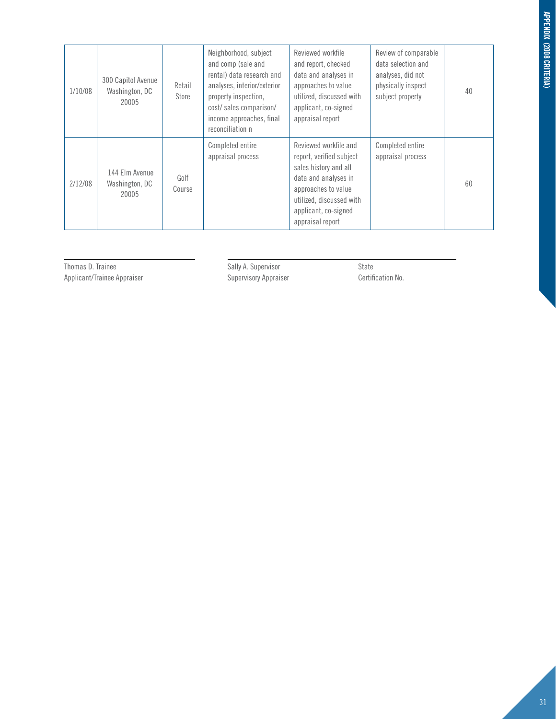| 1/10/08 | 300 Capitol Avenue<br>Washington, DC<br>20005 | Retail<br>Store | Neighborhood, subject<br>and comp (sale and<br>rental) data research and<br>analyses, interior/exterior<br>property inspection,<br>cost/sales comparison/<br>income approaches, final<br>reconciliation n | Reviewed workfile<br>and report, checked<br>data and analyses in<br>approaches to value<br>utilized, discussed with<br>applicant, co-signed<br>appraisal report                                   | Review of comparable<br>data selection and<br>analyses, did not<br>physically inspect<br>subject property | 40 |
|---------|-----------------------------------------------|-----------------|-----------------------------------------------------------------------------------------------------------------------------------------------------------------------------------------------------------|---------------------------------------------------------------------------------------------------------------------------------------------------------------------------------------------------|-----------------------------------------------------------------------------------------------------------|----|
| 2/12/08 | 144 Elm Avenue<br>Washington, DC<br>20005     | Golf<br>Course  | Completed entire<br>appraisal process                                                                                                                                                                     | Reviewed workfile and<br>report, verified subject<br>sales history and all<br>data and analyses in<br>approaches to value<br>utilized, discussed with<br>applicant, co-signed<br>appraisal report | Completed entire<br>appraisal process                                                                     | 60 |

Thomas D. Trainee Sally A. Supervisor Sally A. Supervisor State Applicant/Trainee Appraiser Supervisory Appraiser Certifi Applicant/Trainee Appraiser Supervisory Appraiser Certification No.

l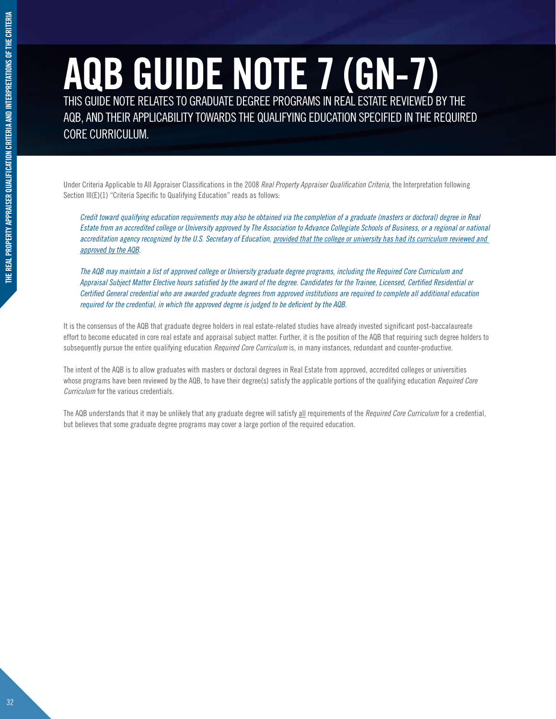### **AQB GUIDE NOTE 7 (GN-7)** THIS GUIDE NOTE RELATES TO GRADUATE DEGREE PROGRAMS IN REAL ESTATE REVIEWED BY THE

AQB, AND THEIR APPLICABILITY TOWARDS THE QUALIFYING EDUCATION SPECIFIED IN THE REQUIRED CORE CURRICULUM.

Under Criteria Applicable to All Appraiser Classifications in the 2008 *Real Property Appraiser Qualification Criteria*, the Interpretation following Section III(E)(1) "Criteria Specific to Qualifying Education" reads as follows:

*Credit toward qualifying education requirements may also be obtained via the completion of a graduate (masters or doctoral) degree in Real Estate from an accredited college or University approved by The Association to Advance Collegiate Schools of Business, or a regional or national*  accreditation agency recognized by the U.S. Secretary of Education, provided that the college or university has had its curriculum reviewed and *approved by the AQB.*

*The AQB may maintain a list of approved college or University graduate degree programs, including the Required Core Curriculum and Appraisal Subject Matter Elective hours satisfied by the award of the degree. Candidates for the Trainee, Licensed, Certified Residential or Certified General credential who are awarded graduate degrees from approved institutions are required to complete all additional education required for the credential, in which the approved degree is judged to be deficient by the AQB.*

It is the consensus of the AQB that graduate degree holders in real estate-related studies have already invested significant post-baccalaureate effort to become educated in core real estate and appraisal subject matter. Further, it is the position of the AQB that requiring such degree holders to subsequently pursue the entire qualifying education *Required Core Curriculum* is, in many instances, redundant and counter-productive.

The intent of the AQB is to allow graduates with masters or doctoral degrees in Real Estate from approved, accredited colleges or universities whose programs have been reviewed by the AQB, to have their degree(s) satisfy the applicable portions of the qualifying education *Required Core Curriculum* for the various credentials.

The AQB understands that it may be unlikely that any graduate degree will satisfy all requirements of the *Required Core Curriculum* for a credential, but believes that some graduate degree programs may cover a large portion of the required education.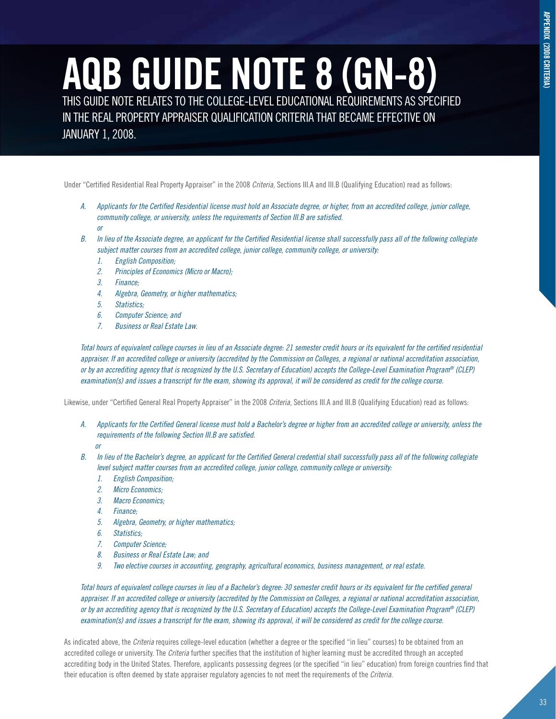### **AQB GUIDE NOTE 8 (GN-8)** THIS GUIDE NOTE RELATES TO THE COLLEGE-LEVEL EDUCATIONAL REQUIREMENTS AS SPECIFIED

IN THE REAL PROPERTY APPRAISER QUALIFICATION CRITERIA THAT BECAME EFFECTIVE ON JANUARY 1, 2008.

Under "Certified Residential Real Property Appraiser" in the 2008 *Criteria*, Sections III.A and III.B (Qualifying Education) read as follows:

- *A. Applicants for the Certified Residential license must hold an Associate degree, or higher, from an accredited college, junior college, community college, or university, unless the requirements of Section III.B are satisfied. or*
- *B. In lieu of the Associate degree, an applicant for the Certified Residential license shall successfully pass all of the following collegiate subject matter courses from an accredited college, junior college, community college, or university:* 
	- *1. English Composition;*
	- *2. Principles of Economics (Micro or Macro);*
	- *3. Finance;*
	- *4. Algebra, Geometry, or higher mathematics;*
	- *5. Statistics;*
	- *6. Computer Science; and*
	- *7. Business or Real Estate Law.*

*Total hours of equivalent college courses in lieu of an Associate degree: 21 semester credit hours or its equivalent for the certified residential appraiser. If an accredited college or university (accredited by the Commission on Colleges, a regional or national accreditation association, or by an accrediting agency that is recognized by the U.S. Secretary of Education) accepts the College-Level Examination Program® (CLEP) examination(s) and issues a transcript for the exam, showing its approval, it will be considered as credit for the college course.* 

Likewise, under "Certified General Real Property Appraiser" in the 2008 *Criteria*, Sections III.A and III.B (Qualifying Education) read as follows:

- *A. Applicants for the Certified General license must hold a Bachelor's degree or higher from an accredited college or university, unless the requirements of the following Section III.B are satisfied.* 
	- *or*
- *B. In lieu of the Bachelor's degree, an applicant for the Certified General credential shall successfully pass all of the following collegiate level subject matter courses from an accredited college, junior college, community college or university:* 
	- *1. English Composition;*
	- *2. Micro Economics;*
	- *3. Macro Economics;*
	- *4. Finance;*
	- *5. Algebra, Geometry, or higher mathematics;*
	- *6. Statistics;*
	- *7. Computer Science;*
	- *8. Business or Real Estate Law; and*
	- *9. Two elective courses in accounting, geography, agricultural economics, business management, or real estate.*

*Total hours of equivalent college courses in lieu of a Bachelor's degree: 30 semester credit hours or its equivalent for the certified general appraiser. If an accredited college or university (accredited by the Commission on Colleges, a regional or national accreditation association, or by an accrediting agency that is recognized by the U.S. Secretary of Education) accepts the College-Level Examination Program® (CLEP) examination(s) and issues a transcript for the exam, showing its approval, it will be considered as credit for the college course.* 

As indicated above, the *Criteria* requires college-level education (whether a degree or the specified "in lieu" courses) to be obtained from an accredited college or university. The *Criteria* further specifies that the institution of higher learning must be accredited through an accepted accrediting body in the United States. Therefore, applicants possessing degrees (or the specified "in lieu" education) from foreign countries find that their education is often deemed by state appraiser regulatory agencies to not meet the requirements of the *Criteria*.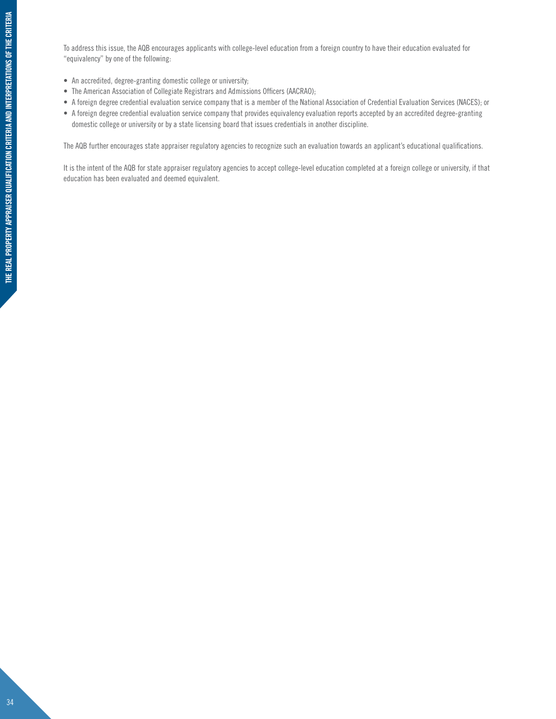To address this issue, the AQB encourages applicants with college-level education from a foreign country to have their education evaluated for "equivalency" by one of the following:

- An accredited, degree-granting domestic college or university;
- The American Association of Collegiate Registrars and Admissions Officers (AACRAO);
- • A foreign degree credential evaluation service company that is a member of the National Association of Credential Evaluation Services (NACES); or
- • A foreign degree credential evaluation service company that provides equivalency evaluation reports accepted by an accredited degree-granting domestic college or university or by a state licensing board that issues credentials in another discipline.

The AQB further encourages state appraiser regulatory agencies to recognize such an evaluation towards an applicant's educational qualifications.

It is the intent of the AQB for state appraiser regulatory agencies to accept college-level education completed at a foreign college or university, if that education has been evaluated and deemed equivalent.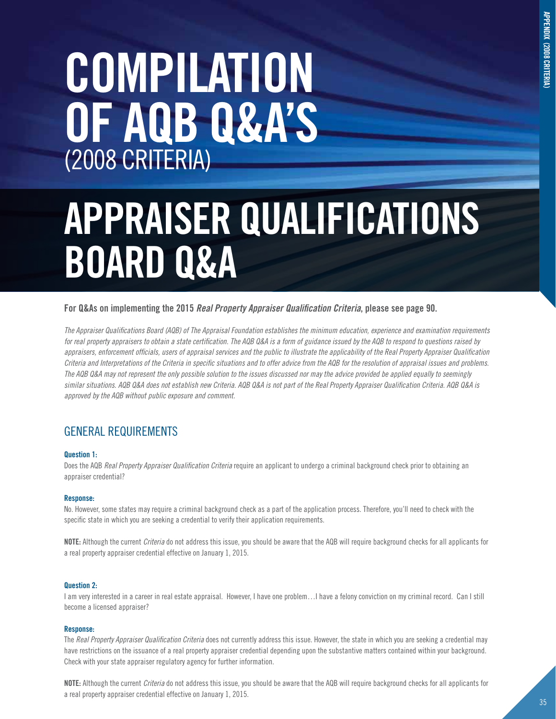# **COMPILATION OF AQB Q&A'S** (2008 CRITERIA)

# **APPRAISER QUALIFICATIONS BOARD Q&A**

# **For Q&As on implementing the 2015** *Real Property Appraiser Qualification Criteria***, please see page 90.**

*The Appraiser Qualifications Board (AQB) of The Appraisal Foundation establishes the minimum education, experience and examination requirements*  for real property appraisers to obtain a state certification. The AQB Q&A is a form of guidance issued by the AQB to respond to questions raised by *appraisers, enforcement officials, users of appraisal services and the public to illustrate the applicability of the Real Property Appraiser Qualification Criteria and Interpretations of the Criteria in specific situations and to offer advice from the AQB for the resolution of appraisal issues and problems. The AQB Q&A may not represent the only possible solution to the issues discussed nor may the advice provided be applied equally to seemingly similar situations. AQB Q&A does not establish new Criteria. AQB Q&A is not part of the Real Property Appraiser Qualification Criteria. AQB Q&A is approved by the AQB without public exposure and comment.* 

# General Requirements

# **Question 1:**

Does the AQB *Real Property Appraiser Qualification Criteria* require an applicant to undergo a criminal background check prior to obtaining an appraiser credential?

# **Response:**

No. However, some states may require a criminal background check as a part of the application process. Therefore, you'll need to check with the specific state in which you are seeking a credential to verify their application requirements.

**NOTE:** Although the current *Criteria* do not address this issue, you should be aware that the AQB will require background checks for all applicants for a real property appraiser credential effective on January 1, 2015.

# **Question 2:**

I am very interested in a career in real estate appraisal. However, I have one problem…I have a felony conviction on my criminal record. Can I still become a licensed appraiser?

# **Response:**

The *Real Property Appraiser Qualification Criteria* does not currently address this issue. However, the state in which you are seeking a credential may have restrictions on the issuance of a real property appraiser credential depending upon the substantive matters contained within your background. Check with your state appraiser regulatory agency for further information.

**NOTE:** Although the current *Criteria* do not address this issue, you should be aware that the AQB will require background checks for all applicants for a real property appraiser credential effective on January 1, 2015.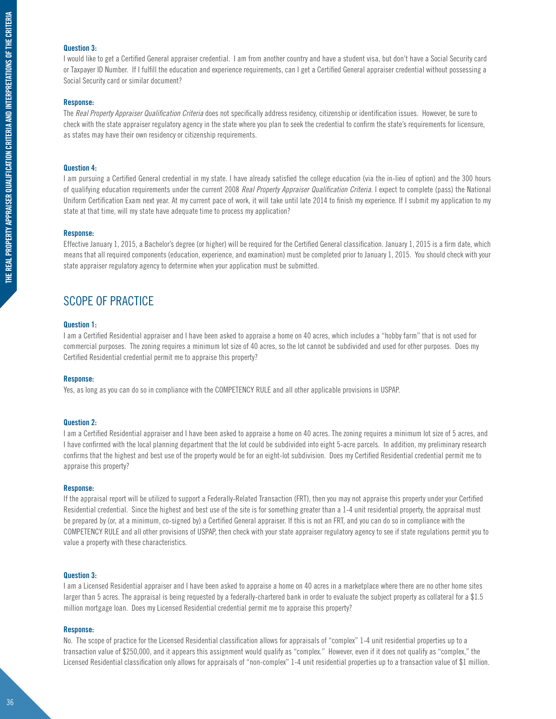# **Question 3:**

I would like to get a Certified General appraiser credential. I am from another country and have a student visa, but don't have a Social Security card or Taxpayer ID Number. If I fulfill the education and experience requirements, can I get a Certified General appraiser credential without possessing a Social Security card or similar document?

## **Response:**

The *Real Property Appraiser Qualification Criteria* does not specifically address residency, citizenship or identification issues. However, be sure to check with the state appraiser regulatory agency in the state where you plan to seek the credential to confirm the state's requirements for licensure, as states may have their own residency or citizenship requirements.

# **Question 4:**

I am pursuing a Certified General credential in my state. I have already satisfied the college education (via the in-lieu of option) and the 300 hours of qualifying education requirements under the current 2008 *Real Property Appraiser Qualification Criteria*. I expect to complete (pass) the National Uniform Certification Exam next year. At my current pace of work, it will take until late 2014 to finish my experience. If I submit my application to my state at that time, will my state have adequate time to process my application?

# **Response:**

Effective January 1, 2015, a Bachelor's degree (or higher) will be required for the Certified General classification. January 1, 2015 is a firm date, which means that all required components (education, experience, and examination) must be completed prior to January 1, 2015. You should check with your state appraiser regulatory agency to determine when your application must be submitted.

# Scope of Practice

# **Question 1:**

I am a Certified Residential appraiser and I have been asked to appraise a home on 40 acres, which includes a "hobby farm" that is not used for commercial purposes. The zoning requires a minimum lot size of 40 acres, so the lot cannot be subdivided and used for other purposes. Does my Certified Residential credential permit me to appraise this property?

## **Response:**

Yes, as long as you can do so in compliance with the COMPETENCY RULE and all other applicable provisions in USPAP.

# **Question 2:**

I am a Certified Residential appraiser and I have been asked to appraise a home on 40 acres. The zoning requires a minimum lot size of 5 acres, and I have confirmed with the local planning department that the lot could be subdivided into eight 5-acre parcels. In addition, my preliminary research confirms that the highest and best use of the property would be for an eight-lot subdivision. Does my Certified Residential credential permit me to appraise this property?

## **Response:**

If the appraisal report will be utilized to support a Federally-Related Transaction (FRT), then you may not appraise this property under your Certified Residential credential. Since the highest and best use of the site is for something greater than a 1-4 unit residential property, the appraisal must be prepared by (or, at a minimum, co-signed by) a Certified General appraiser. If this is not an FRT, and you can do so in compliance with the COMPETENCY RULE and all other provisions of USPAP, then check with your state appraiser regulatory agency to see if state regulations permit you to value a property with these characteristics.

# **Question 3:**

I am a Licensed Residential appraiser and I have been asked to appraise a home on 40 acres in a marketplace where there are no other home sites larger than 5 acres. The appraisal is being requested by a federally-chartered bank in order to evaluate the subject property as collateral for a \$1.5 million mortgage loan. Does my Licensed Residential credential permit me to appraise this property?

# **Response:**

No. The scope of practice for the Licensed Residential classification allows for appraisals of "complex" 1-4 unit residential properties up to a transaction value of \$250,000, and it appears this assignment would qualify as "complex." However, even if it does not qualify as "complex," the Licensed Residential classification only allows for appraisals of "non-complex" 1-4 unit residential properties up to a transaction value of \$1 million.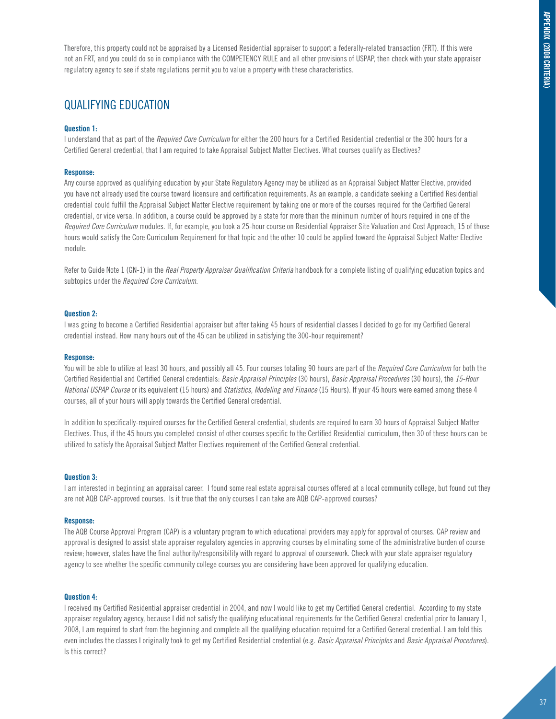Therefore, this property could not be appraised by a Licensed Residential appraiser to support a federally-related transaction (FRT). If this were not an FRT, and you could do so in compliance with the COMPETENCY RULE and all other provisions of USPAP, then check with your state appraiser regulatory agency to see if state regulations permit you to value a property with these characteristics.

# Qualifying education

# **Question 1:**

I understand that as part of the *Required Core Curriculum* for either the 200 hours for a Certified Residential credential or the 300 hours for a Certified General credential, that I am required to take Appraisal Subject Matter Electives. What courses qualify as Electives?

# **Response:**

Any course approved as qualifying education by your State Regulatory Agency may be utilized as an Appraisal Subject Matter Elective, provided you have not already used the course toward licensure and certification requirements. As an example, a candidate seeking a Certified Residential credential could fulfill the Appraisal Subject Matter Elective requirement by taking one or more of the courses required for the Certified General credential, or vice versa. In addition, a course could be approved by a state for more than the minimum number of hours required in one of the *Required Core Curriculum* modules. If, for example, you took a 25-hour course on Residential Appraiser Site Valuation and Cost Approach, 15 of those hours would satisfy the Core Curriculum Requirement for that topic and the other 10 could be applied toward the Appraisal Subject Matter Elective module.

Refer to Guide Note 1 (GN-1) in the *Real Property Appraiser Qualification Criteria* handbook for a complete listing of qualifying education topics and subtopics under the *Required Core Curriculum*.

# **Question 2:**

I was going to become a Certified Residential appraiser but after taking 45 hours of residential classes I decided to go for my Certified General credential instead. How many hours out of the 45 can be utilized in satisfying the 300-hour requirement?

# **Response:**

You will be able to utilize at least 30 hours, and possibly all 45. Four courses totaling 90 hours are part of the *Required Core Curriculum* for both the Certified Residential and Certified General credentials: *Basic Appraisal Principles* (30 hours), *Basic Appraisal Procedures* (30 hours), the *15-Hour National USPAP Course* or its equivalent (15 hours) and *Statistics, Modeling and Finance* (15 Hours). If your 45 hours were earned among these 4 courses, all of your hours will apply towards the Certified General credential.

In addition to specifically-required courses for the Certified General credential, students are required to earn 30 hours of Appraisal Subject Matter Electives. Thus, if the 45 hours you completed consist of other courses specific to the Certified Residential curriculum, then 30 of these hours can be utilized to satisfy the Appraisal Subject Matter Electives requirement of the Certified General credential.

# **Question 3:**

I am interested in beginning an appraisal career. I found some real estate appraisal courses offered at a local community college, but found out they are not AQB CAP-approved courses. Is it true that the only courses I can take are AQB CAP-approved courses?

## **Response:**

The AQB Course Approval Program (CAP) is a voluntary program to which educational providers may apply for approval of courses. CAP review and approval is designed to assist state appraiser regulatory agencies in approving courses by eliminating some of the administrative burden of course review; however, states have the final authority/responsibility with regard to approval of coursework. Check with your state appraiser regulatory agency to see whether the specific community college courses you are considering have been approved for qualifying education.

# **Question 4:**

I received my Certified Residential appraiser credential in 2004, and now I would like to get my Certified General credential. According to my state appraiser regulatory agency, because I did not satisfy the qualifying educational requirements for the Certified General credential prior to January 1, 2008, I am required to start from the beginning and complete all the qualifying education required for a Certified General credential. I am told this even includes the classes I originally took to get my Certified Residential credential (e.g. *Basic Appraisal Principles* and *Basic Appraisal Procedures*). Is this correct?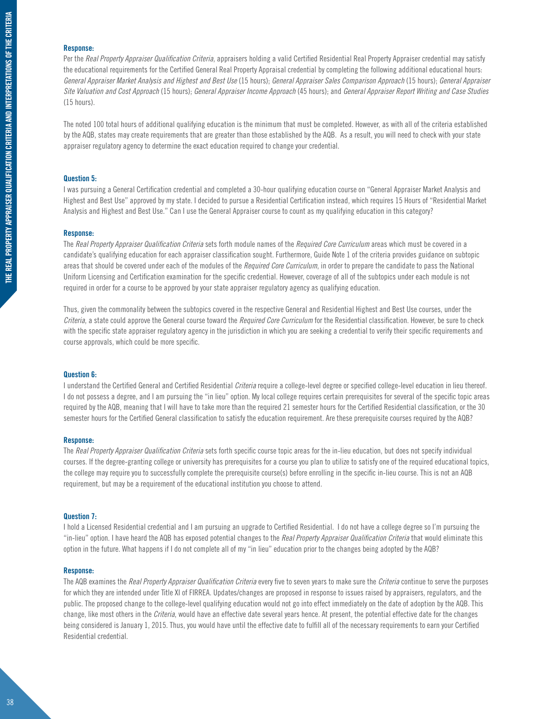# **Response:**

Per the *Real Property Appraiser Qualification Criteria*, appraisers holding a valid Certified Residential Real Property Appraiser credential may satisfy the educational requirements for the Certified General Real Property Appraisal credential by completing the following additional educational hours: *General Appraiser Market Analysis and Highest and Best Use* (15 hours); *General Appraiser Sales Comparison Approach* (15 hours); *General Appraiser Site Valuation and Cost Approach* (15 hours); *General Appraiser Income Approach* (45 hours); and *General Appraiser Report Writing and Case Studies* (15 hours).

The noted 100 total hours of additional qualifying education is the minimum that must be completed. However, as with all of the criteria established by the AQB, states may create requirements that are greater than those established by the AQB. As a result, you will need to check with your state appraiser regulatory agency to determine the exact education required to change your credential.

# **Question 5:**

I was pursuing a General Certification credential and completed a 30-hour qualifying education course on "General Appraiser Market Analysis and Highest and Best Use" approved by my state. I decided to pursue a Residential Certification instead, which requires 15 Hours of "Residential Market Analysis and Highest and Best Use." Can I use the General Appraiser course to count as my qualifying education in this category?

# **Response:**

The *Real Property Appraiser Qualification Criteria* sets forth module names of the *Required Core Curriculum* areas which must be covered in a candidate's qualifying education for each appraiser classification sought. Furthermore, Guide Note 1 of the criteria provides guidance on subtopic areas that should be covered under each of the modules of the *Required Core Curriculum*, in order to prepare the candidate to pass the National Uniform Licensing and Certification examination for the specific credential. However, coverage of all of the subtopics under each module is not required in order for a course to be approved by your state appraiser regulatory agency as qualifying education.

Thus, given the commonality between the subtopics covered in the respective General and Residential Highest and Best Use courses, under the *Criteria*, a state could approve the General course toward the *Required Core Curriculum* for the Residential classification. However, be sure to check with the specific state appraiser regulatory agency in the jurisdiction in which you are seeking a credential to verify their specific requirements and course approvals, which could be more specific.

# **Question 6:**

I understand the Certified General and Certified Residential *Criteria* require a college-level degree or specified college-level education in lieu thereof. I do not possess a degree, and I am pursuing the "in lieu" option. My local college requires certain prerequisites for several of the specific topic areas required by the AQB, meaning that I will have to take more than the required 21 semester hours for the Certified Residential classification, or the 30 semester hours for the Certified General classification to satisfy the education requirement. Are these prerequisite courses required by the AQB?

## **Response:**

The *Real Property Appraiser Qualification Criteria* sets forth specific course topic areas for the in-lieu education, but does not specify individual courses. If the degree-granting college or university has prerequisites for a course you plan to utilize to satisfy one of the required educational topics, the college may require you to successfully complete the prerequisite course(s) before enrolling in the specific in-lieu course. This is not an AQB requirement, but may be a requirement of the educational institution you choose to attend.

### **Question 7:**

I hold a Licensed Residential credential and I am pursuing an upgrade to Certified Residential. I do not have a college degree so I'm pursuing the "in-lieu" option. I have heard the AQB has exposed potential changes to the *Real Property Appraiser Qualification Criteria* that would eliminate this option in the future. What happens if I do not complete all of my "in lieu" education prior to the changes being adopted by the AQB?

# **Response:**

The AQB examines the *Real Property Appraiser Qualification Criteria* every five to seven years to make sure the *Criteria* continue to serve the purposes for which they are intended under Title XI of FIRREA. Updates/changes are proposed in response to issues raised by appraisers, regulators, and the public. The proposed change to the college-level qualifying education would not go into effect immediately on the date of adoption by the AQB. This change, like most others in the *Criteria*, would have an effective date several years hence. At present, the potential effective date for the changes being considered is January 1, 2015. Thus, you would have until the effective date to fulfill all of the necessary requirements to earn your Certified Residential credential.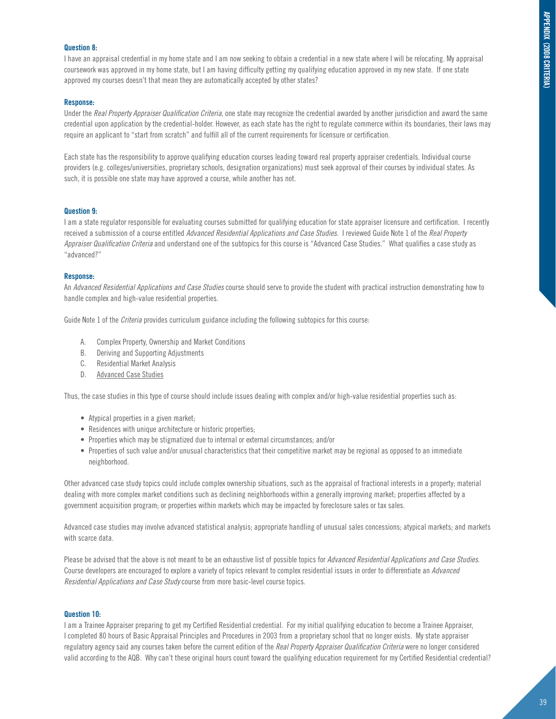# **Question 8:**

I have an appraisal credential in my home state and I am now seeking to obtain a credential in a new state where I will be relocating. My appraisal coursework was approved in my home state, but I am having difficulty getting my qualifying education approved in my new state. If one state approved my courses doesn't that mean they are automatically accepted by other states?

# **Response:**

Under the *Real Property Appraiser Qualification Criteria*, one state may recognize the credential awarded by another jurisdiction and award the same credential upon application by the credential-holder. However, as each state has the right to regulate commerce within its boundaries, their laws may require an applicant to "start from scratch" and fulfill all of the current requirements for licensure or certification.

Each state has the responsibility to approve qualifying education courses leading toward real property appraiser credentials. Individual course providers (e.g. colleges/universities, proprietary schools, designation organizations) must seek approval of their courses by individual states. As such, it is possible one state may have approved a course, while another has not.

# **Question 9:**

I am a state regulator responsible for evaluating courses submitted for qualifying education for state appraiser licensure and certification. I recently received a submission of a course entitled *Advanced Residential Applications and Case Studies*. I reviewed Guide Note 1 of the *Real Property Appraiser Qualification Criteria* and understand one of the subtopics for this course is "Advanced Case Studies." What qualifies a case study as "advanced?"

# **Response:**

An *Advanced Residential Applications and Case Studies* course should serve to provide the student with practical instruction demonstrating how to handle complex and high-value residential properties.

Guide Note 1 of the *Criteria* provides curriculum guidance including the following subtopics for this course:

- A. Complex Property, Ownership and Market Conditions
- B. Deriving and Supporting Adjustments
- C. Residential Market Analysis
- D. Advanced Case Studies

Thus, the case studies in this type of course should include issues dealing with complex and/or high-value residential properties such as:

- Atypical properties in a given market;
- Residences with unique architecture or historic properties;
- Properties which may be stigmatized due to internal or external circumstances; and/or
- Properties of such value and/or unusual characteristics that their competitive market may be regional as opposed to an immediate neighborhood.

Other advanced case study topics could include complex ownership situations, such as the appraisal of fractional interests in a property; material dealing with more complex market conditions such as declining neighborhoods within a generally improving market; properties affected by a government acquisition program; or properties within markets which may be impacted by foreclosure sales or tax sales.

Advanced case studies may involve advanced statistical analysis; appropriate handling of unusual sales concessions; atypical markets; and markets with scarce data.

Please be advised that the above is not meant to be an exhaustive list of possible topics for *Advanced Residential Applications and Case Studies*. Course developers are encouraged to explore a variety of topics relevant to complex residential issues in order to differentiate an *Advanced Residential Applications and Case Study* course from more basic-level course topics.

# **Question 10:**

I am a Trainee Appraiser preparing to get my Certified Residential credential. For my initial qualifying education to become a Trainee Appraiser, I completed 80 hours of Basic Appraisal Principles and Procedures in 2003 from a proprietary school that no longer exists. My state appraiser regulatory agency said any courses taken before the current edition of the *Real Property Appraiser Qualification Criteria* were no longer considered valid according to the AQB. Why can't these original hours count toward the qualifying education requirement for my Certified Residential credential?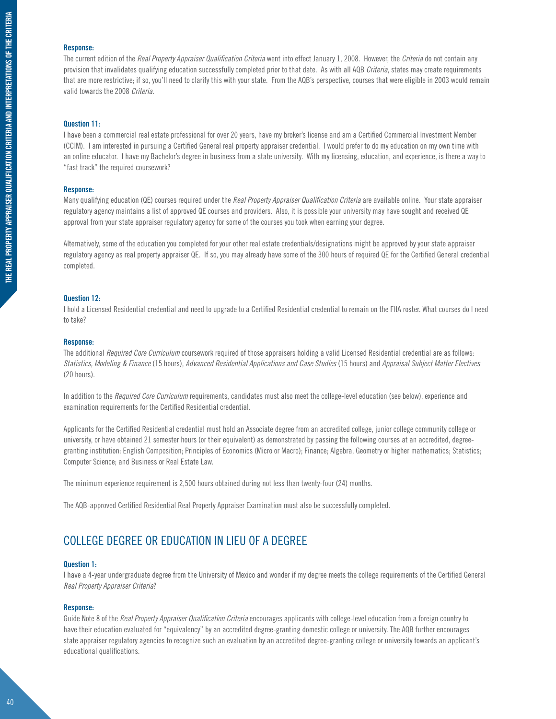# **Response:**

The current edition of the *Real Property Appraiser Qualification Criteria* went into effect January 1, 2008. However, the *Criteria* do not contain any provision that invalidates qualifying education successfully completed prior to that date. As with all AQB *Criteria*, states may create requirements that are more restrictive; if so, you'll need to clarify this with your state. From the AQB's perspective, courses that were eligible in 2003 would remain valid towards the 2008 *Criteria*.

# **Question 11:**

I have been a commercial real estate professional for over 20 years, have my broker's license and am a Certified Commercial Investment Member (CCIM). I am interested in pursuing a Certified General real property appraiser credential. I would prefer to do my education on my own time with an online educator. I have my Bachelor's degree in business from a state university. With my licensing, education, and experience, is there a way to "fast track" the required coursework?

## **Response:**

Many qualifying education (QE) courses required under the *Real Property Appraiser Qualification Criteria* are available online. Your state appraiser regulatory agency maintains a list of approved QE courses and providers. Also, it is possible your university may have sought and received QE approval from your state appraiser regulatory agency for some of the courses you took when earning your degree.

Alternatively, some of the education you completed for your other real estate credentials/designations might be approved by your state appraiser regulatory agency as real property appraiser QE. If so, you may already have some of the 300 hours of required QE for the Certified General credential completed.

# **Question 12:**

I hold a Licensed Residential credential and need to upgrade to a Certified Residential credential to remain on the FHA roster. What courses do I need to take?

### **Response:**

The additional *Required Core Curriculum* coursework required of those appraisers holding a valid Licensed Residential credential are as follows: *Statistics, Modeling & Finance* (15 hours), *Advanced Residential Applications and Case Studies* (15 hours) and *Appraisal Subject Matter Electives* (20 hours).

In addition to the *Required Core Curriculum* requirements, candidates must also meet the college-level education (see below), experience and examination requirements for the Certified Residential credential.

Applicants for the Certified Residential credential must hold an Associate degree from an accredited college, junior college community college or university, or have obtained 21 semester hours (or their equivalent) as demonstrated by passing the following courses at an accredited, degreegranting institution: English Composition; Principles of Economics (Micro or Macro); Finance; Algebra, Geometry or higher mathematics; Statistics; Computer Science; and Business or Real Estate Law.

The minimum experience requirement is 2,500 hours obtained during not less than twenty-four (24) months.

The AQB-approved Certified Residential Real Property Appraiser Examination must also be successfully completed.

# College Degree or Education in lieu of a degree

# **Question 1:**

I have a 4-year undergraduate degree from the University of Mexico and wonder if my degree meets the college requirements of the Certified General *Real Property Appraiser Criteria*?

### **Response:**

Guide Note 8 of the *Real Property Appraiser Qualification Criteria* encourages applicants with college-level education from a foreign country to have their education evaluated for "equivalency" by an accredited degree-granting domestic college or university. The AQB further encourages state appraiser regulatory agencies to recognize such an evaluation by an accredited degree-granting college or university towards an applicant's educational qualifications.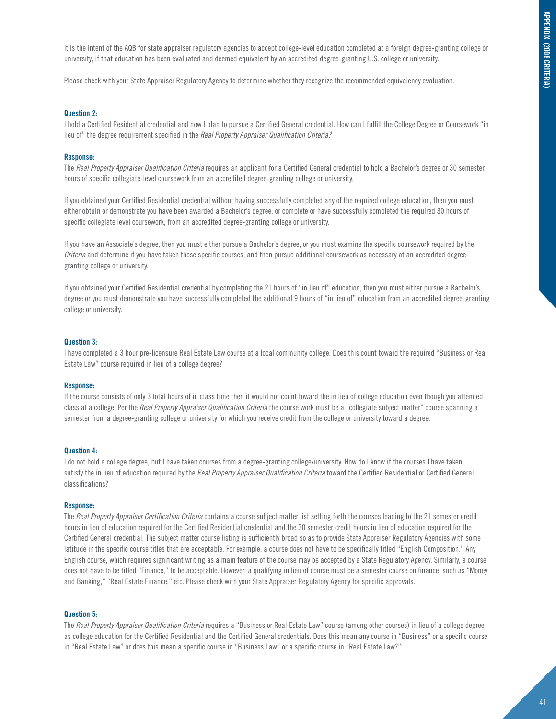It is the intent of the AQB for state appraiser regulatory agencies to accept college-level education completed at a foreign degree-granting college or university, if that education has been evaluated and deemed equivalent by an accredited degree-granting U.S. college or university.

Please check with your State Appraiser Regulatory Agency to determine whether they recognize the recommended equivalency evaluation.

# **Question 2:**

I hold a Certified Residential credential and now I plan to pursue a Certified General credential. How can I fulfill the College Degree or Coursework "in lieu of" the degree requirement specified in the *Real Property Appraiser Qualification Criteria?*

# **Response:**

The *Real Property Appraiser Qualification Criteria* requires an applicant for a Certified General credential to hold a Bachelor's degree or 30 semester hours of specific collegiate-level coursework from an accredited degree-granting college or university.

If you obtained your Certified Residential credential without having successfully completed any of the required college education, then you must either obtain or demonstrate you have been awarded a Bachelor's degree, or complete or have successfully completed the required 30 hours of specific collegiate level coursework, from an accredited degree-granting college or university.

If you have an Associate's degree, then you must either pursue a Bachelor's degree, or you must examine the specific coursework required by the *Criteria* and determine if you have taken those specific courses, and then pursue additional coursework as necessary at an accredited degreegranting college or university.

If you obtained your Certified Residential credential by completing the 21 hours of "in lieu of" education, then you must either pursue a Bachelor's degree or you must demonstrate you have successfully completed the additional 9 hours of "in lieu of" education from an accredited degree-granting college or university.

# **Question 3:**

I have completed a 3 hour pre-licensure Real Estate Law course at a local community college. Does this count toward the required "Business or Real Estate Law" course required in lieu of a college degree?

## **Response:**

If the course consists of only 3 total hours of in class time then it would not count toward the in lieu of college education even though you attended class at a college. Per the *Real Property Appraiser Qualification Criteria* the course work must be a "collegiate subject matter" course spanning a semester from a degree-granting college or university for which you receive credit from the college or university toward a degree.

# **Question 4:**

I do not hold a college degree, but I have taken courses from a degree-granting college/university. How do I know if the courses I have taken satisfy the in lieu of education required by the *Real Property Appraiser Qualification Criteria* toward the Certified Residential or Certified General classifications?

## **Response:**

The *Real Property Appraiser Certification Criteria* contains a course subject matter list setting forth the courses leading to the 21 semester credit hours in lieu of education required for the Certified Residential credential and the 30 semester credit hours in lieu of education required for the Certified General credential. The subject matter course listing is sufficiently broad so as to provide State Appraiser Regulatory Agencies with some latitude in the specific course titles that are acceptable. For example, a course does not have to be specifically titled "English Composition." Any English course, which requires significant writing as a main feature of the course may be accepted by a State Regulatory Agency. Similarly, a course does not have to be titled "Finance," to be acceptable. However, a qualifying in lieu of course must be a semester course on finance, such as "Money and Banking," "Real Estate Finance," etc. Please check with your State Appraiser Regulatory Agency for specific approvals.

# **Question 5:**

The *Real Property Appraiser Qualification Criteria* requires a "Business or Real Estate Law" course (among other courses) in lieu of a college degree as college education for the Certified Residential and the Certified General credentials. Does this mean any course in "Business" or a specific course in "Real Estate Law" or does this mean a specific course in "Business Law" or a specific course in "Real Estate Law?"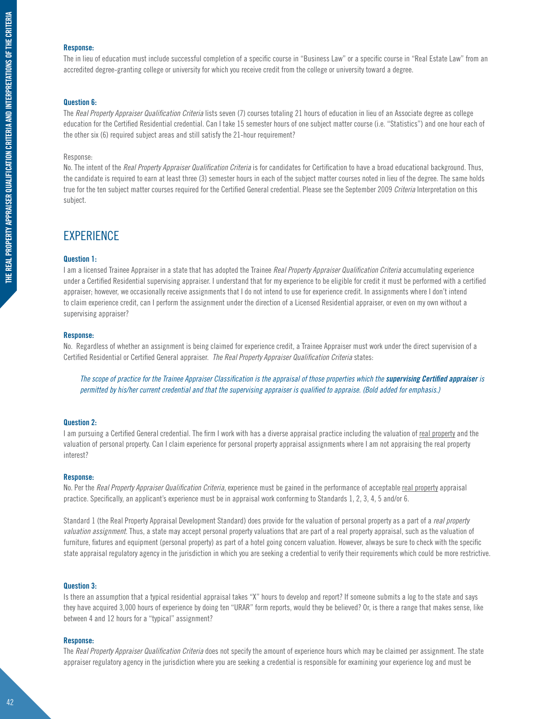# **Response:**

The in lieu of education must include successful completion of a specific course in "Business Law" or a specific course in "Real Estate Law" from an accredited degree-granting college or university for which you receive credit from the college or university toward a degree.

## **Question 6:**

The *Real Property Appraiser Qualification Criteria* lists seven (7) courses totaling 21 hours of education in lieu of an Associate degree as college education for the Certified Residential credential. Can I take 15 semester hours of one subject matter course (i.e. "Statistics") and one hour each of the other six (6) required subject areas and still satisfy the 21-hour requirement?

# Response:

No. The intent of the *Real Property Appraiser Qualification Criteria* is for candidates for Certification to have a broad educational background. Thus, the candidate is required to earn at least three (3) semester hours in each of the subject matter courses noted in lieu of the degree. The same holds true for the ten subject matter courses required for the Certified General credential. Please see the September 2009 *Criteria* Interpretation on this subject.

# **EXPERIENCE**

# **Question 1:**

I am a licensed Trainee Appraiser in a state that has adopted the Trainee *Real Property Appraiser Qualification Criteria* accumulating experience under a Certified Residential supervising appraiser. I understand that for my experience to be eligible for credit it must be performed with a certified appraiser; however, we occasionally receive assignments that I do not intend to use for experience credit. In assignments where I don't intend to claim experience credit, can I perform the assignment under the direction of a Licensed Residential appraiser, or even on my own without a supervising appraiser?

## **Response:**

No. Regardless of whether an assignment is being claimed for experience credit, a Trainee Appraiser must work under the direct supervision of a Certified Residential or Certified General appraiser. *The Real Property Appraiser Qualification Criteria* states:

The scope of practice for the Trainee Appraiser Classification is the appraisal of those properties which the **supervising Certified appraiser** is *permitted by his/her current credential and that the supervising appraiser is qualified to appraise. (Bold added for emphasis.)*

# **Question 2:**

I am pursuing a Certified General credential. The firm I work with has a diverse appraisal practice including the valuation of real property and the valuation of personal property. Can I claim experience for personal property appraisal assignments where I am not appraising the real property interest?

# **Response:**

No. Per the *Real Property Appraiser Qualification Criteria*, experience must be gained in the performance of acceptable real property appraisal practice. Specifically, an applicant's experience must be in appraisal work conforming to Standards 1, 2, 3, 4, 5 and/or 6.

Standard 1 (the Real Property Appraisal Development Standard) does provide for the valuation of personal property as a part of a *real property valuation assignment*. Thus, a state may accept personal property valuations that are part of a real property appraisal, such as the valuation of furniture, fixtures and equipment (personal property) as part of a hotel going concern valuation. However, always be sure to check with the specific state appraisal regulatory agency in the jurisdiction in which you are seeking a credential to verify their requirements which could be more restrictive.

## **Question 3:**

Is there an assumption that a typical residential appraisal takes "X" hours to develop and report? If someone submits a log to the state and says they have acquired 3,000 hours of experience by doing ten "URAR" form reports, would they be believed? Or, is there a range that makes sense, like between 4 and 12 hours for a "typical" assignment?

# **Response:**

The *Real Property Appraiser Qualification Criteria* does not specify the amount of experience hours which may be claimed per assignment. The state appraiser regulatory agency in the jurisdiction where you are seeking a credential is responsible for examining your experience log and must be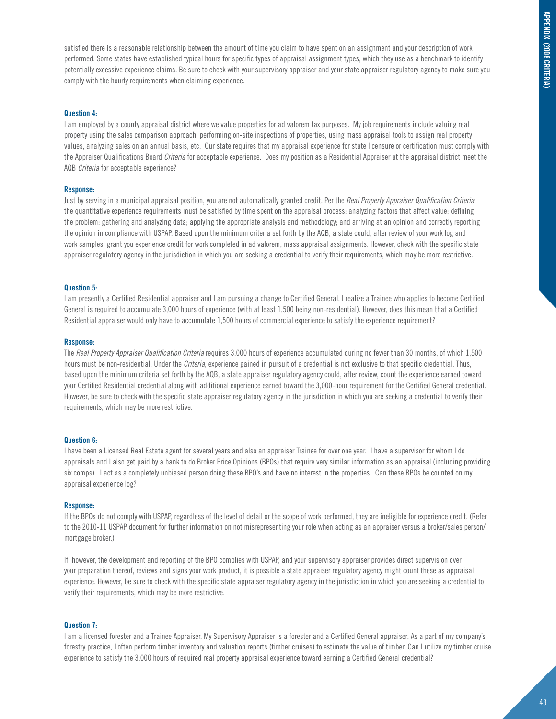satisfied there is a reasonable relationship between the amount of time you claim to have spent on an assignment and your description of work performed. Some states have established typical hours for specific types of appraisal assignment types, which they use as a benchmark to identify potentially excessive experience claims. Be sure to check with your supervisory appraiser and your state appraiser regulatory agency to make sure you comply with the hourly requirements when claiming experience.

# **Question 4:**

I am employed by a county appraisal district where we value properties for ad valorem tax purposes. My job requirements include valuing real property using the sales comparison approach, performing on-site inspections of properties, using mass appraisal tools to assign real property values, analyzing sales on an annual basis, etc. Our state requires that my appraisal experience for state licensure or certification must comply with the Appraiser Qualifications Board *Criteria* for acceptable experience. Does my position as a Residential Appraiser at the appraisal district meet the AQB *Criteria* for acceptable experience?

# **Response:**

Just by serving in a municipal appraisal position, you are not automatically granted credit. Per the *Real Property Appraiser Qualification Criteria* the quantitative experience requirements must be satisfied by time spent on the appraisal process: analyzing factors that affect value; defining the problem; gathering and analyzing data; applying the appropriate analysis and methodology; and arriving at an opinion and correctly reporting the opinion in compliance with USPAP. Based upon the minimum criteria set forth by the AQB, a state could, after review of your work log and work samples, grant you experience credit for work completed in ad valorem, mass appraisal assignments. However, check with the specific state appraiser regulatory agency in the jurisdiction in which you are seeking a credential to verify their requirements, which may be more restrictive.

# **Question 5:**

I am presently a Certified Residential appraiser and I am pursuing a change to Certified General. I realize a Trainee who applies to become Certified General is required to accumulate 3,000 hours of experience (with at least 1,500 being non-residential). However, does this mean that a Certified Residential appraiser would only have to accumulate 1,500 hours of commercial experience to satisfy the experience requirement?

# **Response:**

The *Real Property Appraiser Qualification Criteria* requires 3,000 hours of experience accumulated during no fewer than 30 months, of which 1,500 hours must be non-residential. Under the *Criteria*, experience gained in pursuit of a credential is not exclusive to that specific credential. Thus, based upon the minimum criteria set forth by the AQB, a state appraiser regulatory agency could, after review, count the experience earned toward your Certified Residential credential along with additional experience earned toward the 3,000-hour requirement for the Certified General credential. However, be sure to check with the specific state appraiser regulatory agency in the jurisdiction in which you are seeking a credential to verify their requirements, which may be more restrictive.

# **Question 6:**

I have been a Licensed Real Estate agent for several years and also an appraiser Trainee for over one year. I have a supervisor for whom I do appraisals and I also get paid by a bank to do Broker Price Opinions (BPOs) that require very similar information as an appraisal (including providing six comps). I act as a completely unbiased person doing these BPO's and have no interest in the properties. Can these BPOs be counted on my appraisal experience log?

## **Response:**

If the BPOs do not comply with USPAP, regardless of the level of detail or the scope of work performed, they are ineligible for experience credit. (Refer to the 2010-11 USPAP document for further information on not misrepresenting your role when acting as an appraiser versus a broker/sales person/ mortgage broker.)

If, however, the development and reporting of the BPO complies with USPAP, and your supervisory appraiser provides direct supervision over your preparation thereof, reviews and signs your work product, it is possible a state appraiser regulatory agency might count these as appraisal experience. However, be sure to check with the specific state appraiser regulatory agency in the jurisdiction in which you are seeking a credential to verify their requirements, which may be more restrictive.

# **Question 7:**

I am a licensed forester and a Trainee Appraiser. My Supervisory Appraiser is a forester and a Certified General appraiser. As a part of my company's forestry practice, I often perform timber inventory and valuation reports (timber cruises) to estimate the value of timber. Can I utilize my timber cruise experience to satisfy the 3,000 hours of required real property appraisal experience toward earning a Certified General credential?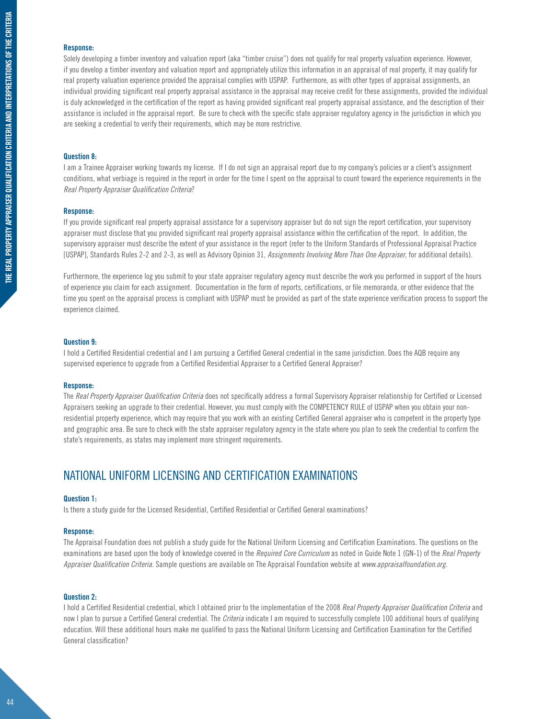# **Response:**

Solely developing a timber inventory and valuation report (aka "timber cruise") does not qualify for real property valuation experience. However, if you develop a timber inventory and valuation report and appropriately utilize this information in an appraisal of real property, it may qualify for real property valuation experience provided the appraisal complies with USPAP. Furthermore, as with other types of appraisal assignments, an individual providing significant real property appraisal assistance in the appraisal may receive credit for these assignments, provided the individual is duly acknowledged in the certification of the report as having provided significant real property appraisal assistance, and the description of their assistance is included in the appraisal report. Be sure to check with the specific state appraiser regulatory agency in the jurisdiction in which you are seeking a credential to verify their requirements, which may be more restrictive.

# **Question 8:**

I am a Trainee Appraiser working towards my license. If I do not sign an appraisal report due to my company's policies or a client's assignment conditions, what verbiage is required in the report in order for the time I spent on the appraisal to count toward the experience requirements in the *Real Property Appraiser Qualification Criteria*?

## **Response:**

If you provide significant real property appraisal assistance for a supervisory appraiser but do not sign the report certification, your supervisory appraiser must disclose that you provided significant real property appraisal assistance within the certification of the report. In addition, the supervisory appraiser must describe the extent of your assistance in the report (refer to the Uniform Standards of Professional Appraisal Practice [USPAP], Standards Rules 2-2 and 2-3, as well as Advisory Opinion 31, *Assignments Involving More Than One Appraiser*, for additional details).

Furthermore, the experience log you submit to your state appraiser regulatory agency must describe the work you performed in support of the hours of experience you claim for each assignment. Documentation in the form of reports, certifications, or file memoranda, or other evidence that the time you spent on the appraisal process is compliant with USPAP must be provided as part of the state experience verification process to support the experience claimed.

# **Question 9:**

I hold a Certified Residential credential and I am pursuing a Certified General credential in the same jurisdiction. Does the AQB require any supervised experience to upgrade from a Certified Residential Appraiser to a Certified General Appraiser?

## **Response:**

The *Real Property Appraiser Qualification Criteria* does not specifically address a formal Supervisory Appraiser relationship for Certified or Licensed Appraisers seeking an upgrade to their credential. However, you must comply with the COMPETENCY RULE of USPAP when you obtain your nonresidential property experience, which may require that you work with an existing Certified General appraiser who is competent in the property type and geographic area. Be sure to check with the state appraiser regulatory agency in the state where you plan to seek the credential to confirm the state's requirements, as states may implement more stringent requirements.

# national uniform licensing and certification examinations

# **Question 1:**

Is there a study guide for the Licensed Residential, Certified Residential or Certified General examinations?

## **Response:**

The Appraisal Foundation does not publish a study guide for the National Uniform Licensing and Certification Examinations. The questions on the examinations are based upon the body of knowledge covered in the *Required Core Curriculum* as noted in Guide Note 1 (GN-1) of the *Real Property Appraiser Qualification Criteria*. Sample questions are available on The Appraisal Foundation website at *www.appraisalfoundation.org.*

# **Question 2:**

I hold a Certified Residential credential, which I obtained prior to the implementation of the 2008 *Real Property Appraiser Qualification Criteria* and now I plan to pursue a Certified General credential. The *Criteria* indicate I am required to successfully complete 100 additional hours of qualifying education. Will these additional hours make me qualified to pass the National Uniform Licensing and Certification Examination for the Certified General classification?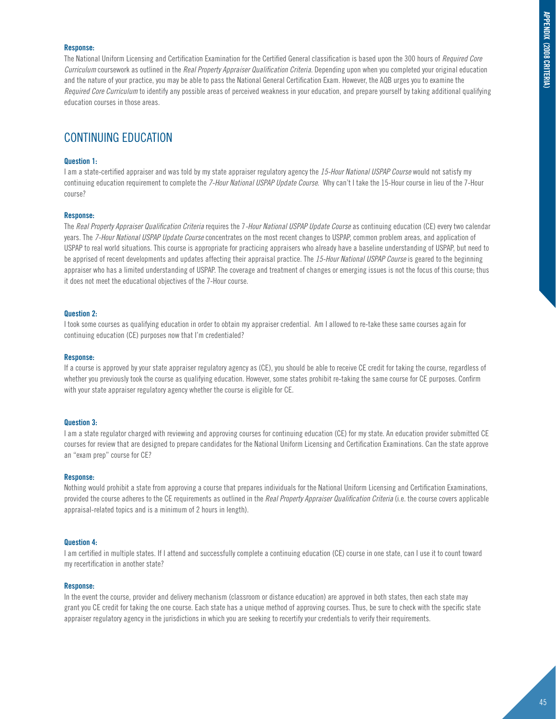# **Response:**

The National Uniform Licensing and Certification Examination for the Certified General classification is based upon the 300 hours of *Required Core Curriculum* coursework as outlined in the *Real Property Appraiser Qualification Criteria*. Depending upon when you completed your original education and the nature of your practice, you may be able to pass the National General Certification Exam. However, the AQB urges you to examine the *Required Core Curriculum* to identify any possible areas of perceived weakness in your education, and prepare yourself by taking additional qualifying education courses in those areas.

# CONTINUING EDUCATION

# **Question 1:**

I am a state-certified appraiser and was told by my state appraiser regulatory agency the *15-Hour National USPAP Course* would not satisfy my continuing education requirement to complete the *7-Hour National USPAP Update Course*. Why can't I take the 15-Hour course in lieu of the 7-Hour course?

# **Response:**

The *Real Property Appraiser Qualification Criteria* requires the 7*-Hour National USPAP Update Course* as continuing education (CE) every two calendar years. The *7-Hour National USPAP Update Course* concentrates on the most recent changes to USPAP, common problem areas, and application of USPAP to real world situations. This course is appropriate for practicing appraisers who already have a baseline understanding of USPAP, but need to be apprised of recent developments and updates affecting their appraisal practice. The *15-Hour National USPAP Course* is geared to the beginning appraiser who has a limited understanding of USPAP. The coverage and treatment of changes or emerging issues is not the focus of this course; thus it does not meet the educational objectives of the 7-Hour course.

# **Question 2:**

I took some courses as qualifying education in order to obtain my appraiser credential. Am I allowed to re-take these same courses again for continuing education (CE) purposes now that I'm credentialed?

## **Response:**

If a course is approved by your state appraiser regulatory agency as (CE), you should be able to receive CE credit for taking the course, regardless of whether you previously took the course as qualifying education. However, some states prohibit re-taking the same course for CE purposes. Confirm with your state appraiser regulatory agency whether the course is eligible for CE.

# **Question 3:**

I am a state regulator charged with reviewing and approving courses for continuing education (CE) for my state. An education provider submitted CE courses for review that are designed to prepare candidates for the National Uniform Licensing and Certification Examinations. Can the state approve an "exam prep" course for CE?

## **Response:**

Nothing would prohibit a state from approving a course that prepares individuals for the National Uniform Licensing and Certification Examinations, provided the course adheres to the CE requirements as outlined in the *Real Property Appraiser Qualification Criteria* (i.e. the course covers applicable appraisal-related topics and is a minimum of 2 hours in length).

# **Question 4:**

I am certified in multiple states. If I attend and successfully complete a continuing education (CE) course in one state, can I use it to count toward my recertification in another state?

## **Response:**

In the event the course, provider and delivery mechanism (classroom or distance education) are approved in both states, then each state may grant you CE credit for taking the one course. Each state has a unique method of approving courses. Thus, be sure to check with the specific state appraiser regulatory agency in the jurisdictions in which you are seeking to recertify your credentials to verify their requirements.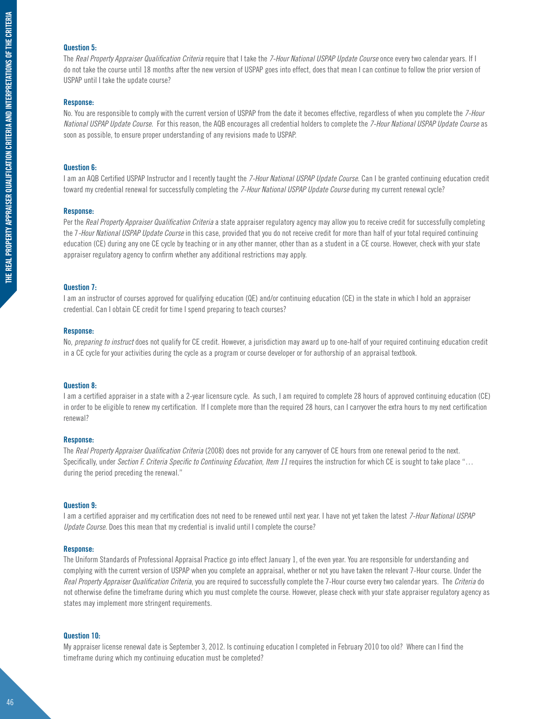# **Question 5:**

The *Real Property Appraiser Qualification Criteria* require that I take the *7-Hour National USPAP Update Course* once every two calendar years. If I do not take the course until 18 months after the new version of USPAP goes into effect, does that mean I can continue to follow the prior version of USPAP until I take the update course?

# **Response:**

No. You are responsible to comply with the current version of USPAP from the date it becomes effective, regardless of when you complete the *7-Hour National USPAP Update Course*. For this reason, the AQB encourages all credential holders to complete the *7-Hour National USPAP Update Course* as soon as possible, to ensure proper understanding of any revisions made to USPAP.

# **Question 6:**

I am an AQB Certified USPAP Instructor and I recently taught the *7-Hour National USPAP Update Course*. Can I be granted continuing education credit toward my credential renewal for successfully completing the *7-Hour National USPAP Update Course* during my current renewal cycle?

# **Response:**

Per the *Real Property Appraiser Qualification Criteria* a state appraiser regulatory agency may allow you to receive credit for successfully completing the 7*-Hour National USPAP Update Course* in this case, provided that you do not receive credit for more than half of your total required continuing education (CE) during any one CE cycle by teaching or in any other manner, other than as a student in a CE course. However, check with your state appraiser regulatory agency to confirm whether any additional restrictions may apply.

# **Question 7:**

I am an instructor of courses approved for qualifying education (QE) and/or continuing education (CE) in the state in which I hold an appraiser credential. Can I obtain CE credit for time I spend preparing to teach courses?

# **Response:**

No, *preparing to instruct* does not qualify for CE credit. However, a jurisdiction may award up to one-half of your required continuing education credit in a CE cycle for your activities during the cycle as a program or course developer or for authorship of an appraisal textbook.

# **Question 8:**

I am a certified appraiser in a state with a 2-year licensure cycle. As such, I am required to complete 28 hours of approved continuing education (CE) in order to be eligible to renew my certification. If I complete more than the required 28 hours, can I carryover the extra hours to my next certification renewal?

# **Response:**

The *Real Property Appraiser Qualification Criteria* (2008) does not provide for any carryover of CE hours from one renewal period to the next. Specifically, under *Section F. Criteria Specific to Continuing Education, Item 11* requires the instruction for which CE is sought to take place "... during the period preceding the renewal."

# **Question 9:**

I am a certified appraiser and my certification does not need to be renewed until next year. I have not yet taken the latest *7-Hour National USPAP Update Course*. Does this mean that my credential is invalid until I complete the course?

# **Response:**

The Uniform Standards of Professional Appraisal Practice go into effect January 1, of the even year. You are responsible for understanding and complying with the current version of USPAP when you complete an appraisal, whether or not you have taken the relevant 7-Hour course. Under the *Real Property Appraiser Qualification Criteria*, you are required to successfully complete the 7-Hour course every two calendar years. The *Criteria* do not otherwise define the timeframe during which you must complete the course. However, please check with your state appraiser regulatory agency as states may implement more stringent requirements.

# **Question 10:**

My appraiser license renewal date is September 3, 2012. Is continuing education I completed in February 2010 too old? Where can I find the timeframe during which my continuing education must be completed?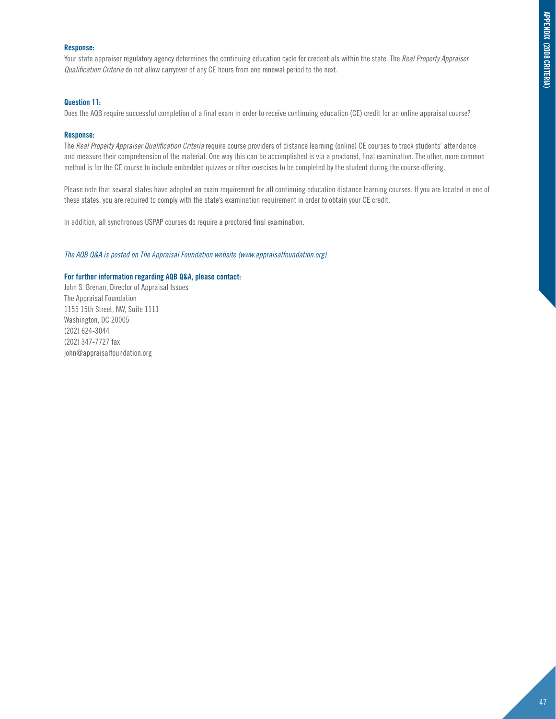# **Response:**

Your state appraiser regulatory agency determines the continuing education cycle for credentials within the state. The *Real Property Appraiser Qualification Criteria* do not allow carryover of any CE hours from one renewal period to the next.

# **Question 11:**

Does the AQB require successful completion of a final exam in order to receive continuing education (CE) credit for an online appraisal course?

# **Response:**

The *Real Property Appraiser Qualification Criteria* require course providers of distance learning (online) CE courses to track students' attendance and measure their comprehension of the material. One way this can be accomplished is via a proctored, final examination. The other, more common method is for the CE course to include embedded quizzes or other exercises to be completed by the student during the course offering.

Please note that several states have adopted an exam requirement for all continuing education distance learning courses. If you are located in one of these states, you are required to comply with the state's examination requirement in order to obtain your CE credit.

In addition, all synchronous USPAP courses do require a proctored final examination.

# *The AQB Q&A is posted on The Appraisal Foundation website (www.appraisalfoundation.org)*

# **For further information regarding AQB Q&A, please contact:**

John S. Brenan, Director of Appraisal Issues The Appraisal Foundation 1155 15th Street, NW, Suite 1111 Washington, DC 20005 (202) 624-3044 (202) 347-7727 fax john@appraisalfoundation.org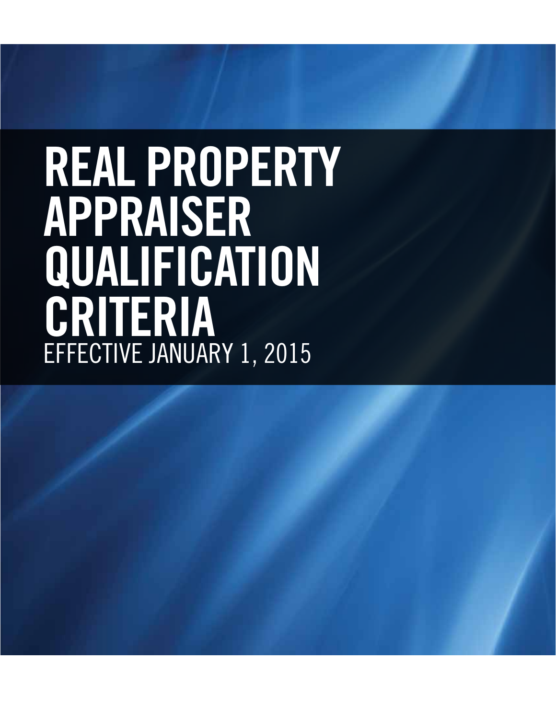# **REAL PROPERTY APPRAISER QUALIFICATION CRITERIA** EFFECTIVE JANUARY 1, 2015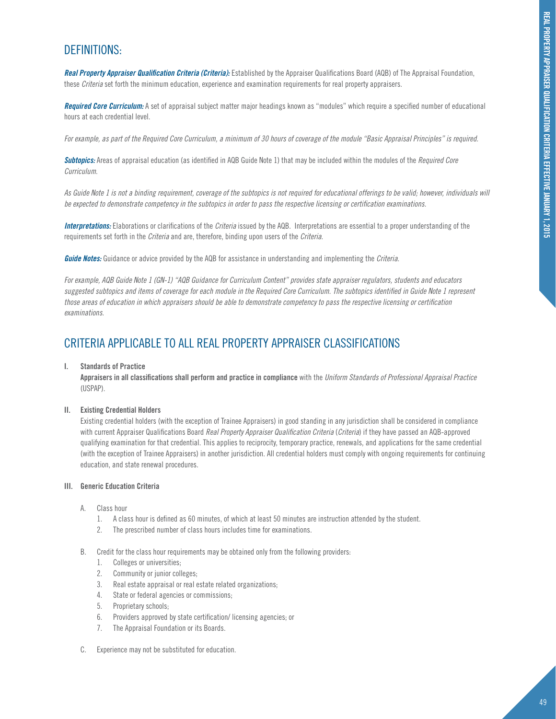# DEFINITIONS:

*Real Property Appraiser Qualification Criteria (Criteria):* Established by the Appraiser Qualifications Board (AQB) of The Appraisal Foundation, these *Criteria* set forth the minimum education, experience and examination requirements for real property appraisers.

*Required Core Curriculum:* A set of appraisal subject matter major headings known as "modules" which require a specified number of educational hours at each credential level.

*For example, as part of the Required Core Curriculum, a minimum of 30 hours of coverage of the module "Basic Appraisal Principles" is required.*

*Subtopics:* Areas of appraisal education (as identified in AQB Guide Note 1) that may be included within the modules of the *Required Core Curriculum*.

*As Guide Note 1 is not a binding requirement, coverage of the subtopics is not required for educational offerings to be valid; however, individuals will be expected to demonstrate competency in the subtopics in order to pass the respective licensing or certification examinations.*

*Interpretations:* Elaborations or clarifications of the *Criteria* issued by the AQB. Interpretations are essential to a proper understanding of the requirements set forth in the *Criteria* and are, therefore, binding upon users of the *Criteria*.

*Guide Notes:* Guidance or advice provided by the AQB for assistance in understanding and implementing the *Criteria*.

*For example, AQB Guide Note 1 (GN-1) "AQB Guidance for Curriculum Content" provides state appraiser regulators, students and educators suggested subtopics and items of coverage for each module in the Required Core Curriculum. The subtopics identified in Guide Note 1 represent those areas of education in which appraisers should be able to demonstrate competency to pass the respective licensing or certification examinations.* 

# CRITERIA APPLICABLE TO ALL REAL PROPERTY APPRAISER CLASSIFICATIONS

# **I. Standards of Practice**

**Appraisers in all classifications shall perform and practice in compliance** with the *Uniform Standards of Professional Appraisal Practice* (USPAP).

# **II. Existing Credential Holders**

Existing credential holders (with the exception of Trainee Appraisers) in good standing in any jurisdiction shall be considered in compliance with current Appraiser Qualifications Board *Real Property Appraiser Qualification Criteria* (*Criteria*) if they have passed an AQB-approved qualifying examination for that credential. This applies to reciprocity, temporary practice, renewals, and applications for the same credential (with the exception of Trainee Appraisers) in another jurisdiction. All credential holders must comply with ongoing requirements for continuing education, and state renewal procedures.

# **III. Generic Education Criteria**

- A. Class hour
	- 1. A class hour is defined as 60 minutes, of which at least 50 minutes are instruction attended by the student.
	- 2. The prescribed number of class hours includes time for examinations.
- B. Credit for the class hour requirements may be obtained only from the following providers:
	- 1. Colleges or universities;
	- 2. Community or junior colleges;
	- 3. Real estate appraisal or real estate related organizations;
	- 4. State or federal agencies or commissions;
	- 5. Proprietary schools;
	- 6. Providers approved by state certification/ licensing agencies; or
	- 7. The Appraisal Foundation or its Boards.
- C. Experience may not be substituted for education.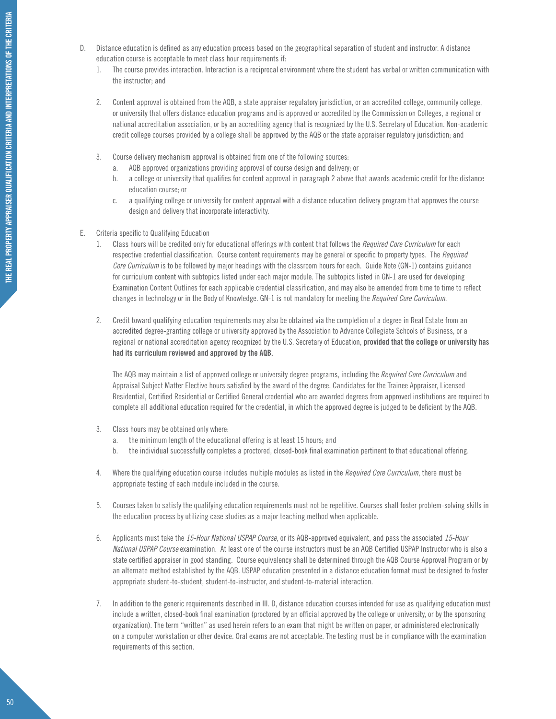- D. Distance education is defined as any education process based on the geographical separation of student and instructor. A distance education course is acceptable to meet class hour requirements if:
	- 1. The course provides interaction. Interaction is a reciprocal environment where the student has verbal or written communication with the instructor; and
	- 2. Content approval is obtained from the AQB, a state appraiser regulatory jurisdiction, or an accredited college, community college, or university that offers distance education programs and is approved or accredited by the Commission on Colleges, a regional or national accreditation association, or by an accrediting agency that is recognized by the U.S. Secretary of Education. Non-academic credit college courses provided by a college shall be approved by the AQB or the state appraiser regulatory jurisdiction; and
	- 3. Course delivery mechanism approval is obtained from one of the following sources:
		- a. AQB approved organizations providing approval of course design and delivery; or
		- b. a college or university that qualifies for content approval in paragraph 2 above that awards academic credit for the distance education course; or
		- c. a qualifying college or university for content approval with a distance education delivery program that approves the course design and delivery that incorporate interactivity.
- E. Criteria specific to Qualifying Education
	- 1. Class hours will be credited only for educational offerings with content that follows the *Required Core Curriculum* for each respective credential classification. Course content requirements may be general or specific to property types. The *Required Core Curriculum* is to be followed by major headings with the classroom hours for each. Guide Note (GN-1) contains guidance for curriculum content with subtopics listed under each major module. The subtopics listed in GN-1 are used for developing Examination Content Outlines for each applicable credential classification, and may also be amended from time to time to reflect changes in technology or in the Body of Knowledge. GN-1 is not mandatory for meeting the *Required Core Curriculum*.
	- 2. Credit toward qualifying education requirements may also be obtained via the completion of a degree in Real Estate from an accredited degree-granting college or university approved by the Association to Advance Collegiate Schools of Business, or a regional or national accreditation agency recognized by the U.S. Secretary of Education, **provided that the college or university has had its curriculum reviewed and approved by the AQB.**

The AQB may maintain a list of approved college or university degree programs, including the *Required Core Curriculum* and Appraisal Subject Matter Elective hours satisfied by the award of the degree. Candidates for the Trainee Appraiser, Licensed Residential, Certified Residential or Certified General credential who are awarded degrees from approved institutions are required to complete all additional education required for the credential, in which the approved degree is judged to be deficient by the AQB.

- 3. Class hours may be obtained only where:
	- a. the minimum length of the educational offering is at least 15 hours; and
	- b. the individual successfully completes a proctored, closed-book final examination pertinent to that educational offering.
- 4. Where the qualifying education course includes multiple modules as listed in the *Required Core Curriculum*, there must be appropriate testing of each module included in the course.
- 5. Courses taken to satisfy the qualifying education requirements must not be repetitive. Courses shall foster problem-solving skills in the education process by utilizing case studies as a major teaching method when applicable.
- 6. Applicants must take the *15-Hour National USPAP Course*, or its AQB-approved equivalent, and pass the associated *15-Hour National USPAP Course* examination. At least one of the course instructors must be an AQB Certified USPAP Instructor who is also a state certified appraiser in good standing. Course equivalency shall be determined through the AQB Course Approval Program or by an alternate method established by the AQB. USPAP education presented in a distance education format must be designed to foster appropriate student-to-student, student-to-instructor, and student-to-material interaction.
- 7. In addition to the generic requirements described in III. D, distance education courses intended for use as qualifying education must include a written, closed-book final examination (proctored by an official approved by the college or university, or by the sponsoring organization). The term "written" as used herein refers to an exam that might be written on paper, or administered electronically on a computer workstation or other device. Oral exams are not acceptable. The testing must be in compliance with the examination requirements of this section.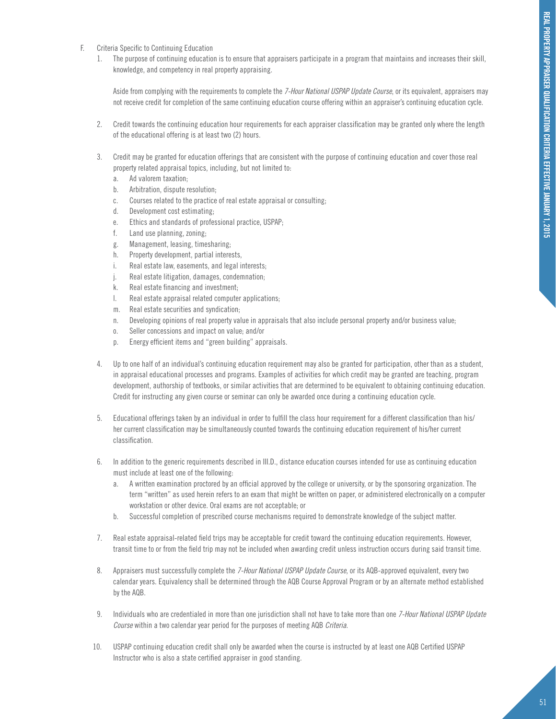- F. Criteria Specific to Continuing Education
	- 1. The purpose of continuing education is to ensure that appraisers participate in a program that maintains and increases their skill, knowledge, and competency in real property appraising.

Aside from complying with the requirements to complete the *7-Hour National USPAP Update Course*, or its equivalent, appraisers may not receive credit for completion of the same continuing education course offering within an appraiser's continuing education cycle.

- 2. Credit towards the continuing education hour requirements for each appraiser classification may be granted only where the length of the educational offering is at least two (2) hours.
- 3. Credit may be granted for education offerings that are consistent with the purpose of continuing education and cover those real property related appraisal topics, including, but not limited to:
	- a. Ad valorem taxation;
	- b. Arbitration, dispute resolution;
	- c. Courses related to the practice of real estate appraisal or consulting;
	- d. Development cost estimating;
	- e. Ethics and standards of professional practice, USPAP;
	- f. Land use planning, zoning;
	- g. Management, leasing, timesharing;
	- h. Property development, partial interests,
	- i. Real estate law, easements, and legal interests;
	- j. Real estate litigation, damages, condemnation;
	- k. Real estate financing and investment;
	- l. Real estate appraisal related computer applications;
	- m. Real estate securities and syndication;
	- n. Developing opinions of real property value in appraisals that also include personal property and/or business value;
	- o. Seller concessions and impact on value; and/or
	- p. Energy efficient items and "green building" appraisals.
- 4. Up to one half of an individual's continuing education requirement may also be granted for participation, other than as a student, in appraisal educational processes and programs. Examples of activities for which credit may be granted are teaching, program development, authorship of textbooks, or similar activities that are determined to be equivalent to obtaining continuing education. Credit for instructing any given course or seminar can only be awarded once during a continuing education cycle.
- 5. Educational offerings taken by an individual in order to fulfill the class hour requirement for a different classification than his/ her current classification may be simultaneously counted towards the continuing education requirement of his/her current classification.
- 6. In addition to the generic requirements described in III.D., distance education courses intended for use as continuing education must include at least one of the following:
	- a. A written examination proctored by an official approved by the college or university, or by the sponsoring organization. The term "written" as used herein refers to an exam that might be written on paper, or administered electronically on a computer workstation or other device. Oral exams are not acceptable; or
	- b. Successful completion of prescribed course mechanisms required to demonstrate knowledge of the subject matter.
- 7. Real estate appraisal-related field trips may be acceptable for credit toward the continuing education requirements. However, transit time to or from the field trip may not be included when awarding credit unless instruction occurs during said transit time.
- 8. Appraisers must successfully complete the *7-Hour National USPAP Update Course*, or its AQB-approved equivalent, every two calendar years. Equivalency shall be determined through the AQB Course Approval Program or by an alternate method established by the AQB.
- 9. Individuals who are credentialed in more than one jurisdiction shall not have to take more than one *7-Hour National USPAP Update Course* within a two calendar year period for the purposes of meeting AQB *Criteria*.
- 10. USPAP continuing education credit shall only be awarded when the course is instructed by at least one AQB Certified USPAP Instructor who is also a state certified appraiser in good standing.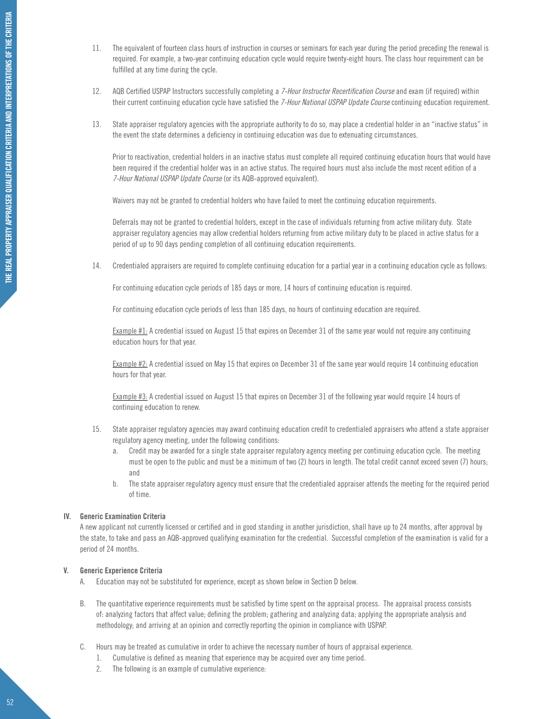- 11. The equivalent of fourteen class hours of instruction in courses or seminars for each year during the period preceding the renewal is required. For example, a two-year continuing education cycle would require twenty-eight hours. The class hour requirement can be fulfilled at any time during the cycle.
- 12. AQB Certified USPAP Instructors successfully completing a *7-Hour Instructor Recertification Course* and exam (if required) within their current continuing education cycle have satisfied the *7-Hour National USPAP Update Course* continuing education requirement.
- 13. State appraiser regulatory agencies with the appropriate authority to do so, may place a credential holder in an "inactive status" in the event the state determines a deficiency in continuing education was due to extenuating circumstances.

Prior to reactivation, credential holders in an inactive status must complete all required continuing education hours that would have been required if the credential holder was in an active status. The required hours must also include the most recent edition of a *7-Hour National USPAP Update Course* (or its AQB-approved equivalent).

Waivers may not be granted to credential holders who have failed to meet the continuing education requirements.

Deferrals may not be granted to credential holders, except in the case of individuals returning from active military duty. State appraiser regulatory agencies may allow credential holders returning from active military duty to be placed in active status for a period of up to 90 days pending completion of all continuing education requirements.

14. Credentialed appraisers are required to complete continuing education for a partial year in a continuing education cycle as follows:

For continuing education cycle periods of 185 days or more, 14 hours of continuing education is required.

For continuing education cycle periods of less than 185 days, no hours of continuing education are required.

Example #1: A credential issued on August 15 that expires on December 31 of the same year would not require any continuing education hours for that year.

Example #2: A credential issued on May 15 that expires on December 31 of the same year would require 14 continuing education hours for that year.

Example #3: A credential issued on August 15 that expires on December 31 of the following year would require 14 hours of continuing education to renew.

- 15. State appraiser regulatory agencies may award continuing education credit to credentialed appraisers who attend a state appraiser regulatory agency meeting, under the following conditions:
	- a. Credit may be awarded for a single state appraiser regulatory agency meeting per continuing education cycle. The meeting must be open to the public and must be a minimum of two (2) hours in length. The total credit cannot exceed seven (7) hours; and
	- b. The state appraiser regulatory agency must ensure that the credentialed appraiser attends the meeting for the required period of time.

# **IV. Generic Examination Criteria**

A new applicant not currently licensed or certified and in good standing in another jurisdiction, shall have up to 24 months, after approval by the state, to take and pass an AQB-approved qualifying examination for the credential. Successful completion of the examination is valid for a period of 24 months.

# **V. Generic Experience Criteria**

- A. Education may not be substituted for experience, except as shown below in Section D below.
- B. The quantitative experience requirements must be satisfied by time spent on the appraisal process. The appraisal process consists of: analyzing factors that affect value; defining the problem; gathering and analyzing data; applying the appropriate analysis and methodology; and arriving at an opinion and correctly reporting the opinion in compliance with USPAP.
- C. Hours may be treated as cumulative in order to achieve the necessary number of hours of appraisal experience.
	- 1. Cumulative is defined as meaning that experience may be acquired over any time period.
	- 2. The following is an example of cumulative experience: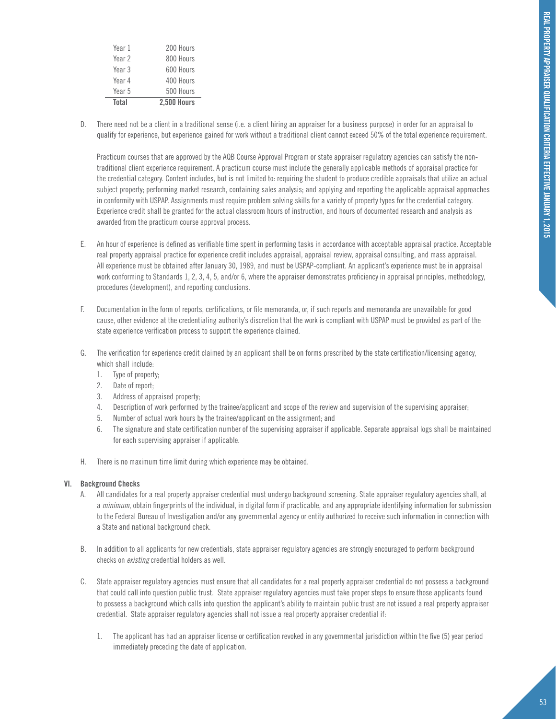| Total  | <b>2.500 Hours</b> |
|--------|--------------------|
| Year 5 | 500 Hours          |
| Year 4 | 400 Hours          |
| Year 3 | 600 Hours          |
| Year 2 | 800 Hours          |
| Year 1 | 200 Hours          |

D. There need not be a client in a traditional sense (i.e. a client hiring an appraiser for a business purpose) in order for an appraisal to qualify for experience, but experience gained for work without a traditional client cannot exceed 50% of the total experience requirement.

Practicum courses that are approved by the AQB Course Approval Program or state appraiser regulatory agencies can satisfy the nontraditional client experience requirement. A practicum course must include the generally applicable methods of appraisal practice for the credential category. Content includes, but is not limited to: requiring the student to produce credible appraisals that utilize an actual subject property; performing market research, containing sales analysis; and applying and reporting the applicable appraisal approaches in conformity with USPAP. Assignments must require problem solving skills for a variety of property types for the credential category. Experience credit shall be granted for the actual classroom hours of instruction, and hours of documented research and analysis as awarded from the practicum course approval process.

- E. An hour of experience is defined as verifiable time spent in performing tasks in accordance with acceptable appraisal practice. Acceptable real property appraisal practice for experience credit includes appraisal, appraisal review, appraisal consulting, and mass appraisal. All experience must be obtained after January 30, 1989, and must be USPAP-compliant. An applicant's experience must be in appraisal work conforming to Standards 1, 2, 3, 4, 5, and/or 6, where the appraiser demonstrates proficiency in appraisal principles, methodology, procedures (development), and reporting conclusions.
- F. Documentation in the form of reports, certifications, or file memoranda, or, if such reports and memoranda are unavailable for good cause, other evidence at the credentialing authority's discretion that the work is compliant with USPAP must be provided as part of the state experience verification process to support the experience claimed.
- G. The verification for experience credit claimed by an applicant shall be on forms prescribed by the state certification/licensing agency, which shall include:
	- 1. Type of property;
	- 2. Date of report;
	- 3. Address of appraised property;
	- 4. Description of work performed by the trainee/applicant and scope of the review and supervision of the supervising appraiser;
	- 5. Number of actual work hours by the trainee/applicant on the assignment; and
	- 6. The signature and state certification number of the supervising appraiser if applicable. Separate appraisal logs shall be maintained for each supervising appraiser if applicable.
- H. There is no maximum time limit during which experience may be obtained.

# **VI. Background Checks**

- A. All candidates for a real property appraiser credential must undergo background screening. State appraiser regulatory agencies shall, at a *minimum*, obtain fingerprints of the individual, in digital form if practicable, and any appropriate identifying information for submission to the Federal Bureau of Investigation and/or any governmental agency or entity authorized to receive such information in connection with a State and national background check.
- B. In addition to all applicants for new credentials, state appraiser regulatory agencies are strongly encouraged to perform background checks on *existing* credential holders as well.
- C. State appraiser regulatory agencies must ensure that all candidates for a real property appraiser credential do not possess a background that could call into question public trust. State appraiser regulatory agencies must take proper steps to ensure those applicants found to possess a background which calls into question the applicant's ability to maintain public trust are not issued a real property appraiser credential. State appraiser regulatory agencies shall not issue a real property appraiser credential if:
	- 1. The applicant has had an appraiser license or certification revoked in any governmental jurisdiction within the five (5) year period immediately preceding the date of application.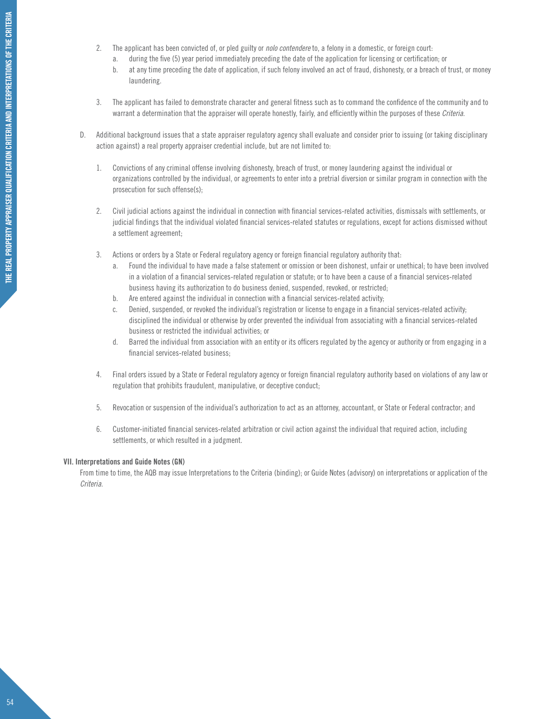- 2. The applicant has been convicted of, or pled guilty or *nolo contendere* to, a felony in a domestic, or foreign court:
	- a. during the five (5) year period immediately preceding the date of the application for licensing or certification; or
	- b. at any time preceding the date of application, if such felony involved an act of fraud, dishonesty, or a breach of trust, or money laundering.
- 3. The applicant has failed to demonstrate character and general fitness such as to command the confidence of the community and to warrant a determination that the appraiser will operate honestly, fairly, and efficiently within the purposes of these *Criteria*.
- D. Additional background issues that a state appraiser regulatory agency shall evaluate and consider prior to issuing (or taking disciplinary action against) a real property appraiser credential include, but are not limited to:
	- 1. Convictions of any criminal offense involving dishonesty, breach of trust, or money laundering against the individual or organizations controlled by the individual, or agreements to enter into a pretrial diversion or similar program in connection with the prosecution for such offense(s);
	- 2. Civil judicial actions against the individual in connection with financial services-related activities, dismissals with settlements, or judicial findings that the individual violated financial services-related statutes or regulations, except for actions dismissed without a settlement agreement;
	- 3. Actions or orders by a State or Federal regulatory agency or foreign financial regulatory authority that:
		- a. Found the individual to have made a false statement or omission or been dishonest, unfair or unethical; to have been involved in a violation of a financial services-related regulation or statute; or to have been a cause of a financial services-related business having its authorization to do business denied, suspended, revoked, or restricted;
		- b. Are entered against the individual in connection with a financial services-related activity;
		- c. Denied, suspended, or revoked the individual's registration or license to engage in a financial services-related activity; disciplined the individual or otherwise by order prevented the individual from associating with a financial services-related business or restricted the individual activities; or
		- d. Barred the individual from association with an entity or its officers regulated by the agency or authority or from engaging in a financial services-related business;
	- 4. Final orders issued by a State or Federal regulatory agency or foreign financial regulatory authority based on violations of any law or regulation that prohibits fraudulent, manipulative, or deceptive conduct;
	- 5. Revocation or suspension of the individual's authorization to act as an attorney, accountant, or State or Federal contractor; and
	- 6. Customer-initiated financial services-related arbitration or civil action against the individual that required action, including settlements, or which resulted in a judgment.

# **VII. Interpretations and Guide Notes (GN)**

From time to time, the AQB may issue Interpretations to the Criteria (binding); or Guide Notes (advisory) on interpretations or application of the *Criteria*.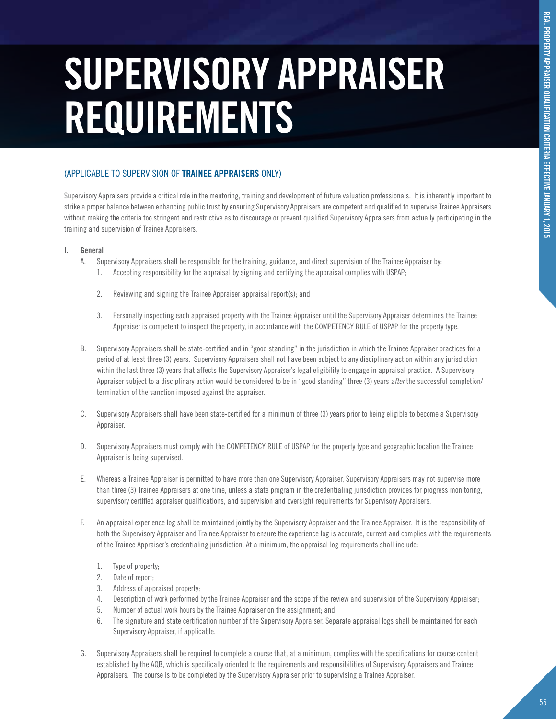# **supervisory APPRAISER requirements**

# (APPLICABLE TO SUPERVISION OF **TRAINEE APPRAISERS** ONLY)

Supervisory Appraisers provide a critical role in the mentoring, training and development of future valuation professionals. It is inherently important to strike a proper balance between enhancing public trust by ensuring Supervisory Appraisers are competent and qualified to supervise Trainee Appraisers without making the criteria too stringent and restrictive as to discourage or prevent qualified Supervisory Appraisers from actually participating in the training and supervision of Trainee Appraisers.

# **I. General**

- A. Supervisory Appraisers shall be responsible for the training, guidance, and direct supervision of the Trainee Appraiser by:
	- 1. Accepting responsibility for the appraisal by signing and certifying the appraisal complies with USPAP;
	- 2. Reviewing and signing the Trainee Appraiser appraisal report(s); and
	- 3. Personally inspecting each appraised property with the Trainee Appraiser until the Supervisory Appraiser determines the Trainee Appraiser is competent to inspect the property, in accordance with the COMPETENCY RULE of USPAP for the property type.
- B. Supervisory Appraisers shall be state-certified and in "good standing" in the jurisdiction in which the Trainee Appraiser practices for a period of at least three (3) years. Supervisory Appraisers shall not have been subject to any disciplinary action within any jurisdiction within the last three (3) years that affects the Supervisory Appraiser's legal eligibility to engage in appraisal practice. A Supervisory Appraiser subject to a disciplinary action would be considered to be in "good standing" three (3) years *after* the successful completion/ termination of the sanction imposed against the appraiser.
- C. Supervisory Appraisers shall have been state-certified for a minimum of three (3) years prior to being eligible to become a Supervisory Appraiser.
- D. Supervisory Appraisers must comply with the COMPETENCY RULE of USPAP for the property type and geographic location the Trainee Appraiser is being supervised.
- E. Whereas a Trainee Appraiser is permitted to have more than one Supervisory Appraiser, Supervisory Appraisers may not supervise more than three (3) Trainee Appraisers at one time, unless a state program in the credentialing jurisdiction provides for progress monitoring, supervisory certified appraiser qualifications, and supervision and oversight requirements for Supervisory Appraisers.
- F. An appraisal experience log shall be maintained jointly by the Supervisory Appraiser and the Trainee Appraiser. It is the responsibility of both the Supervisory Appraiser and Trainee Appraiser to ensure the experience log is accurate, current and complies with the requirements of the Trainee Appraiser's credentialing jurisdiction. At a minimum, the appraisal log requirements shall include:
	- 1. Type of property;
	- 2. Date of report;
	- 3. Address of appraised property;
	- 4. Description of work performed by the Trainee Appraiser and the scope of the review and supervision of the Supervisory Appraiser;
	- 5. Number of actual work hours by the Trainee Appraiser on the assignment; and
	- 6. The signature and state certification number of the Supervisory Appraiser. Separate appraisal logs shall be maintained for each Supervisory Appraiser, if applicable.
- G. Supervisory Appraisers shall be required to complete a course that, at a minimum, complies with the specifications for course content established by the AQB, which is specifically oriented to the requirements and responsibilities of Supervisory Appraisers and Trainee Appraisers. The course is to be completed by the Supervisory Appraiser prior to supervising a Trainee Appraiser.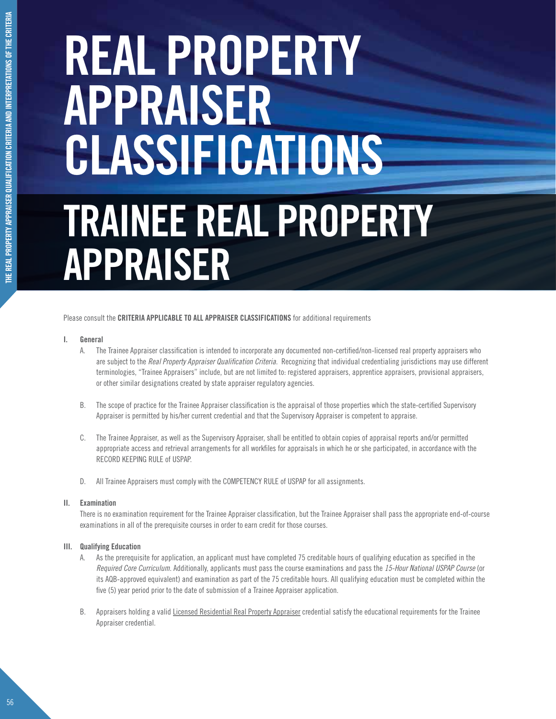# **Trainee real property appraiser REAL PROPERTY APPRAISER CLASSIFICATIONS**

Please consult the **CRITERIA APPLICABLE TO ALL APPRAISER CLASSIFICATIONS** for additional requirements

# **I. General**

- A. The Trainee Appraiser classification is intended to incorporate any documented non-certified/non-licensed real property appraisers who are subject to the *Real Property Appraiser Qualification Criteria*. Recognizing that individual credentialing jurisdictions may use different terminologies, "Trainee Appraisers" include, but are not limited to: registered appraisers, apprentice appraisers, provisional appraisers, or other similar designations created by state appraiser regulatory agencies.
- B. The scope of practice for the Trainee Appraiser classification is the appraisal of those properties which the state-certified Supervisory Appraiser is permitted by his/her current credential and that the Supervisory Appraiser is competent to appraise.
- C. The Trainee Appraiser, as well as the Supervisory Appraiser, shall be entitled to obtain copies of appraisal reports and/or permitted appropriate access and retrieval arrangements for all workfiles for appraisals in which he or she participated, in accordance with the RECORD KEEPING RULE of USPAP.
- D. All Trainee Appraisers must comply with the COMPETENCY RULE of USPAP for all assignments.

# **II. Examination**

There is no examination requirement for the Trainee Appraiser classification, but the Trainee Appraiser shall pass the appropriate end-of-course examinations in all of the prerequisite courses in order to earn credit for those courses.

# **III. Qualifying Education**

- A. As the prerequisite for application, an applicant must have completed 75 creditable hours of qualifying education as specified in the *Required Core Curriculum*. Additionally, applicants must pass the course examinations and pass the *15-Hour National USPAP Course* (or its AQB-approved equivalent) and examination as part of the 75 creditable hours. All qualifying education must be completed within the five (5) year period prior to the date of submission of a Trainee Appraiser application.
- B. Appraisers holding a valid Licensed Residential Real Property Appraiser credential satisfy the educational requirements for the Trainee Appraiser credential.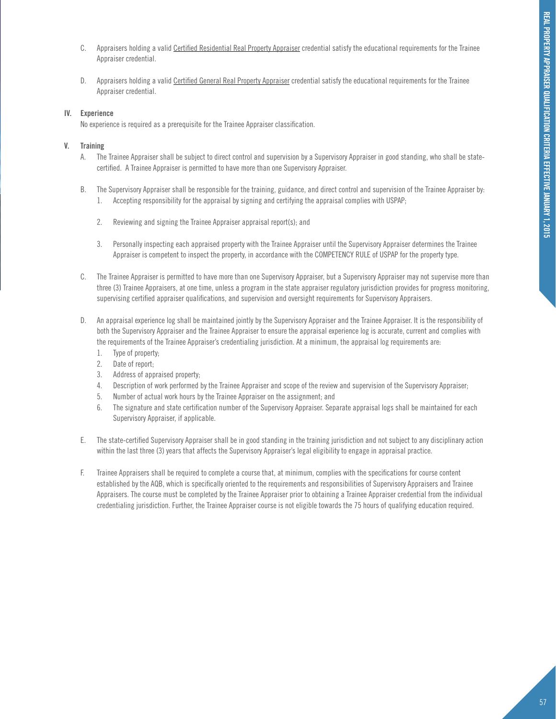- C. Appraisers holding a valid Certified Residential Real Property Appraiser credential satisfy the educational requirements for the Trainee Appraiser credential.
- D. Appraisers holding a valid Certified General Real Property Appraiser credential satisfy the educational requirements for the Trainee Appraiser credential.

# **IV. Experience**

No experience is required as a prerequisite for the Trainee Appraiser classification.

# **V. Training**

- A. The Trainee Appraiser shall be subject to direct control and supervision by a Supervisory Appraiser in good standing, who shall be statecertified. A Trainee Appraiser is permitted to have more than one Supervisory Appraiser.
- B. The Supervisory Appraiser shall be responsible for the training, guidance, and direct control and supervision of the Trainee Appraiser by: 1. Accepting responsibility for the appraisal by signing and certifying the appraisal complies with USPAP;
	- 2. Reviewing and signing the Trainee Appraiser appraisal report(s); and
	- 3. Personally inspecting each appraised property with the Trainee Appraiser until the Supervisory Appraiser determines the Trainee Appraiser is competent to inspect the property, in accordance with the COMPETENCY RULE of USPAP for the property type.
- C. The Trainee Appraiser is permitted to have more than one Supervisory Appraiser, but a Supervisory Appraiser may not supervise more than three (3) Trainee Appraisers, at one time, unless a program in the state appraiser regulatory jurisdiction provides for progress monitoring, supervising certified appraiser qualifications, and supervision and oversight requirements for Supervisory Appraisers.
- D. An appraisal experience log shall be maintained jointly by the Supervisory Appraiser and the Trainee Appraiser. It is the responsibility of both the Supervisory Appraiser and the Trainee Appraiser to ensure the appraisal experience log is accurate, current and complies with the requirements of the Trainee Appraiser's credentialing jurisdiction. At a minimum, the appraisal log requirements are:
	- 1. Type of property;
	- 2. Date of report;
	- 3. Address of appraised property;
	- 4. Description of work performed by the Trainee Appraiser and scope of the review and supervision of the Supervisory Appraiser;
	- 5. Number of actual work hours by the Trainee Appraiser on the assignment; and
	- 6. The signature and state certification number of the Supervisory Appraiser. Separate appraisal logs shall be maintained for each Supervisory Appraiser, if applicable.
- E. The state-certified Supervisory Appraiser shall be in good standing in the training jurisdiction and not subject to any disciplinary action within the last three (3) years that affects the Supervisory Appraiser's legal eligibility to engage in appraisal practice.
- F. Trainee Appraisers shall be required to complete a course that, at minimum, complies with the specifications for course content established by the AQB, which is specifically oriented to the requirements and responsibilities of Supervisory Appraisers and Trainee Appraisers. The course must be completed by the Trainee Appraiser prior to obtaining a Trainee Appraiser credential from the individual credentialing jurisdiction. Further, the Trainee Appraiser course is not eligible towards the 75 hours of qualifying education required.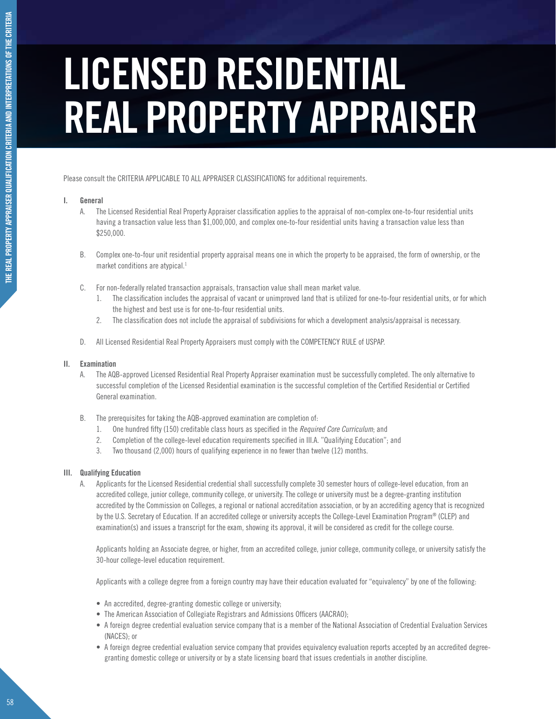# **LICENSED RESIDENTIAL REAL PROPERTY APPRAISER**

Please consult the CRITERIA APPLICABLE TO ALL APPRAISER CLASSIFICATIONS for additional requirements.

# **I. General**

- A. The Licensed Residential Real Property Appraiser classification applies to the appraisal of non-complex one-to-four residential units having a transaction value less than \$1,000,000, and complex one-to-four residential units having a transaction value less than \$250,000.
- B. Complex one-to-four unit residential property appraisal means one in which the property to be appraised, the form of ownership, or the market conditions are atypical.<sup>1</sup>
- C. For non-federally related transaction appraisals, transaction value shall mean market value.
	- 1. The classification includes the appraisal of vacant or unimproved land that is utilized for one-to-four residential units, or for which the highest and best use is for one-to-four residential units.
	- 2. The classification does not include the appraisal of subdivisions for which a development analysis/appraisal is necessary.
- D. All Licensed Residential Real Property Appraisers must comply with the COMPETENCY RULE of USPAP.

# **II. Examination**

- A. The AQB-approved Licensed Residential Real Property Appraiser examination must be successfully completed. The only alternative to successful completion of the Licensed Residential examination is the successful completion of the Certified Residential or Certified General examination.
- B. The prerequisites for taking the AQB-approved examination are completion of:
	- 1. One hundred fifty (150) creditable class hours as specified in the *Required Core Curriculum*; and
	- 2. Completion of the college-level education requirements specified in III.A. "Qualifying Education"; and
	- 3. Two thousand (2,000) hours of qualifying experience in no fewer than twelve (12) months.

# **III. Qualifying Education**

A. Applicants for the Licensed Residential credential shall successfully complete 30 semester hours of college-level education, from an accredited college, junior college, community college, or university. The college or university must be a degree-granting institution accredited by the Commission on Colleges, a regional or national accreditation association, or by an accrediting agency that is recognized by the U.S. Secretary of Education. If an accredited college or university accepts the College-Level Examination Program® (CLEP) and examination(s) and issues a transcript for the exam, showing its approval, it will be considered as credit for the college course.

Applicants holding an Associate degree, or higher, from an accredited college, junior college, community college, or university satisfy the 30-hour college-level education requirement.

Applicants with a college degree from a foreign country may have their education evaluated for "equivalency" by one of the following:

- An accredited, degree-granting domestic college or university;
- The American Association of Collegiate Registrars and Admissions Officers (AACRAO);
- • A foreign degree credential evaluation service company that is a member of the National Association of Credential Evaluation Services (NACES); or
- A foreign degree credential evaluation service company that provides equivalency evaluation reports accepted by an accredited degreegranting domestic college or university or by a state licensing board that issues credentials in another discipline.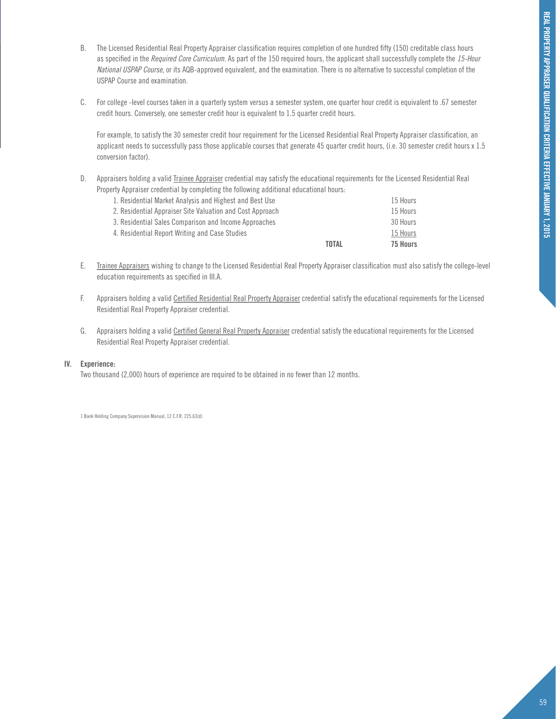- B. The Licensed Residential Real Property Appraiser classification requires completion of one hundred fifty (150) creditable class hours as specified in the *Required Core Curriculum*. As part of the 150 required hours, the applicant shall successfully complete the *15-Hour National USPAP Course*, or its AQB-approved equivalent, and the examination. There is no alternative to successful completion of the USPAP Course and examination.
- C. For college -level courses taken in a quarterly system versus a semester system, one quarter hour credit is equivalent to .67 semester credit hours. Conversely, one semester credit hour is equivalent to 1.5 quarter credit hours.

For example, to satisfy the 30 semester credit hour requirement for the Licensed Residential Real Property Appraiser classification, an applicant needs to successfully pass those applicable courses that generate 45 quarter credit hours, (i.e. 30 semester credit hours x 1.5 conversion factor).

D. Appraisers holding a valid Trainee Appraiser credential may satisfy the educational requirements for the Licensed Residential Real Property Appraiser credential by completing the following additional educational hours:

|                                                           | <b>TOTAL</b> | 75 Hours |
|-----------------------------------------------------------|--------------|----------|
| 4. Residential Report Writing and Case Studies            |              | 15 Hours |
| 3. Residential Sales Comparison and Income Approaches     |              | 30 Hours |
| 2. Residential Appraiser Site Valuation and Cost Approach |              | 15 Hours |
| 1. Residential Market Analysis and Highest and Best Use   |              | 15 Hours |
|                                                           |              |          |

- E. Trainee Appraisers wishing to change to the Licensed Residential Real Property Appraiser classification must also satisfy the college-level education requirements as specified in III.A.
- F. Appraisers holding a valid Certified Residential Real Property Appraiser credential satisfy the educational requirements for the Licensed Residential Real Property Appraiser credential.
- G. Appraisers holding a valid Certified General Real Property Appraiser credential satisfy the educational requirements for the Licensed Residential Real Property Appraiser credential.

# **IV. Experience:**

Two thousand (2,000) hours of experience are required to be obtained in no fewer than 12 months.

1 Bank Holding Company Supervision Manual, 12 C.F.R. 225.63(d)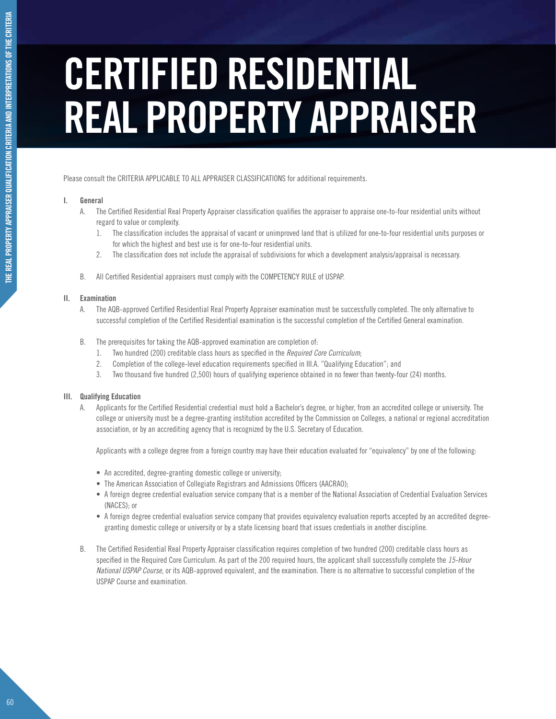# **CERTIFIED RESIDENTIAL REAL PROPERTY APPRAISER**

Please consult the CRITERIA APPLICABLE TO ALL APPRAISER CLASSIFICATIONS for additional requirements.

# **I. General**

- A. The Certified Residential Real Property Appraiser classification qualifies the appraiser to appraise one-to-four residential units without regard to value or complexity.
	- 1. The classification includes the appraisal of vacant or unimproved land that is utilized for one-to-four residential units purposes or for which the highest and best use is for one-to-four residential units.
	- 2. The classification does not include the appraisal of subdivisions for which a development analysis/appraisal is necessary.
- B. All Certified Residential appraisers must comply with the COMPETENCY RULE of USPAP.

# **II. Examination**

- A. The AQB-approved Certified Residential Real Property Appraiser examination must be successfully completed. The only alternative to successful completion of the Certified Residential examination is the successful completion of the Certified General examination.
- B. The prerequisites for taking the AQB-approved examination are completion of:
	- 1. Two hundred (200) creditable class hours as specified in the *Required Core Curriculum*;
	- 2. Completion of the college-level education requirements specified in III.A. "Qualifying Education"; and
	- 3. Two thousand five hundred (2,500) hours of qualifying experience obtained in no fewer than twenty-four (24) months.

# **III. Qualifying Education**

A. Applicants for the Certified Residential credential must hold a Bachelor's degree, or higher, from an accredited college or university. The college or university must be a degree-granting institution accredited by the Commission on Colleges, a national or regional accreditation association, or by an accrediting agency that is recognized by the U.S. Secretary of Education.

Applicants with a college degree from a foreign country may have their education evaluated for "equivalency" by one of the following:

- An accredited, degree-granting domestic college or university;
- The American Association of Collegiate Registrars and Admissions Officers (AACRAO);
- • A foreign degree credential evaluation service company that is a member of the National Association of Credential Evaluation Services (NACES); or
- A foreign degree credential evaluation service company that provides equivalency evaluation reports accepted by an accredited degreegranting domestic college or university or by a state licensing board that issues credentials in another discipline.
- B. The Certified Residential Real Property Appraiser classification requires completion of two hundred (200) creditable class hours as specified in the Required Core Curriculum. As part of the 200 required hours, the applicant shall successfully complete the *15-Hour National USPAP Course*, or its AQB-approved equivalent, and the examination. There is no alternative to successful completion of the USPAP Course and examination.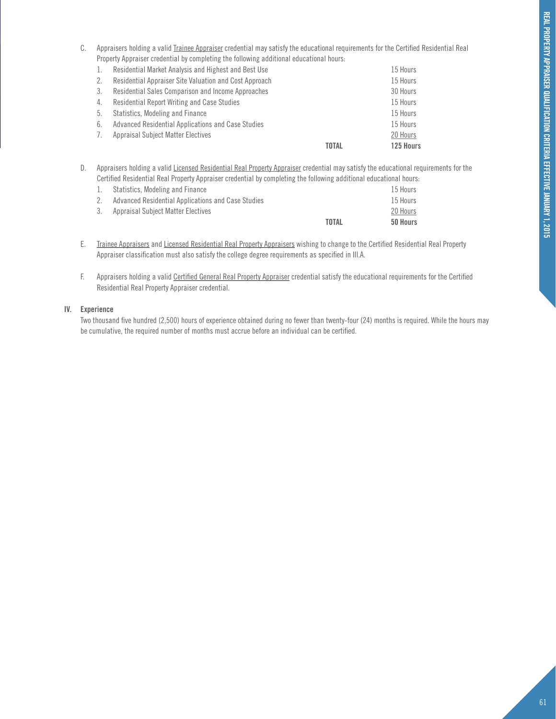C. Appraisers holding a valid Trainee Appraiser credential may satisfy the educational requirements for the Certified Residential Real Property Appraiser credential by completing the following additional educational hours:

| -1. | Residential Market Analysis and Highest and Best Use   |       | 15 Hours  |
|-----|--------------------------------------------------------|-------|-----------|
| 2.  | Residential Appraiser Site Valuation and Cost Approach |       | 15 Hours  |
| 3.  | Residential Sales Comparison and Income Approaches     |       | 30 Hours  |
| 4.  | Residential Report Writing and Case Studies            |       | 15 Hours  |
| 5.  | Statistics, Modeling and Finance                       |       | 15 Hours  |
| 6.  | Advanced Residential Applications and Case Studies     |       | 15 Hours  |
| 7.  | <b>Appraisal Subject Matter Electives</b>              |       | 20 Hours  |
|     |                                                        | TOTAL | 125 Hours |
|     |                                                        |       |           |

D. Appraisers holding a valid Licensed Residential Real Property Appraiser credential may satisfy the educational requirements for the Certified Residential Real Property Appraiser credential by completing the following additional educational hours:

| 1. Statistics. Modeling and Finance                |       | 15 Hours |
|----------------------------------------------------|-------|----------|
| Advanced Residential Applications and Case Studies |       | 15 Hours |
| 3. Appraisal Subiect Matter Electives              |       | 20 Hours |
|                                                    | TOTAL | 50 Hours |

- E. Trainee Appraisers and Licensed Residential Real Property Appraisers wishing to change to the Certified Residential Real Property Appraiser classification must also satisfy the college degree requirements as specified in III.A.
- F. Appraisers holding a valid Certified General Real Property Appraiser credential satisfy the educational requirements for the Certified Residential Real Property Appraiser credential.

# **IV. Experience**

Two thousand five hundred (2,500) hours of experience obtained during no fewer than twenty-four (24) months is required. While the hours may be cumulative, the required number of months must accrue before an individual can be certified.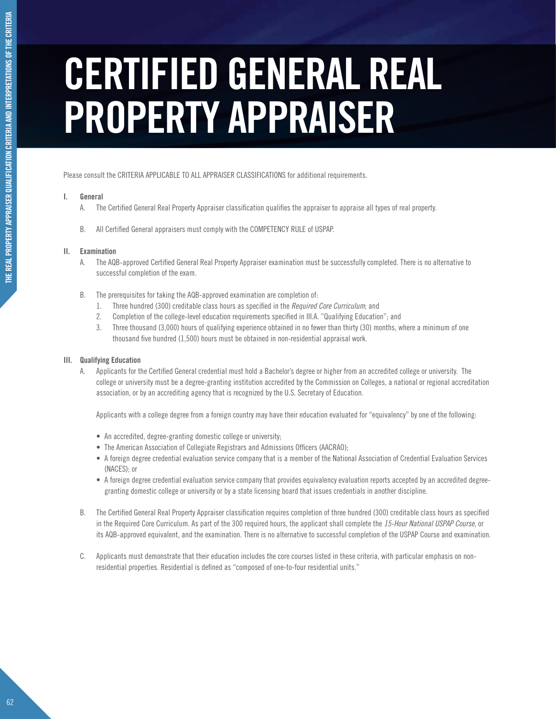# **CERTIFIED GENERAL REAL PROPERTY APPRAISER**

Please consult the CRITERIA APPLICABLE TO ALL APPRAISER CLASSIFICATIONS for additional requirements.

# **I. General**

- A. The Certified General Real Property Appraiser classification qualifies the appraiser to appraise all types of real property.
- B. All Certified General appraisers must comply with the COMPETENCY RULE of USPAP.

# **II. Examination**

- A. The AQB-approved Certified General Real Property Appraiser examination must be successfully completed. There is no alternative to successful completion of the exam.
- B. The prerequisites for taking the AQB-approved examination are completion of:
	- 1. Three hundred (300) creditable class hours as specified in the *Required Core Curriculum*; and
	- 2. Completion of the college-level education requirements specified in III.A. "Qualifying Education": and
	- 3. Three thousand (3,000) hours of qualifying experience obtained in no fewer than thirty (30) months, where a minimum of one thousand five hundred (1,500) hours must be obtained in non-residential appraisal work.

# **III. Qualifying Education**

A. Applicants for the Certified General credential must hold a Bachelor's degree or higher from an accredited college or university. The college or university must be a degree-granting institution accredited by the Commission on Colleges, a national or regional accreditation association, or by an accrediting agency that is recognized by the U.S. Secretary of Education.

Applicants with a college degree from a foreign country may have their education evaluated for "equivalency" by one of the following:

- An accredited, degree-granting domestic college or university:
- The American Association of Collegiate Registrars and Admissions Officers (AACRAO);
- • A foreign degree credential evaluation service company that is a member of the National Association of Credential Evaluation Services (NACES); or
- A foreign degree credential evaluation service company that provides equivalency evaluation reports accepted by an accredited degreegranting domestic college or university or by a state licensing board that issues credentials in another discipline.
- B. The Certified General Real Property Appraiser classification requires completion of three hundred (300) creditable class hours as specified in the Required Core Curriculum. As part of the 300 required hours, the applicant shall complete the *15-Hour National USPAP Course*, or its AQB-approved equivalent, and the examination. There is no alternative to successful completion of the USPAP Course and examination.
- C. Applicants must demonstrate that their education includes the core courses listed in these criteria, with particular emphasis on nonresidential properties. Residential is defined as "composed of one-to-four residential units."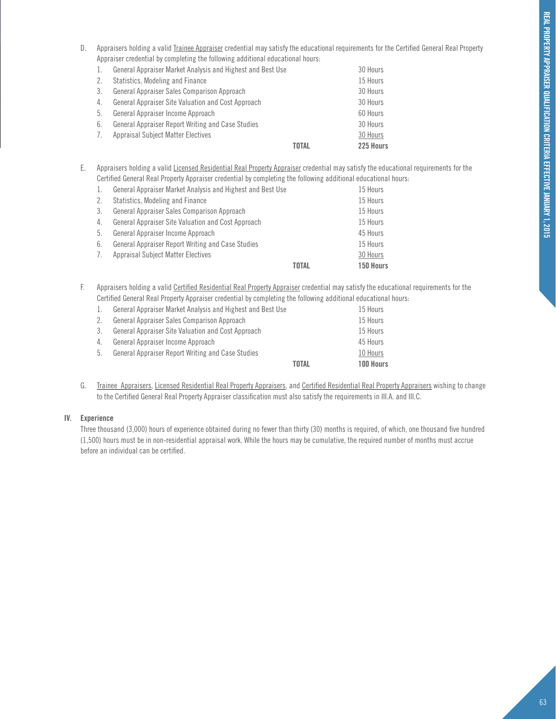D. Appraisers holding a valid Trainee Appraiser credential may satisfy the educational requirements for the Certified General Real Property Appraiser credential by completing the following additional educational hours:

| 1. | General Appraiser Market Analysis and Highest and Best Use |              | 30 Hours  |
|----|------------------------------------------------------------|--------------|-----------|
| 2. | Statistics, Modeling and Finance                           |              | 15 Hours  |
| 3. | General Appraiser Sales Comparison Approach                |              | 30 Hours  |
| 4. | General Appraiser Site Valuation and Cost Approach         |              | 30 Hours  |
| 5. | General Appraiser Income Approach                          |              | 60 Hours  |
| 6. | <b>General Appraiser Report Writing and Case Studies</b>   |              | 30 Hours  |
| 7. | <b>Appraisal Subject Matter Electives</b>                  |              | 30 Hours  |
|    |                                                            | <b>TOTAL</b> | 225 Hours |
|    |                                                            |              |           |

E. Appraisers holding a valid Licensed Residential Real Property Appraiser credential may satisfy the educational requirements for the Certified General Real Property Appraiser credential by completing the following additional educational hours:

| 1. | General Appraiser Market Analysis and Highest and Best Use |              | 15 Hours  |
|----|------------------------------------------------------------|--------------|-----------|
| 2. | Statistics, Modeling and Finance                           |              | 15 Hours  |
| 3. | General Appraiser Sales Comparison Approach                |              | 15 Hours  |
| 4. | General Appraiser Site Valuation and Cost Approach         |              | 15 Hours  |
| 5. | General Appraiser Income Approach                          |              | 45 Hours  |
| 6. | <b>General Appraiser Report Writing and Case Studies</b>   |              | 15 Hours  |
| 7. | <b>Appraisal Subject Matter Electives</b>                  |              | 30 Hours  |
|    |                                                            | <b>TOTAL</b> | 150 Hours |
|    |                                                            |              |           |

F. Appraisers holding a valid Certified Residential Real Property Appraiser credential may satisfy the educational requirements for the Certified General Real Property Appraiser credential by completing the following additional educational hours:

|    |                                                            | <b>TOTAL</b> | 100 Hours |
|----|------------------------------------------------------------|--------------|-----------|
| 5. | <b>General Appraiser Report Writing and Case Studies</b>   |              | 10 Hours  |
| 4. | General Appraiser Income Approach                          |              | 45 Hours  |
| 3. | General Appraiser Site Valuation and Cost Approach         |              | 15 Hours  |
| 2. | General Appraiser Sales Comparison Approach                |              | 15 Hours  |
| 1. | General Appraiser Market Analysis and Highest and Best Use |              | 15 Hours  |
|    |                                                            |              |           |

G. Trainee Appraisers, Licensed Residential Real Property Appraisers, and Certified Residential Real Property Appraisers wishing to change to the Certified General Real Property Appraiser classification must also satisfy the requirements in III.A. and III.C.

# **IV. Experience**

Three thousand (3,000) hours of experience obtained during no fewer than thirty (30) months is required, of which, one thousand five hundred (1,500) hours must be in non-residential appraisal work. While the hours may be cumulative, the required number of months must accrue before an individual can be certified.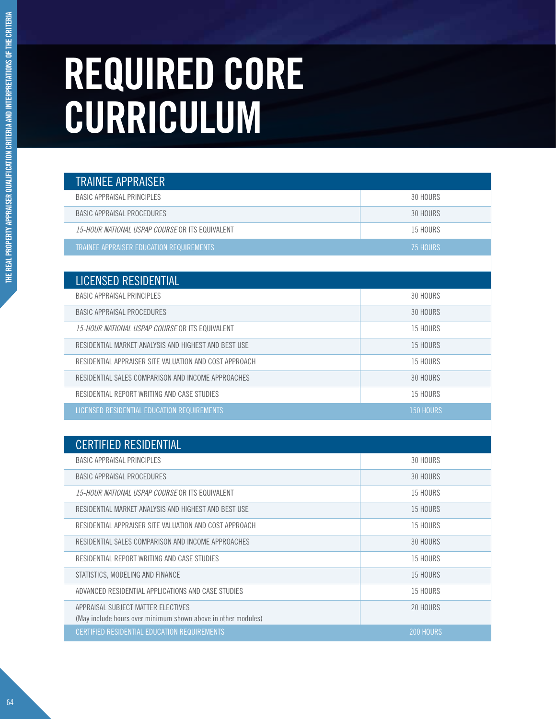# **REQUIRED CORE CURRICULUM**

| <b>TRAINEE APPRAISER</b>                                                                            |                  |
|-----------------------------------------------------------------------------------------------------|------------------|
| <b>BASIC APPRAISAL PRINCIPLES</b>                                                                   | 30 HOURS         |
| <b>BASIC APPRAISAL PROCEDURES</b>                                                                   | 30 HOURS         |
| 15-HOUR NATIONAL USPAP COURSE OR ITS EQUIVALENT                                                     | <b>15 HOURS</b>  |
| TRAINEE APPRAISER EDUCATION REQUIREMENTS                                                            | 75 HOURS         |
|                                                                                                     |                  |
| <b>LICENSED RESIDENTIAL</b>                                                                         |                  |
| <b>BASIC APPRAISAL PRINCIPLES</b>                                                                   | 30 HOURS         |
| <b>BASIC APPRAISAL PROCEDURES</b>                                                                   | 30 HOURS         |
| 15-HOUR NATIONAL USPAP COURSE OR ITS EQUIVALENT                                                     | <b>15 HOURS</b>  |
| RESIDENTIAL MARKET ANALYSIS AND HIGHEST AND BEST USE                                                | 15 HOURS         |
| RESIDENTIAL APPRAISER SITE VALUATION AND COST APPROACH                                              | <b>15 HOURS</b>  |
| RESIDENTIAL SALES COMPARISON AND INCOME APPROACHES                                                  | 30 HOURS         |
| RESIDENTIAL REPORT WRITING AND CASE STUDIES                                                         | 15 HOURS         |
| LICENSED RESIDENTIAL EDUCATION REQUIREMENTS                                                         | <b>150 HOURS</b> |
|                                                                                                     |                  |
| <b>CERTIFIED RESIDENTIAL</b>                                                                        |                  |
| <b>BASIC APPRAISAL PRINCIPLES</b>                                                                   | 30 HOURS         |
| <b>BASIC APPRAISAL PROCEDURES</b>                                                                   | 30 HOURS         |
| 15-HOUR NATIONAL USPAP COURSE OR ITS EQUIVALENT                                                     | 15 HOURS         |
| RESIDENTIAL MARKET ANALYSIS AND HIGHEST AND BEST USE                                                | <b>15 HOURS</b>  |
| RESIDENTIAL APPRAISER SITE VALUATION AND COST APPROACH                                              | <b>15 HOURS</b>  |
| RESIDENTIAL SALES COMPARISON AND INCOME APPROACHES                                                  | 30 HOURS         |
| RESIDENTIAL REPORT WRITING AND CASE STUDIES                                                         | <b>15 HOURS</b>  |
| STATISTICS, MODELING AND FINANCE                                                                    | 15 HOURS         |
| ADVANCED RESIDENTIAL APPLICATIONS AND CASE STUDIES                                                  | 15 HOURS         |
| APPRAISAL SUBJECT MATTER ELECTIVES<br>(May include hours over minimum shown above in other modules) | 20 HOURS         |
| CERTIFIED RESIDENTIAL EDUCATION REQUIREMENTS                                                        | 200 HOURS        |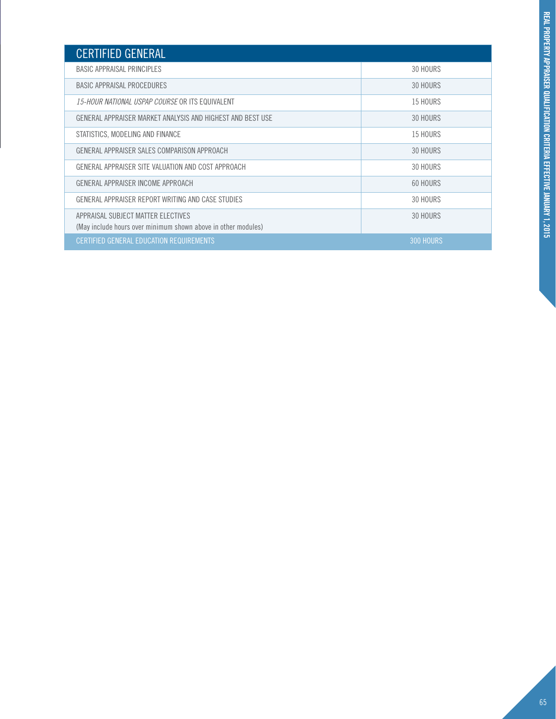| <b>CERTIFIED GENERAL</b>                                                                            |           |
|-----------------------------------------------------------------------------------------------------|-----------|
| <b>BASIC APPRAISAL PRINCIPLES</b>                                                                   | 30 HOURS  |
| BASIC APPRAISAL PROCEDURES                                                                          | 30 HOURS  |
| <i>15-HOUR NATIONAL USPAP COURSE</i> OR ITS EQUIVALENT                                              | 15 HOURS  |
| GENERAL APPRAISER MARKET ANALYSIS AND HIGHEST AND BEST USE                                          | 30 HOURS  |
| STATISTICS, MODELING AND FINANCE                                                                    | 15 HOURS  |
| GENERAL APPRAISER SALES COMPARISON APPROACH                                                         | 30 HOURS  |
| GENERAL APPRAISER SITE VALUATION AND COST APPROACH                                                  | 30 HOURS  |
| GENERAL APPRAISER INCOME APPROACH                                                                   | 60 HOURS  |
| GENERAL APPRAISER REPORT WRITING AND CASE STUDIES                                                   | 30 HOURS  |
| APPRAISAL SUBJECT MATTER ELECTIVES<br>(May include hours over minimum shown above in other modules) | 30 HOURS  |
| CERTIFIED GENERAL EDUCATION REQUIREMENTS                                                            | 300 HOURS |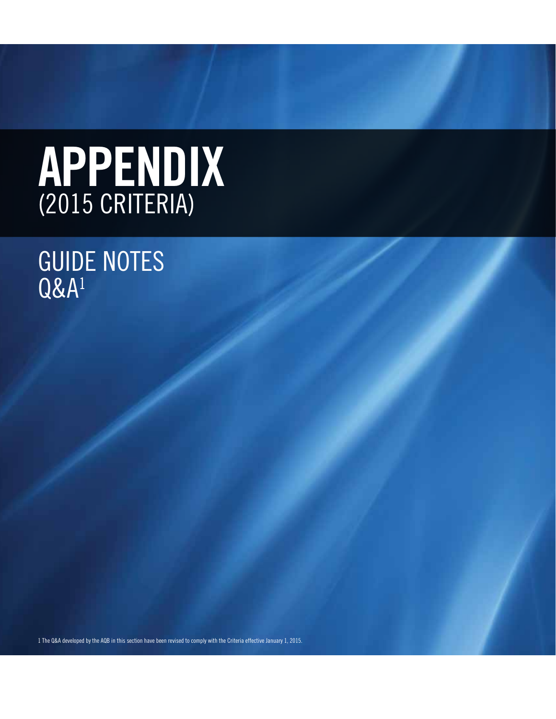# **AP** (2015 CRITERIA)

# **GUIDE NOTES** Q&A1

1 The Q&A developed by the AQB in this section have been revised to comply with the Criteria effective January 1, 2015.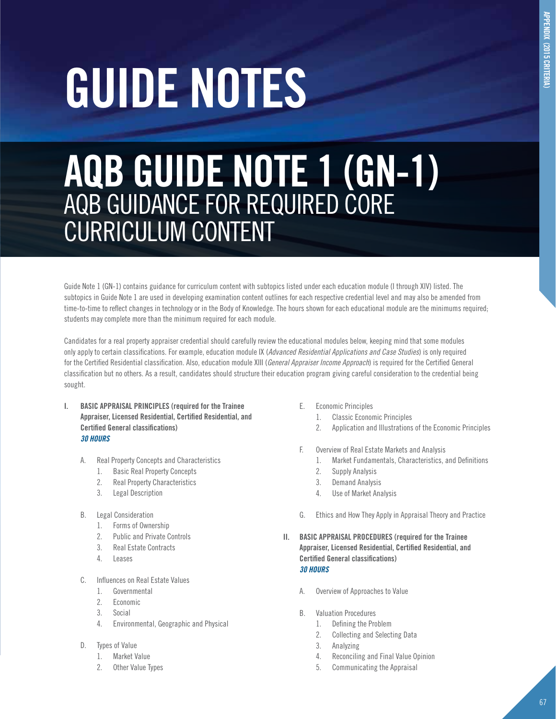# **guide notes**

# **AQB GUIDE NOTE 1 (GN-1)** AQB GUIDANCE FOR REQUIRED CORE CURRICULUM CONTENT

Guide Note 1 (GN-1) contains guidance for curriculum content with subtopics listed under each education module (I through XIV) listed. The subtopics in Guide Note 1 are used in developing examination content outlines for each respective credential level and may also be amended from time-to-time to reflect changes in technology or in the Body of Knowledge. The hours shown for each educational module are the minimums required; students may complete more than the minimum required for each module.

Candidates for a real property appraiser credential should carefully review the educational modules below, keeping mind that some modules only apply to certain classifications. For example, education module IX (*Advanced Residential Applications and Case Studies*) is only required for the Certified Residential classification. Also, education module XIII (*General Appraiser Income Approach*) is required for the Certified General classification but no others. As a result, candidates should structure their education program giving careful consideration to the credential being sought.

- **I. BASIC APPRAISAL PRINCIPLES (required for the Trainee Appraiser, Licensed Residential, Certified Residential, and Certified General classifications)** *30 HOURS*
	- A. Real Property Concepts and Characteristics
		- 1. Basic Real Property Concepts
		- 2. Real Property Characteristics
		- 3. Legal Description
	- B. Legal Consideration
		- 1. Forms of Ownership
		- 2. Public and Private Controls
		- 3. Real Estate Contracts
		- 4. Leases
	- C. Influences on Real Estate Values
		- 1. Governmental
		- 2. Economic
		- 3. Social
		- 4. Environmental, Geographic and Physical
	- D. Types of Value
		- 1. Market Value
		- 2. Other Value Types
- E. Economic Principles
	- 1. Classic Economic Principles
	- 2. Application and Illustrations of the Economic Principles
- F. Overview of Real Estate Markets and Analysis
	- 1. Market Fundamentals, Characteristics, and Definitions
	- 2. Supply Analysis
	- 3. Demand Analysis
	- 4. Use of Market Analysis
- G. Ethics and How They Apply in Appraisal Theory and Practice
- **II. BASIC APPRAISAL PROCEDURES (required for the Trainee Appraiser, Licensed Residential, Certified Residential, and Certified General classifications)** *30 HOURS*
	- A. Overview of Approaches to Value
	- B. Valuation Procedures
		- 1. Defining the Problem
		- 2. Collecting and Selecting Data
		- 3. Analyzing
		- 4. Reconciling and Final Value Opinion
		- 5. Communicating the Appraisal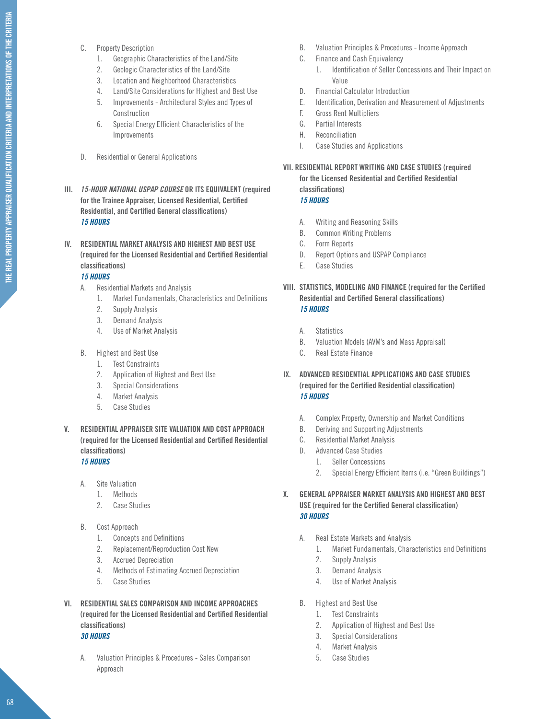- THE REAL PROPERTY APPRAISER QUALIFICATION CRITERIA AND INTERPRETATIONS OF THE CRITERIA **THE REAL PROPERTY APPRAISER QUALIFICATION CRITERIA AND INTERPRETATIONS OF THE CRITERIA**
- C. Property Description
	- 1. Geographic Characteristics of the Land/Site
	- 2. Geologic Characteristics of the Land/Site
	- 3. Location and Neighborhood Characteristics
	- 4. Land/Site Considerations for Highest and Best Use
	- 5. Improvements Architectural Styles and Types of Construction
	- 6. Special Energy Efficient Characteristics of the Improvements
- D. Residential or General Applications
- **III.** *15-HOUR NATIONAL USPAP COURSE* **OR ITS EQUIVALENT (required for the Trainee Appraiser, Licensed Residential, Certified Residential, and Certified General classifications)** *15 HOURS*
- **IV. RESIDENTIAL MARKET ANALYSIS AND HIGHEST AND BEST USE (required for the Licensed Residential and Certified Residential classifications)**

# *15 HOURS*

- A. Residential Markets and Analysis
	- 1. Market Fundamentals, Characteristics and Definitions
	- 2. Supply Analysis
	- 3. Demand Analysis
	- 4. Use of Market Analysis
- B. Highest and Best Use
	- 1. Test Constraints
	- 2. Application of Highest and Best Use
	- 3. Special Considerations
	- 4. Market Analysis
	- 5. Case Studies
- **V. RESIDENTIAL APPRAISER SITE VALUATION AND COST APPROACH (required for the Licensed Residential and Certified Residential classifications)**

# *15 HOURS*

- A. Site Valuation
	- 1. Methods
	- 2. Case Studies
- B. Cost Approach
	- 1. Concepts and Definitions
	- 2. Replacement/Reproduction Cost New
	- 3. Accrued Depreciation
	- 4. Methods of Estimating Accrued Depreciation
	- 5. Case Studies
- **VI. RESIDENTIAL SALES COMPARISON AND INCOME APPROACHES (required for the Licensed Residential and Certified Residential classifications)**

# *30 HOURS*

A. Valuation Principles & Procedures - Sales Comparison Approach

- B. Valuation Principles & Procedures Income Approach
- C. Finance and Cash Equivalency
	- 1. Identification of Seller Concessions and Their Impact on Value
- D. Financial Calculator Introduction
- E. Identification, Derivation and Measurement of Adjustments
- F. Gross Rent Multipliers
- G. Partial Interests
- H. Reconciliation
- I. Case Studies and Applications
- **VII. RESIDENTIAL REPORT WRITING AND CASE STUDIES (required for the Licensed Residential and Certified Residential classifications)** *15 HOURS*
	- A. Writing and Reasoning Skills
	- B. Common Writing Problems
	- C. Form Reports
	- D. Report Options and USPAP Compliance
	- E. Case Studies
- **VIII. STATISTICS, MODELING AND FINANCE (required for the Certified Residential and Certified General classifications)** *15 HOURS*
	- A. Statistics
	- B. Valuation Models (AVM's and Mass Appraisal)
	- C. Real Estate Finance
- **IX. ADVANCED RESIDENTIAL APPLICATIONS AND CASE STUDIES (required for the Certified Residential classification)** *15 HOURS*
	- A. Complex Property, Ownership and Market Conditions
	- B. Deriving and Supporting Adjustments
	- C. Residential Market Analysis
	- D. Advanced Case Studies
		- 1. Seller Concessions
			- 2. Special Energy Efficient Items (i.e. "Green Buildings")
- **X. GENERAL APPRAISER MARKET ANALYSIS AND HIGHEST AND BEST USE (required for the Certified General classification)** *30 HOURS*
	- A. Real Estate Markets and Analysis
		- 1. Market Fundamentals, Characteristics and Definitions
		- 2. Supply Analysis
		- 3. Demand Analysis
		- 4. Use of Market Analysis
	- B. Highest and Best Use
		- 1. Test Constraints
		- 2. Application of Highest and Best Use
		- 3. Special Considerations
		- 4. Market Analysis
		- 5. Case Studies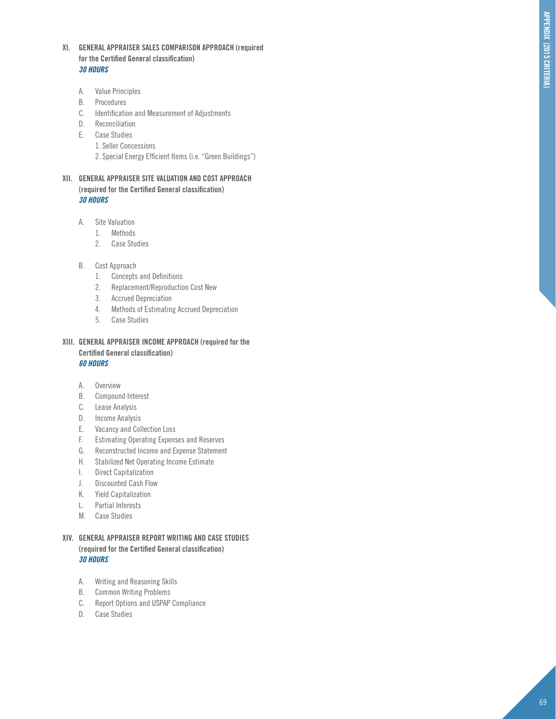- **XI. GENERAL APPRAISER SALES CO MPARISON APPROACH (required for the Certified General classification)** *30 HOURS*
	- A. Value Principles
	- B. Procedures
	- C. Identification and Measurement of Adjustments
	- D. Reconciliation
	- E. Case Studies
		- 1. Seller Concessions
		- 2. Special Energy Efficient Items (i.e. "Green Buildings")
- **XII. GENERAL APPRAISER SITE VALUATION AND COST APPROACH (required for the Certified General classification)** *30 HOURS*
	- A. Site Valuation
		- 1. Methods
		- 2. Case Studies
	- B. Cost Approach
		- 1. Concepts and Definitions
		- 2. Replacement/Reproduction Cost New
		- 3. Accrued Depreciation
		- 4. Methods of Estimating Accrued Depreciation
		- 5. Case Studies
- **XIII. GENERAL APPRAISER INCO ME APPROACH (required for the Certified General classification)** *60 HOURS*
	- A. Overview
	- B. Compound Interest
	- C. Lease Analysis
	- D. Income Analysis
	- E. Vacancy and Collection Loss
	- F. Estimating Operating Expenses and Reserves
	- G. Reconstructed Income and Expense Statement
	- H. Stabilized Net Operating Income Estimate
	- I. Direct Capitalization
	- J. Discounted Cash Flow
	- K. Yield Capitalization
	- L. Partial Interests
	- M. Case Studies
- **XIV. GENERAL APPRAISER REPORT WRITING AND CASE STUDIES (required for the Certified General classification)** *30 HOURS*
	- A. Writing and Reasoning Skills
	- B. Common Writing Problems
	- C. Report Options and USPAP Compliance
	- D. Case Studies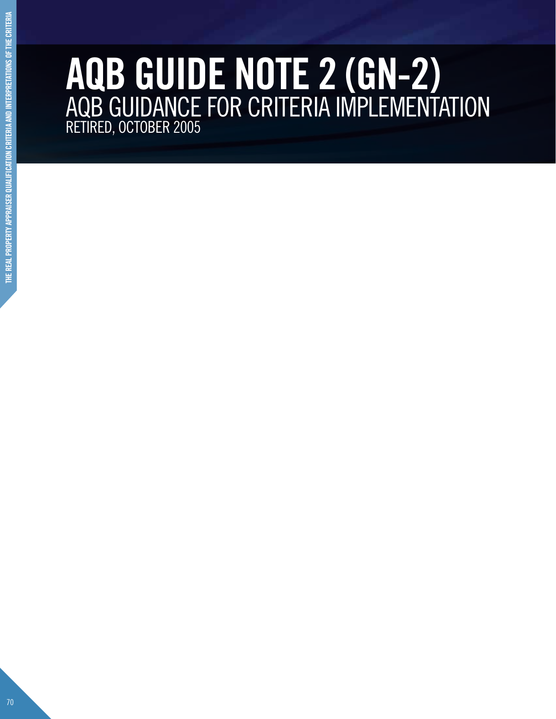# **AQB GUIDE NOTE 2 (GN-2)** AQB GUIDANCE FOR CRITERIA IMPLEMENTATION RETIRED, OCTOBER 2005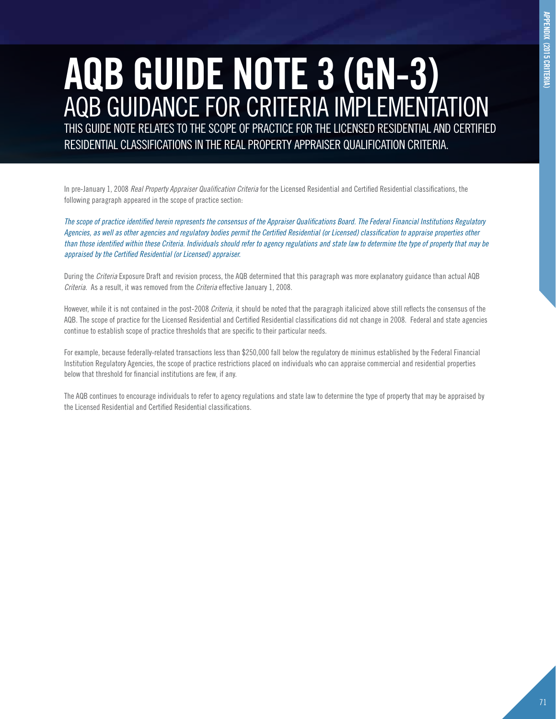# **AQB GUIDE NOTE 3 (GN-3)** AQB GUIDANCE FOR CRITERIA IMPLEMENTATION

THIS GUIDE NOTE RELATES TO THE SCOPE OF PRACTICE FOR THE LICENSED RESIDENTIAL AND CERTIFIED RESIDENTIAL CLASSIFICATIONS IN THE REAL PROPERTY APPRAISER QUALIFICATION CRITERIA.

In pre-January 1, 2008 *Real Property Appraiser Qualification Criteria* for the Licensed Residential and Certified Residential classifications, the following paragraph appeared in the scope of practice section:

*The scope of practice identified herein represents the consensus of the Appraiser Qualifications Board. The Federal Financial Institutions Regulatory Agencies, as well as other agencies and regulatory bodies permit the Certified Residential (or Licensed) classification to appraise properties other than those identified within these Criteria. Individuals should refer to agency regulations and state law to determine the type of property that may be appraised by the Certified Residential (or Licensed) appraiser.*

During the *Criteria* Exposure Draft and revision process, the AQB determined that this paragraph was more explanatory guidance than actual AQB *Criteria*. As a result, it was removed from the *Criteria* effective January 1, 2008.

However, while it is not contained in the post-2008 *Criteria*, it should be noted that the paragraph italicized above still reflects the consensus of the AQB. The scope of practice for the Licensed Residential and Certified Residential classifications did not change in 2008. Federal and state agencies continue to establish scope of practice thresholds that are specific to their particular needs.

For example, because federally-related transactions less than \$250,000 fall below the regulatory de minimus established by the Federal Financial Institution Regulatory Agencies, the scope of practice restrictions placed on individuals who can appraise commercial and residential properties below that threshold for financial institutions are few, if any.

The AQB continues to encourage individuals to refer to agency regulations and state law to determine the type of property that may be appraised by the Licensed Residential and Certified Residential classifications.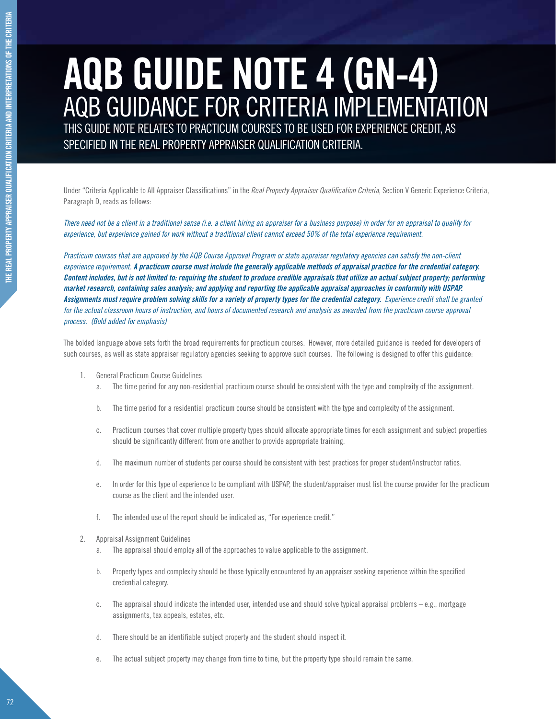# **AQB GUIDE NOTE 4 (GN-4)** AQB GUIDANCE FOR CRITERIA IMPLEMENTATION

THIS GUIDE NOTE RELATES TO PRACTICUM COURSES TO BE USED FOR EXPERIENCE CREDIT, AS SPECIFIED IN THE REAL PROPERTY APPRAISER QUALIFICATION CRITERIA.

Under "Criteria Applicable to All Appraiser Classifications" in the *Real Property Appraiser Qualification Criteria*, Section V Generic Experience Criteria, Paragraph D, reads as follows:

*There need not be a client in a traditional sense (i.e. a client hiring an appraiser for a business purpose) in order for an appraisal to qualify for experience, but experience gained for work without a traditional client cannot exceed 50% of the total experience requirement.* 

*Practicum courses that are approved by the AQB Course Approval Program or state appraiser regulatory agencies can satisfy the non-client experience requirement. A practicum course must include the generally applicable methods of appraisal practice for the credential category. Content includes, but is not limited to: requiring the student to produce credible appraisals that utilize an actual subject property; performing market research, containing sales analysis; and applying and reporting the applicable appraisal approaches in conformity with USPAP.*  Assignments must require problem solving skills for a variety of property types for the credential category. Experience credit shall be granted *for the actual classroom hours of instruction, and hours of documented research and analysis as awarded from the practicum course approval process. (Bold added for emphasis)*

The bolded language above sets forth the broad requirements for practicum courses. However, more detailed guidance is needed for developers of such courses, as well as state appraiser regulatory agencies seeking to approve such courses. The following is designed to offer this guidance:

- 1. General Practicum Course Guidelines
	- a. The time period for any non-residential practicum course should be consistent with the type and complexity of the assignment.
	- b. The time period for a residential practicum course should be consistent with the type and complexity of the assignment.
	- c. Practicum courses that cover multiple property types should allocate appropriate times for each assignment and subject properties should be significantly different from one another to provide appropriate training.
	- d. The maximum number of students per course should be consistent with best practices for proper student/instructor ratios.
	- e. In order for this type of experience to be compliant with USPAP, the student/appraiser must list the course provider for the practicum course as the client and the intended user.
	- f. The intended use of the report should be indicated as, "For experience credit."
- 2. Appraisal Assignment Guidelines
	- a. The appraisal should employ all of the approaches to value applicable to the assignment.
	- b. Property types and complexity should be those typically encountered by an appraiser seeking experience within the specified credential category.
	- c. The appraisal should indicate the intended user, intended use and should solve typical appraisal problems e.g., mortgage assignments, tax appeals, estates, etc.
	- d. There should be an identifiable subject property and the student should inspect it.
	- e. The actual subject property may change from time to time, but the property type should remain the same.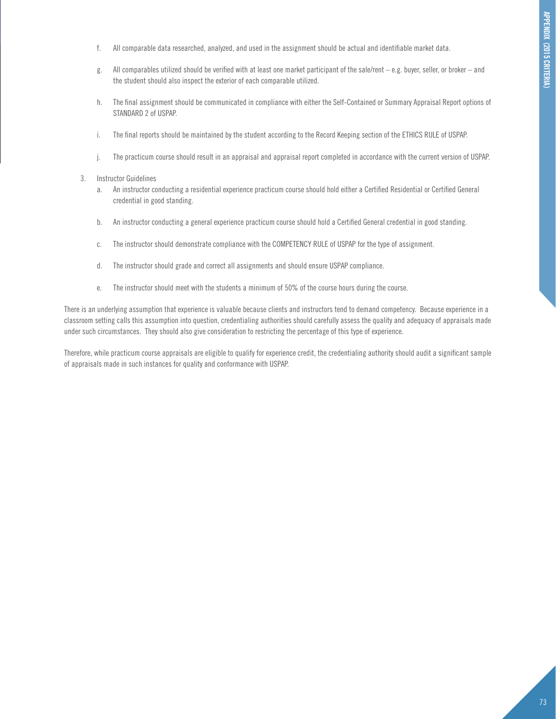- f. All comparable data researched, analyzed, and used in the assignment should be actual and identifiable market data.
- g. All comparables utilized should be verified with at least one market participant of the sale/rent e.g. buyer, seller, or broker and the student should also inspect the exterior of each comparable utilized.
- h. The final assignment should be communicated in compliance with either the Self-Contained or Summary Appraisal Report options of STANDARD 2 of USPAP.
- i. The final reports should be maintained by the student according to the Record Keeping section of the ETHICS RULE of USPAP.
- j. The practicum course should result in an appraisal and appraisal report completed in accordance with the current version of USPAP.

#### 3. Instructor Guidelines

- a. An instructor conducting a residential experience practicum course should hold either a Certified Residential or Certified General credential in good standing.
- b. An instructor conducting a general experience practicum course should hold a Certified General credential in good standing.
- c. The instructor should demonstrate compliance with the COMPETENCY RULE of USPAP for the type of assignment.
- d. The instructor should grade and correct all assignments and should ensure USPAP compliance.
- e. The instructor should meet with the students a minimum of 50% of the course hours during the course.

There is an underlying assumption that experience is valuable because clients and instructors tend to demand competency. Because experience in a classroom setting calls this assumption into question, credentialing authorities should carefully assess the quality and adequacy of appraisals made under such circumstances. They should also give consideration to restricting the percentage of this type of experience.

Therefore, while practicum course appraisals are eligible to qualify for experience credit, the credentialing authority should audit a significant sample of appraisals made in such instances for quality and conformance with USPAP.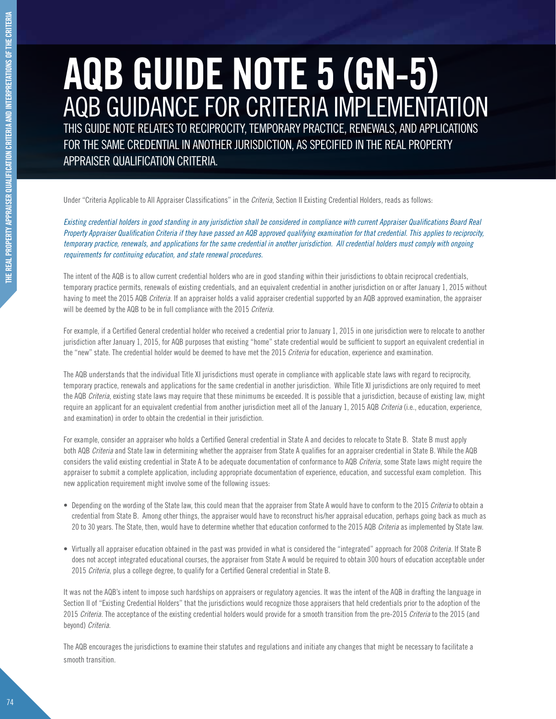# **AQB GUIDE NOTE 5 (GN-5)** AQB GUIDANCE FOR CRITERIA IMPLEMENTATION

THIS GUIDE NOTE RELATES TO RECIPROCITY, TEMPORARY PRACTICE, RENEWALS, AND APPLICATIONS FOR THE SAME CREDENTIAL IN ANOTHER JURISDICTION, AS SPECIFIED IN THE REAL PROPERTY APPRAISER QUALIFICATION CRITERIA.

Under "Criteria Applicable to All Appraiser Classifications" in the *Criteria*, Section II Existing Credential Holders, reads as follows:

*Existing credential holders in good standing in any jurisdiction shall be considered in compliance with current Appraiser Qualifications Board Real Property Appraiser Qualification Criteria if they have passed an AQB approved qualifying examination for that credential. This applies to reciprocity, temporary practice, renewals, and applications for the same credential in another jurisdiction. All credential holders must comply with ongoing requirements for continuing education, and state renewal procedures.*

The intent of the AQB is to allow current credential holders who are in good standing within their jurisdictions to obtain reciprocal credentials, temporary practice permits, renewals of existing credentials, and an equivalent credential in another jurisdiction on or after January 1, 2015 without having to meet the 2015 AQB *Criteria*. If an appraiser holds a valid appraiser credential supported by an AQB approved examination, the appraiser will be deemed by the AQB to be in full compliance with the 2015 *Criteria*.

For example, if a Certified General credential holder who received a credential prior to January 1, 2015 in one jurisdiction were to relocate to another jurisdiction after January 1, 2015, for AQB purposes that existing "home" state credential would be sufficient to support an equivalent credential in the "new" state. The credential holder would be deemed to have met the 2015 *Criteria* for education, experience and examination.

The AQB understands that the individual Title XI jurisdictions must operate in compliance with applicable state laws with regard to reciprocity, temporary practice, renewals and applications for the same credential in another jurisdiction. While Title XI jurisdictions are only required to meet the AQB *Criteria*, existing state laws may require that these minimums be exceeded. It is possible that a jurisdiction, because of existing law, might require an applicant for an equivalent credential from another jurisdiction meet all of the January 1, 2015 AQB *Criteria* (i.e., education, experience, and examination) in order to obtain the credential in their jurisdiction.

For example, consider an appraiser who holds a Certified General credential in State A and decides to relocate to State B. State B must apply both AQB *Criteria* and State law in determining whether the appraiser from State A qualifies for an appraiser credential in State B. While the AQB considers the valid existing credential in State A to be adequate documentation of conformance to AQB *Criteria*, some State laws might require the appraiser to submit a complete application, including appropriate documentation of experience, education, and successful exam completion. This new application requirement might involve some of the following issues:

- • Depending on the wording of the State law, this could mean that the appraiser from State A would have to conform to the 2015 *Criteria* to obtain a credential from State B. Among other things, the appraiser would have to reconstruct his/her appraisal education, perhaps going back as much as 20 to 30 years. The State, then, would have to determine whether that education conformed to the 2015 AQB *Criteria* as implemented by State law.
- • Virtually all appraiser education obtained in the past was provided in what is considered the "integrated" approach for 2008 *Criteria*. If State B does not accept integrated educational courses, the appraiser from State A would be required to obtain 300 hours of education acceptable under 2015 *Criteria*, plus a college degree, to qualify for a Certified General credential in State B.

It was not the AQB's intent to impose such hardships on appraisers or regulatory agencies. It was the intent of the AQB in drafting the language in Section II of "Existing Credential Holders" that the jurisdictions would recognize those appraisers that held credentials prior to the adoption of the 2015 *Criteria*. The acceptance of the existing credential holders would provide for a smooth transition from the pre-2015 *Criteria* to the 2015 (and beyond) *Criteria*.

The AQB encourages the jurisdictions to examine their statutes and regulations and initiate any changes that might be necessary to facilitate a smooth transition.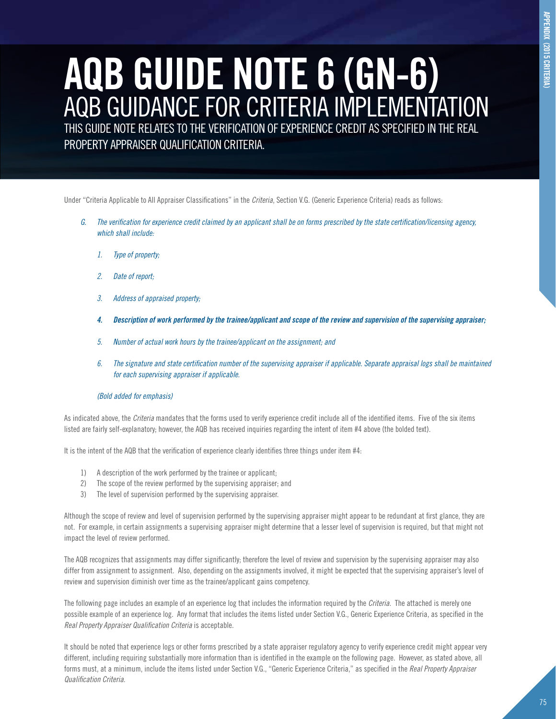# **APPENDIX (2015 CRITERIA) appendix (2015 criteria) AQB GUIDE NOTE 6 (GN-6)**

AQB GUIDANCE FOR CRITERIA IMPLEMENTATION THIS GUIDE NOTE RELATES TO THE VERIFICATION OF EXPERIENCE CREDIT AS SPECIFIED IN THE REAL PROPERTY APPRAISER QUALIFICATION CRITERIA.

Under "Criteria Applicable to All Appraiser Classifications" in the *Criteria*, Section V.G. (Generic Experience Criteria) reads as follows:

- *G. The verification for experience credit claimed by an applicant shall be on forms prescribed by the state certification/licensing agency, which shall include:*
	- *1. Type of property;*
	- *2. Date of report;*
	- *3. Address of appraised property;*
	- *4. Description of work performed by the trainee/applicant and scope of the review and supervision of the supervising appraiser;*
	- *5. Number of actual work hours by the trainee/applicant on the assignment; and*
	- *6. The signature and state certification number of the supervising appraiser if applicable. Separate appraisal logs shall be maintained for each supervising appraiser if applicable.*

#### *(Bold added for emphasis)*

As indicated above, the *Criteria* mandates that the forms used to verify experience credit include all of the identified items. Five of the six items listed are fairly self-explanatory; however, the AQB has received inquiries regarding the intent of item #4 above (the bolded text).

It is the intent of the AQB that the verification of experience clearly identifies three things under item #4:

- 1) A description of the work performed by the trainee or applicant;
- 2) The scope of the review performed by the supervising appraiser; and
- 3) The level of supervision performed by the supervising appraiser.

Although the scope of review and level of supervision performed by the supervising appraiser might appear to be redundant at first glance, they are not. For example, in certain assignments a supervising appraiser might determine that a lesser level of supervision is required, but that might not impact the level of review performed.

The AQB recognizes that assignments may differ significantly; therefore the level of review and supervision by the supervising appraiser may also differ from assignment to assignment. Also, depending on the assignments involved, it might be expected that the supervising appraiser's level of review and supervision diminish over time as the trainee/applicant gains competency.

The following page includes an example of an experience log that includes the information required by the *Criteria*. The attached is merely one possible example of an experience log. Any format that includes the items listed under Section V.G., Generic Experience Criteria, as specified in the *Real Property Appraiser Qualification Criteria* is acceptable.

It should be noted that experience logs or other forms prescribed by a state appraiser regulatory agency to verify experience credit might appear very different, including requiring substantially more information than is identified in the example on the following page. However, as stated above, all forms must, at a minimum, include the items listed under Section V.G., "Generic Experience Criteria," as specified in the *Real Property Appraiser Qualification Criteria*.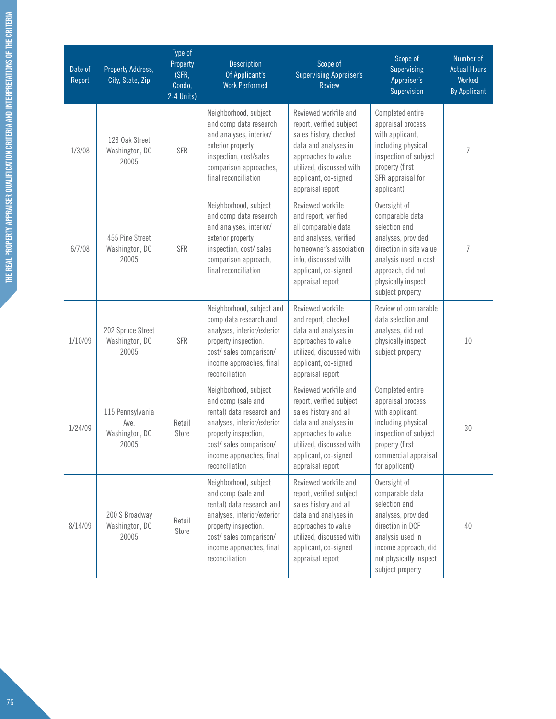| Date of<br>Report | Property Address,<br>City, State, Zip               | Type of<br>Property<br>(SFR,<br>Condo,<br>2-4 Units) | Description<br>Of Applicant's<br><b>Work Performed</b>                                                                                                                                                  | Scope of<br><b>Supervising Appraiser's</b><br>Review                                                                                                                                               | Scope of<br><b>Supervising</b><br>Appraiser's<br>Supervision                                                                                                                              | Number of<br><b>Actual Hours</b><br>Worked<br><b>By Applicant</b> |
|-------------------|-----------------------------------------------------|------------------------------------------------------|---------------------------------------------------------------------------------------------------------------------------------------------------------------------------------------------------------|----------------------------------------------------------------------------------------------------------------------------------------------------------------------------------------------------|-------------------------------------------------------------------------------------------------------------------------------------------------------------------------------------------|-------------------------------------------------------------------|
| 1/3/08            | 123 Oak Street<br>Washington, DC<br>20005           | <b>SFR</b>                                           | Neighborhood, subject<br>and comp data research<br>and analyses, interior/<br>exterior property<br>inspection, cost/sales<br>comparison approaches,<br>final reconciliation                             | Reviewed workfile and<br>report, verified subject<br>sales history, checked<br>data and analyses in<br>approaches to value<br>utilized, discussed with<br>applicant, co-signed<br>appraisal report | Completed entire<br>appraisal process<br>with applicant,<br>including physical<br>inspection of subject<br>property (first<br>SFR appraisal for<br>applicant)                             | 7                                                                 |
| 6/7/08            | 455 Pine Street<br>Washington, DC<br>20005          | <b>SFR</b>                                           | Neighborhood, subject<br>and comp data research<br>and analyses, interior/<br>exterior property<br>inspection, cost/sales<br>comparison approach,<br>final reconciliation                               | Reviewed workfile<br>and report, verified<br>all comparable data<br>and analyses, verified<br>homeowner's association<br>info, discussed with<br>applicant, co-signed<br>appraisal report          | Oversight of<br>comparable data<br>selection and<br>analyses, provided<br>direction in site value<br>analysis used in cost<br>approach, did not<br>physically inspect<br>subject property | 7                                                                 |
| 1/10/09           | 202 Spruce Street<br>Washington, DC<br>20005        | <b>SFR</b>                                           | Neighborhood, subject and<br>comp data research and<br>analyses, interior/exterior<br>property inspection,<br>cost/sales comparison/<br>income approaches, final<br>reconciliation                      | Reviewed workfile<br>and report, checked<br>data and analyses in<br>approaches to value<br>utilized, discussed with<br>applicant, co-signed<br>appraisal report                                    | Review of comparable<br>data selection and<br>analyses, did not<br>physically inspect<br>subject property                                                                                 | 10                                                                |
| 1/24/09           | 115 Pennsylvania<br>Ave.<br>Washington, DC<br>20005 | Retail<br>Store                                      | Neighborhood, subject<br>and comp (sale and<br>rental) data research and<br>analyses, interior/exterior<br>property inspection,<br>cost/sales comparison/<br>income approaches, final<br>reconciliation | Reviewed workfile and<br>report, verified subject<br>sales history and all<br>data and analyses in<br>approaches to value<br>utilized, discussed with<br>applicant, co-signed<br>appraisal report  | Completed entire<br>appraisal process<br>with applicant,<br>including physical<br>inspection of subject<br>property (first<br>commercial appraisal<br>for applicant)                      | 30                                                                |
| 8/14/09           | 200 S Broadway<br>Washington, DC<br>20005           | Retail<br>Store                                      | Neighborhood, subject<br>and comp (sale and<br>rental) data research and<br>analyses, interior/exterior<br>property inspection,<br>cost/sales comparison/<br>income approaches, final<br>reconciliation | Reviewed workfile and<br>report, verified subject<br>sales history and all<br>data and analyses in<br>approaches to value<br>utilized, discussed with<br>applicant, co-signed<br>appraisal report  | Oversight of<br>comparable data<br>selection and<br>analyses, provided<br>direction in DCF<br>analysis used in<br>income approach, did<br>not physically inspect<br>subject property      | 40                                                                |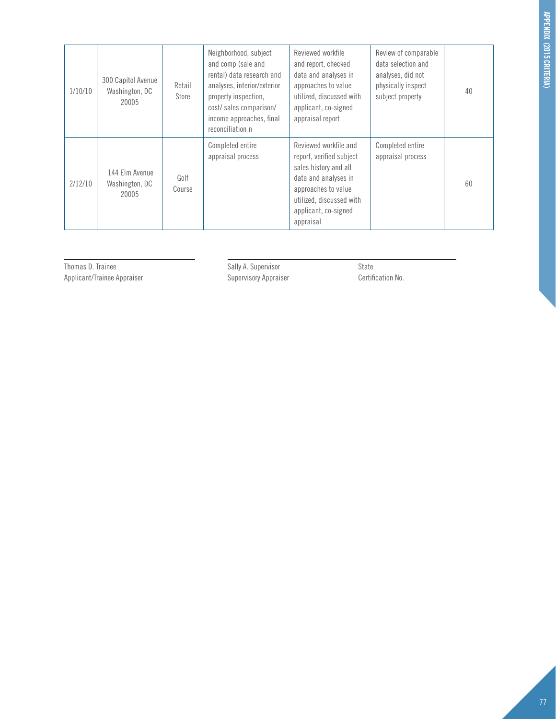| 1/10/10 | 300 Capitol Avenue<br>Washington, DC<br>20005 | Retail<br>Store | Neighborhood, subject<br>and comp (sale and<br>rental) data research and<br>analyses, interior/exterior<br>property inspection,<br>cost/sales comparison/<br>income approaches, final<br>reconciliation n | Reviewed workfile<br>and report, checked<br>data and analyses in<br>approaches to value<br>utilized, discussed with<br>applicant, co-signed<br>appraisal report                            | Review of comparable<br>data selection and<br>analyses, did not<br>physically inspect<br>subject property | 40 |
|---------|-----------------------------------------------|-----------------|-----------------------------------------------------------------------------------------------------------------------------------------------------------------------------------------------------------|--------------------------------------------------------------------------------------------------------------------------------------------------------------------------------------------|-----------------------------------------------------------------------------------------------------------|----|
| 2/12/10 | 144 Elm Avenue<br>Washington, DC<br>20005     | Golf<br>Course  | Completed entire<br>appraisal process                                                                                                                                                                     | Reviewed workfile and<br>report, verified subject<br>sales history and all<br>data and analyses in<br>approaches to value<br>utilized, discussed with<br>applicant, co-signed<br>appraisal | Completed entire<br>appraisal process                                                                     | 60 |

Thomas D. Trainee<br>
Thomas D. Trainee<br>
Applicant/Trainee Appraiser<br>
Sally A. Supervisory Appraiser<br>
Supervisory Appraiser<br>
Certific Applicant/Trainee Appraiser Supervisory Appraiser Certification No.

l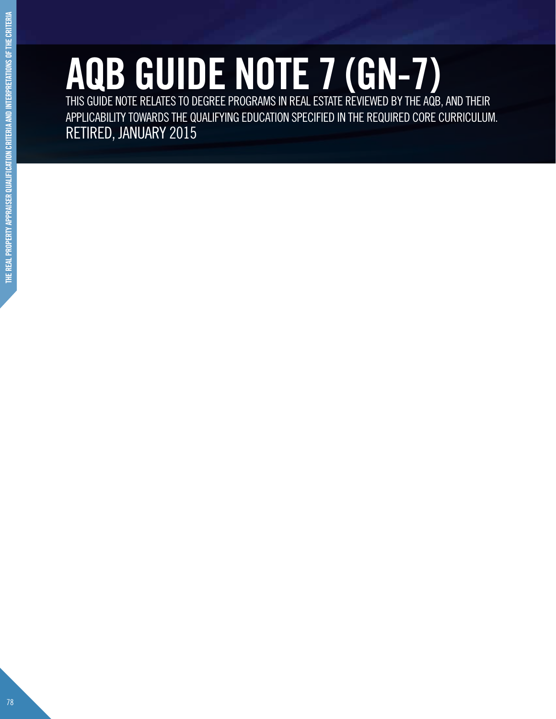# **AQB GUIDE NOTE 7 (GN-7)** THIS GUIDE NOTE RELATES TO DEGREE PROGRAMS IN REAL ESTATE REVIEWED BY THE AQB, AND THEIR

APPLICABILITY TOWARDS THE QUALIFYING EDUCATION SPECIFIED IN THE REQUIRED CORE CURRICULUM. RETIRED, JANUARY 2015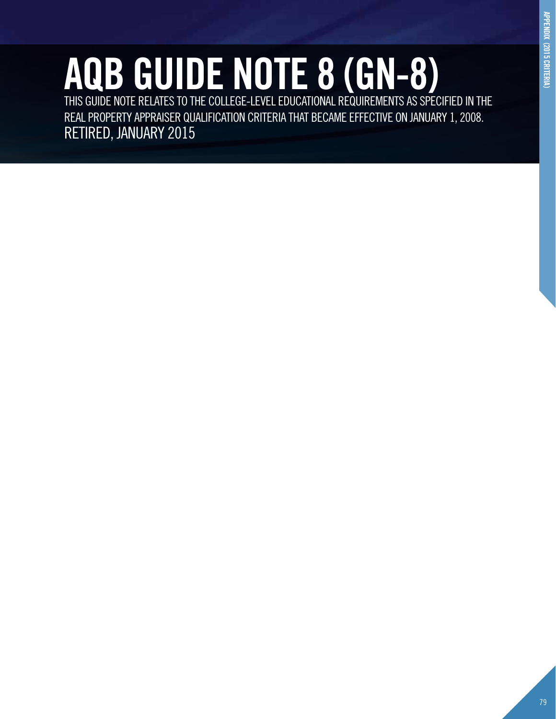# **AQB GUIDE NOTE 8 (GN-8)** THIS GUIDE NOTE RELATES TO THE COLLEGE-LEVEL EDUCATIONAL REQUIREMENTS AS SPECIFIED IN THE

REAL PROPERTY APPRAISER QUALIFICATION CRITERIA THAT BECAME EFFECTIVE ON JANUARY 1, 2008. RETIRED, JANUARY 2015

**appendix (2015 criteria)**

APPENDIX (2015 CRITERIA)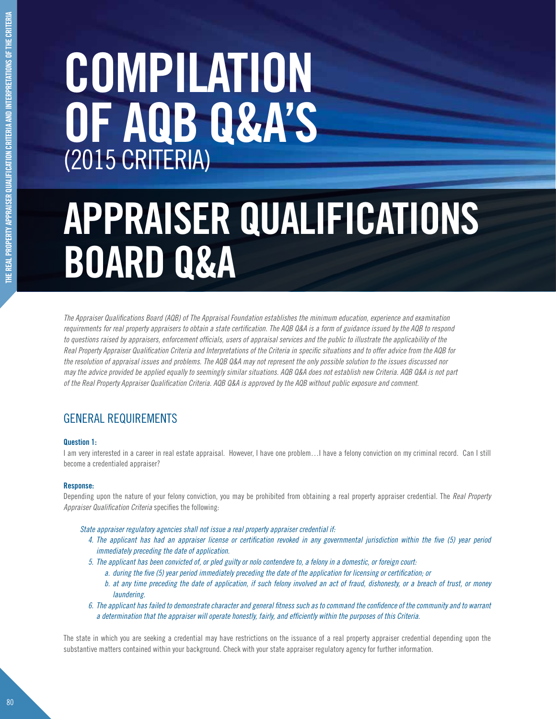# **COMPILATION OF AQB Q&A'S** (2015 CRITERIA)

# **APPRAISER QUALIFICATIONS BOARD Q&A**

*The Appraiser Qualifications Board (AQB) of The Appraisal Foundation establishes the minimum education, experience and examination requirements for real property appraisers to obtain a state certification. The AQB Q&A is a form of guidance issued by the AQB to respond to questions raised by appraisers, enforcement officials, users of appraisal services and the public to illustrate the applicability of the Real Property Appraiser Qualification Criteria and Interpretations of the Criteria in specific situations and to offer advice from the AQB for the resolution of appraisal issues and problems. The AQB Q&A may not represent the only possible solution to the issues discussed nor may the advice provided be applied equally to seemingly similar situations. AQB Q&A does not establish new Criteria. AQB Q&A is not part of the Real Property Appraiser Qualification Criteria. AQB Q&A is approved by the AQB without public exposure and comment.* 

## General Requirements

#### **Question 1:**

I am very interested in a career in real estate appraisal. However, I have one problem…I have a felony conviction on my criminal record. Can I still become a credentialed appraiser?

#### **Response:**

Depending upon the nature of your felony conviction, you may be prohibited from obtaining a real property appraiser credential. The *Real Property Appraiser Qualification Criteria* specifies the following:

- *State appraiser regulatory agencies shall not issue a real property appraiser credential if:*
	- *4. The applicant has had an appraiser license or certification revoked in any governmental jurisdiction within the five (5) year period immediately preceding the date of application.*
	- *5. The applicant has been convicted of, or pled guilty or nolo contendere to, a felony in a domestic, or foreign court:*
		- *a. during the five (5) year period immediately preceding the date of the application for licensing or certification; or*
		- *b. at any time preceding the date of application, if such felony involved an act of fraud, dishonesty, or a breach of trust, or money laundering.*
	- *6. The applicant has failed to demonstrate character and general fitness such as to command the confidence of the community and to warrant a determination that the appraiser will operate honestly, fairly, and efficiently within the purposes of this Criteria.*

The state in which you are seeking a credential may have restrictions on the issuance of a real property appraiser credential depending upon the substantive matters contained within your background. Check with your state appraiser regulatory agency for further information.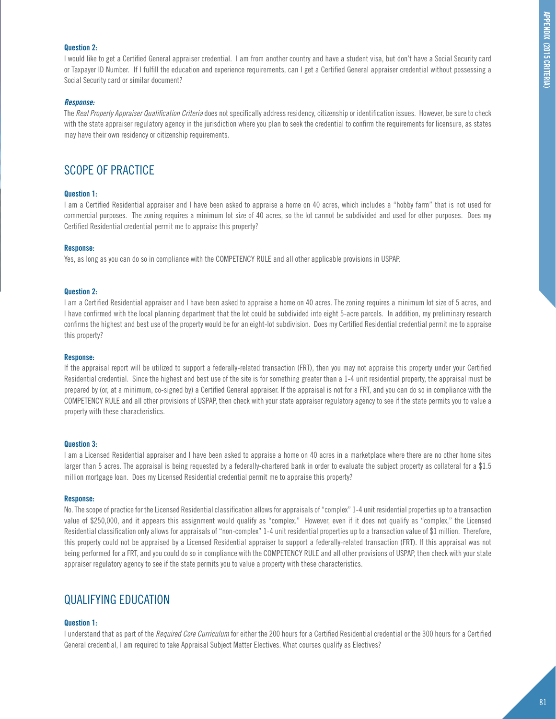#### **Question 2:**

I would like to get a Certified General appraiser credential. I am from another country and have a student visa, but don't have a Social Security card or Taxpayer ID Number. If I fulfill the education and experience requirements, can I get a Certified General appraiser credential without possessing a Social Security card or similar document?

#### *Response:*

The *Real Property Appraiser Qualification Criteria* does not specifically address residency, citizenship or identification issues. However, be sure to check with the state appraiser regulatory agency in the jurisdiction where you plan to seek the credential to confirm the requirements for licensure, as states may have their own residency or citizenship requirements.

### SCOPE OF PRACTICE

#### **Question 1:**

I am a Certified Residential appraiser and I have been asked to appraise a home on 40 acres, which includes a "hobby farm" that is not used for commercial purposes. The zoning requires a minimum lot size of 40 acres, so the lot cannot be subdivided and used for other purposes. Does my Certified Residential credential permit me to appraise this property?

#### **Response:**

Yes, as long as you can do so in compliance with the COMPETENCY RULE and all other applicable provisions in USPAP.

#### **Question 2:**

I am a Certified Residential appraiser and I have been asked to appraise a home on 40 acres. The zoning requires a minimum lot size of 5 acres, and I have confirmed with the local planning department that the lot could be subdivided into eight 5-acre parcels. In addition, my preliminary research confirms the highest and best use of the property would be for an eight-lot subdivision. Does my Certified Residential credential permit me to appraise this property?

#### **Response:**

If the appraisal report will be utilized to support a federally-related transaction (FRT), then you may not appraise this property under your Certified Residential credential. Since the highest and best use of the site is for something greater than a 1-4 unit residential property, the appraisal must be prepared by (or, at a minimum, co-signed by) a Certified General appraiser. If the appraisal is not for a FRT, and you can do so in compliance with the COMPETENCY RULE and all other provisions of USPAP, then check with your state appraiser regulatory agency to see if the state permits you to value a property with these characteristics.

#### **Question 3:**

I am a Licensed Residential appraiser and I have been asked to appraise a home on 40 acres in a marketplace where there are no other home sites larger than 5 acres. The appraisal is being requested by a federally-chartered bank in order to evaluate the subject property as collateral for a \$1.5 million mortgage loan. Does my Licensed Residential credential permit me to appraise this property?

#### **Response:**

No. The scope of practice for the Licensed Residential classification allows for appraisals of "complex" 1-4 unit residential properties up to a transaction value of \$250,000, and it appears this assignment would qualify as "complex." However, even if it does not qualify as "complex," the Licensed Residential classification only allows for appraisals of "non-complex" 1-4 unit residential properties up to a transaction value of \$1 million. Therefore, this property could not be appraised by a Licensed Residential appraiser to support a federally-related transaction (FRT). If this appraisal was not being performed for a FRT, and you could do so in compliance with the COMPETENCY RULE and all other provisions of USPAP, then check with your state appraiser regulatory agency to see if the state permits you to value a property with these characteristics.

### QUALIFYING EDUCATION

#### **Question 1:**

I understand that as part of the *Required Core Curriculum* for either the 200 hours for a Certified Residential credential or the 300 hours for a Certified General credential, I am required to take Appraisal Subject Matter Electives. What courses qualify as Electives?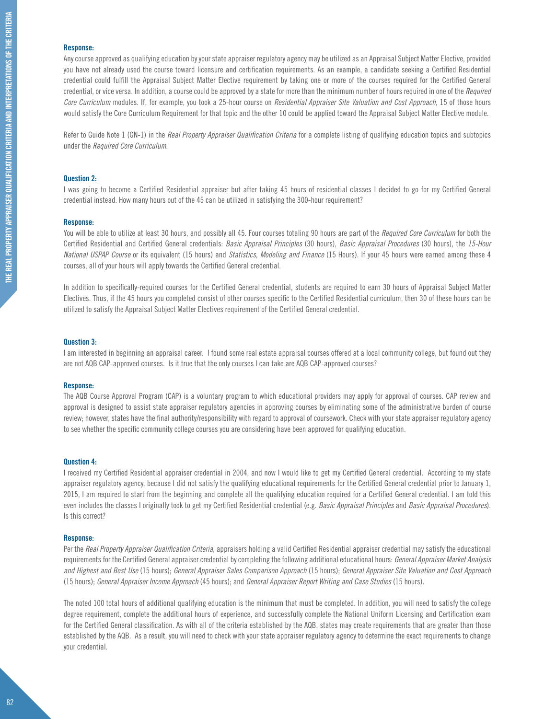#### **Response:**

Any course approved as qualifying education by your state appraiser regulatory agency may be utilized as an Appraisal Subject Matter Elective, provided you have not already used the course toward licensure and certification requirements. As an example, a candidate seeking a Certified Residential credential could fulfill the Appraisal Subject Matter Elective requirement by taking one or more of the courses required for the Certified General credential, or vice versa. In addition, a course could be approved by a state for more than the minimum number of hours required in one of the *Required Core Curriculum* modules. If, for example, you took a 25-hour course on *Residential Appraiser Site Valuation and Cost Approach*, 15 of those hours would satisfy the Core Curriculum Requirement for that topic and the other 10 could be applied toward the Appraisal Subject Matter Elective module.

Refer to Guide Note 1 (GN-1) in the *Real Property Appraiser Qualification Criteria* for a complete listing of qualifying education topics and subtopics under the *Required Core Curriculum*.

#### **Question 2:**

I was going to become a Certified Residential appraiser but after taking 45 hours of residential classes I decided to go for my Certified General credential instead. How many hours out of the 45 can be utilized in satisfying the 300-hour requirement?

#### **Response:**

You will be able to utilize at least 30 hours, and possibly all 45. Four courses totaling 90 hours are part of the *Required Core Curriculum* for both the Certified Residential and Certified General credentials: *Basic Appraisal Principles* (30 hours), *Basic Appraisal Procedures* (30 hours), the *15-Hour National USPAP Course* or its equivalent (15 hours) and *Statistics, Modeling and Finance* (15 Hours). If your 45 hours were earned among these 4 courses, all of your hours will apply towards the Certified General credential.

In addition to specifically-required courses for the Certified General credential, students are required to earn 30 hours of Appraisal Subject Matter Electives. Thus, if the 45 hours you completed consist of other courses specific to the Certified Residential curriculum, then 30 of these hours can be utilized to satisfy the Appraisal Subject Matter Electives requirement of the Certified General credential.

#### **Question 3:**

I am interested in beginning an appraisal career. I found some real estate appraisal courses offered at a local community college, but found out they are not AQB CAP-approved courses. Is it true that the only courses I can take are AQB CAP-approved courses?

#### **Response:**

The AQB Course Approval Program (CAP) is a voluntary program to which educational providers may apply for approval of courses. CAP review and approval is designed to assist state appraiser regulatory agencies in approving courses by eliminating some of the administrative burden of course review; however, states have the final authority/responsibility with regard to approval of coursework. Check with your state appraiser regulatory agency to see whether the specific community college courses you are considering have been approved for qualifying education.

#### **Question 4:**

I received my Certified Residential appraiser credential in 2004, and now I would like to get my Certified General credential. According to my state appraiser regulatory agency, because I did not satisfy the qualifying educational requirements for the Certified General credential prior to January 1, 2015, I am required to start from the beginning and complete all the qualifying education required for a Certified General credential. I am told this even includes the classes I originally took to get my Certified Residential credential (e.g. *Basic Appraisal Principles* and *Basic Appraisal Procedures*). Is this correct?

#### **Response:**

Per the *Real Property Appraiser Qualification Criteria*, appraisers holding a valid Certified Residential appraiser credential may satisfy the educational requirements for the Certified General appraiser credential by completing the following additional educational hours: *General Appraiser Market Analysis and Highest and Best Use* (15 hours); *General Appraiser Sales Comparison Approach* (15 hours); *General Appraiser Site Valuation and Cost Approach* (15 hours); *General Appraiser Income Approach* (45 hours); and *General Appraiser Report Writing and Case Studies* (15 hours).

The noted 100 total hours of additional qualifying education is the minimum that must be completed. In addition, you will need to satisfy the college degree requirement, complete the additional hours of experience, and successfully complete the National Uniform Licensing and Certification exam for the Certified General classification. As with all of the criteria established by the AQB, states may create requirements that are greater than those established by the AQB. As a result, you will need to check with your state appraiser regulatory agency to determine the exact requirements to change your credential.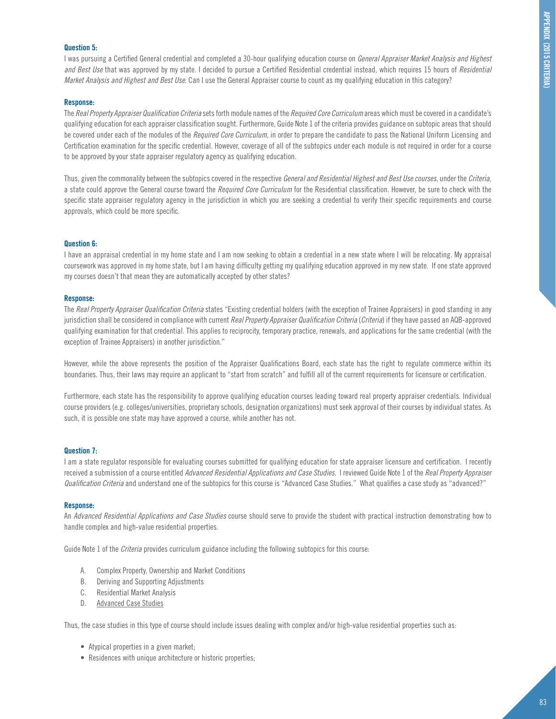#### **Question 5:**

I was pursuing a Certified General credential and completed a 30-hour qualifying education course on *General Appraiser Market Analysis and Highest and Best Use* that was approved by my state. I decided to pursue a Certified Residential credential instead, which requires 15 hours of *Residential Market Analysis and Highest and Best Use*. Can I use the General Appraiser course to count as my qualifying education in this category?

#### **Response:**

The *Real Property Appraiser Qualification Criteria* sets forth module names of the *Required Core Curriculum* areas which must be covered in a candidate's qualifying education for each appraiser classification sought. Furthermore, Guide Note 1 of the criteria provides guidance on subtopic areas that should be covered under each of the modules of the *Required Core Curriculum*, in order to prepare the candidate to pass the National Uniform Licensing and Certification examination for the specific credential. However, coverage of all of the subtopics under each module is not required in order for a course to be approved by your state appraiser regulatory agency as qualifying education.

Thus, given the commonality between the subtopics covered in the respective *General and Residential Highest and Best Use courses*, under the *Criteria*, a state could approve the General course toward the *Required Core Curriculum* for the Residential classification. However, be sure to check with the specific state appraiser regulatory agency in the jurisdiction in which you are seeking a credential to verify their specific requirements and course approvals, which could be more specific.

#### **Question 6:**

I have an appraisal credential in my home state and I am now seeking to obtain a credential in a new state where I will be relocating. My appraisal coursework was approved in my home state, but I am having difficulty getting my qualifying education approved in my new state. If one state approved my courses doesn't that mean they are automatically accepted by other states?

#### **Response:**

The *Real Property Appraiser Qualification Criteria* states "Existing credential holders (with the exception of Trainee Appraisers) in good standing in any jurisdiction shall be considered in compliance with current *Real Property Appraiser Qualification Criteria* (*Criteria*) if they have passed an AQB-approved qualifying examination for that credential. This applies to reciprocity, temporary practice, renewals, and applications for the same credential (with the exception of Trainee Appraisers) in another jurisdiction."

However, while the above represents the position of the Appraiser Qualifications Board, each state has the right to regulate commerce within its boundaries. Thus, their laws may require an applicant to "start from scratch" and fulfill all of the current requirements for licensure or certification.

Furthermore, each state has the responsibility to approve qualifying education courses leading toward real property appraiser credentials. Individual course providers (e.g. colleges/universities, proprietary schools, designation organizations) must seek approval of their courses by individual states. As such, it is possible one state may have approved a course, while another has not.

#### **Question 7:**

I am a state regulator responsible for evaluating courses submitted for qualifying education for state appraiser licensure and certification. I recently received a submission of a course entitled *Advanced Residential Applications and Case Studies*. I reviewed Guide Note 1 of the *Real Property Appraiser Qualification Criteria* and understand one of the subtopics for this course is "Advanced Case Studies." What qualifies a case study as "advanced?"

#### **Response:**

An *Advanced Residential Applications and Case Studies* course should serve to provide the student with practical instruction demonstrating how to handle complex and high-value residential properties.

Guide Note 1 of the *Criteria* provides curriculum guidance including the following subtopics for this course:

- A. Complex Property, Ownership and Market Conditions
- B. Deriving and Supporting Adjustments
- C. Residential Market Analysis
- D. Advanced Case Studies

Thus, the case studies in this type of course should include issues dealing with complex and/or high-value residential properties such as:

- Atypical properties in a given market;
- Residences with unique architecture or historic properties;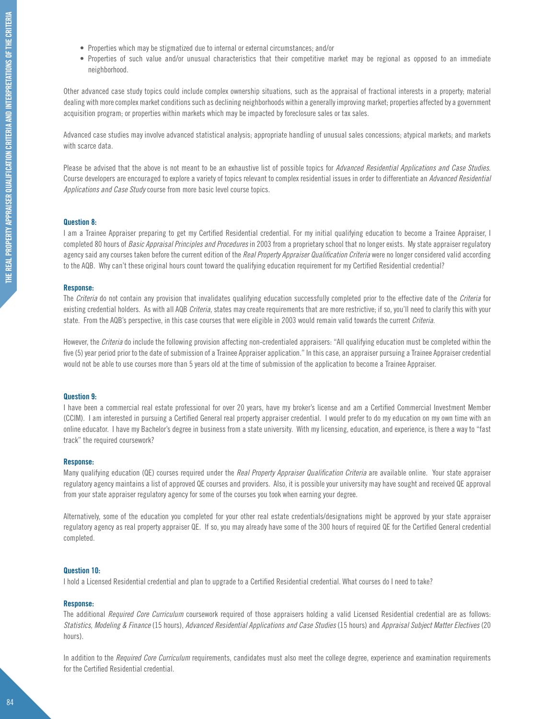- Properties which may be stigmatized due to internal or external circumstances; and/or
- Properties of such value and/or unusual characteristics that their competitive market may be regional as opposed to an immediate neighborhood.

Other advanced case study topics could include complex ownership situations, such as the appraisal of fractional interests in a property; material dealing with more complex market conditions such as declining neighborhoods within a generally improving market; properties affected by a government acquisition program; or properties within markets which may be impacted by foreclosure sales or tax sales.

Advanced case studies may involve advanced statistical analysis; appropriate handling of unusual sales concessions; atypical markets; and markets with scarce data.

Please be advised that the above is not meant to be an exhaustive list of possible topics for *Advanced Residential Applications and Case Studies*. Course developers are encouraged to explore a variety of topics relevant to complex residential issues in order to differentiate an *Advanced Residential Applications and Case Study* course from more basic level course topics.

#### **Question 8:**

I am a Trainee Appraiser preparing to get my Certified Residential credential. For my initial qualifying education to become a Trainee Appraiser, I completed 80 hours of *Basic Appraisal Principles and Procedures* in 2003 from a proprietary school that no longer exists. My state appraiser regulatory agency said any courses taken before the current edition of the *Real Property Appraiser Qualification Criteria* were no longer considered valid according to the AQB. Why can't these original hours count toward the qualifying education requirement for my Certified Residential credential?

#### **Response:**

The *Criteria* do not contain any provision that invalidates qualifying education successfully completed prior to the effective date of the *Criteria* for existing credential holders. As with all AQB *Criteria*, states may create requirements that are more restrictive; if so, you'll need to clarify this with your state. From the AQB's perspective, in this case courses that were eligible in 2003 would remain valid towards the current *Criteria*.

However, the *Criteria* do include the following provision affecting non-credentialed appraisers: "All qualifying education must be completed within the five (5) year period prior to the date of submission of a Trainee Appraiser application." In this case, an appraiser pursuing a Trainee Appraiser credential would not be able to use courses more than 5 years old at the time of submission of the application to become a Trainee Appraiser.

#### **Question 9:**

I have been a commercial real estate professional for over 20 years, have my broker's license and am a Certified Commercial Investment Member (CCIM). I am interested in pursuing a Certified General real property appraiser credential. I would prefer to do my education on my own time with an online educator. I have my Bachelor's degree in business from a state university. With my licensing, education, and experience, is there a way to "fast track" the required coursework?

#### **Response:**

Many qualifying education (QE) courses required under the *Real Property Appraiser Qualification Criteria* are available online. Your state appraiser regulatory agency maintains a list of approved QE courses and providers. Also, it is possible your university may have sought and received QE approval from your state appraiser regulatory agency for some of the courses you took when earning your degree.

Alternatively, some of the education you completed for your other real estate credentials/designations might be approved by your state appraiser regulatory agency as real property appraiser QE. If so, you may already have some of the 300 hours of required QE for the Certified General credential completed.

#### **Question 10:**

I hold a Licensed Residential credential and plan to upgrade to a Certified Residential credential. What courses do I need to take?

#### **Response:**

The additional *Required Core Curriculum* coursework required of those appraisers holding a valid Licensed Residential credential are as follows: *Statistics, Modeling & Finance* (15 hours), *Advanced Residential Applications and Case Studies* (15 hours) and *Appraisal Subject Matter Electives* (20 hours).

In addition to the *Required Core Curriculum* requirements, candidates must also meet the college degree, experience and examination requirements for the Certified Residential credential.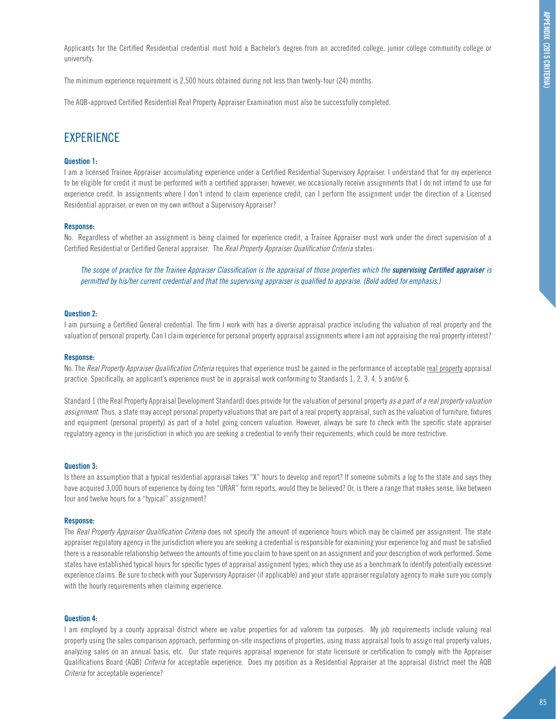Applicants for the Certified Residential credential must hold a Bachelor's degree from an accredited college, junior college community college or university.

The minimum experience requirement is 2,500 hours obtained during not less than twenty-four (24) months.

The AQB-approved Certified Residential Real Property Appraiser Examination must also be successfully completed.

### **EXPERIENCE**

#### **Question 1:**

I am a licensed Trainee Appraiser accumulating experience under a Certified Residential Supervisory Appraiser. I understand that for my experience to be eligible for credit it must be performed with a certified appraiser; however, we occasionally receive assignments that I do not intend to use for experience credit. In assignments where I don't intend to claim experience credit, can I perform the assignment under the direction of a Licensed Residential appraiser, or even on my own without a Supervisory Appraiser?

#### **Response:**

No. Regardless of whether an assignment is being claimed for experience credit, a Trainee Appraiser must work under the direct supervision of a Certified Residential or Certified General appraiser. The *Real Property Appraiser Qualification Criteria* states:

The scope of practice for the Trainee Appraiser Classification is the appraisal of those properties which the **supervising Certified appraiser** is *permitted by his/her current credential and that the supervising appraiser is qualified to appraise. (Bold added for emphasis.)*

#### **Question 2:**

I am pursuing a Certified General credential. The firm I work with has a diverse appraisal practice including the valuation of real property and the valuation of personal property. Can I claim experience for personal property appraisal assignments where I am not appraising the real property interest?

#### **Response:**

No. The *Real Property Appraiser Qualification Criteria* requires that experience must be gained in the performance of acceptable real property appraisal practice. Specifically, an applicant's experience must be in appraisal work conforming to Standards 1, 2, 3, 4, 5 and/or 6.

Standard 1 (the Real Property Appraisal Development Standard) does provide for the valuation of personal property *as a part of a real property valuation assignment*. Thus, a state may accept personal property valuations that are part of a real property appraisal, such as the valuation of furniture, fixtures and equipment (personal property) as part of a hotel going concern valuation. However, always be sure to check with the specific state appraiser regulatory agency in the jurisdiction in which you are seeking a credential to verify their requirements, which could be more restrictive.

#### **Question 3:**

Is there an assumption that a typical residential appraisal takes "X" hours to develop and report? If someone submits a log to the state and says they have acquired 3,000 hours of experience by doing ten "URAR" form reports, would they be believed? Or, is there a range that makes sense, like between four and twelve hours for a "typical" assignment?

#### **Response:**

The *Real Property Appraiser Qualification Criteria* does not specify the amount of experience hours which may be claimed per assignment. The state appraiser regulatory agency in the jurisdiction where you are seeking a credential is responsible for examining your experience log and must be satisfied there is a reasonable relationship between the amounts of time you claim to have spent on an assignment and your description of work performed. Some states have established typical hours for specific types of appraisal assignment types, which they use as a benchmark to identify potentially excessive experience claims. Be sure to check with your Supervisory Appraiser (if applicable) and your state appraiser regulatory agency to make sure you comply with the hourly requirements when claiming experience.

#### **Question 4:**

I am employed by a county appraisal district where we value properties for ad valorem tax purposes. My job requirements include valuing real property using the sales comparison approach, performing on-site inspections of properties, using mass appraisal tools to assign real property values, analyzing sales on an annual basis, etc. Our state requires appraisal experience for state licensure or certification to comply with the Appraiser Qualifications Board (AQB) *Criteria* for acceptable experience. Does my position as a Residential Appraiser at the appraisal district meet the AQB *Criteria* for acceptable experience?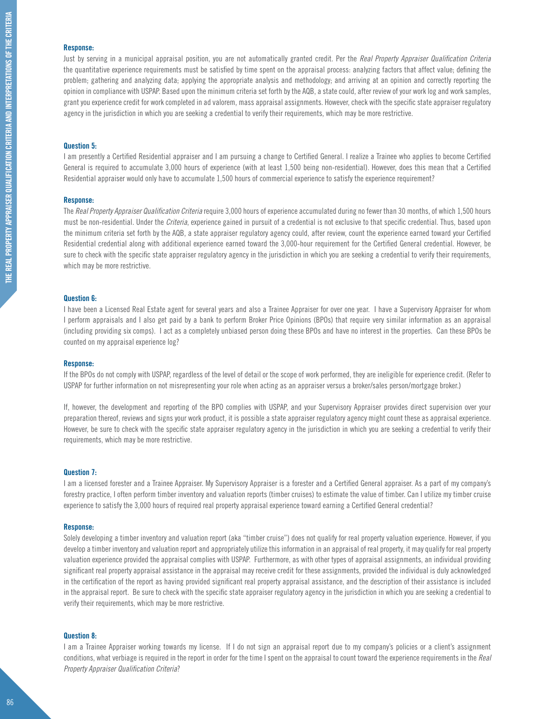#### **Response:**

Just by serving in a municipal appraisal position, you are not automatically granted credit. Per the *Real Property Appraiser Qualification Criteria* the quantitative experience requirements must be satisfied by time spent on the appraisal process: analyzing factors that affect value; defining the problem; gathering and analyzing data; applying the appropriate analysis and methodology; and arriving at an opinion and correctly reporting the opinion in compliance with USPAP. Based upon the minimum criteria set forth by the AQB, a state could, after review of your work log and work samples, grant you experience credit for work completed in ad valorem, mass appraisal assignments. However, check with the specific state appraiser regulatory agency in the jurisdiction in which you are seeking a credential to verify their requirements, which may be more restrictive.

#### **Question 5:**

I am presently a Certified Residential appraiser and I am pursuing a change to Certified General. I realize a Trainee who applies to become Certified General is required to accumulate 3,000 hours of experience (with at least 1,500 being non-residential). However, does this mean that a Certified Residential appraiser would only have to accumulate 1,500 hours of commercial experience to satisfy the experience requirement?

#### **Response:**

The *Real Property Appraiser Qualification Criteria* require 3,000 hours of experience accumulated during no fewer than 30 months, of which 1,500 hours must be non-residential. Under the *Criteria*, experience gained in pursuit of a credential is not exclusive to that specific credential. Thus, based upon the minimum criteria set forth by the AQB, a state appraiser regulatory agency could, after review, count the experience earned toward your Certified Residential credential along with additional experience earned toward the 3,000-hour requirement for the Certified General credential. However, be sure to check with the specific state appraiser regulatory agency in the jurisdiction in which you are seeking a credential to verify their requirements, which may be more restrictive.

#### **Question 6:**

I have been a Licensed Real Estate agent for several years and also a Trainee Appraiser for over one year. I have a Supervisory Appraiser for whom I perform appraisals and I also get paid by a bank to perform Broker Price Opinions (BPOs) that require very similar information as an appraisal (including providing six comps). I act as a completely unbiased person doing these BPOs and have no interest in the properties. Can these BPOs be counted on my appraisal experience log?

#### **Response:**

If the BPOs do not comply with USPAP, regardless of the level of detail or the scope of work performed, they are ineligible for experience credit. (Refer to USPAP for further information on not misrepresenting your role when acting as an appraiser versus a broker/sales person/mortgage broker.)

If, however, the development and reporting of the BPO complies with USPAP, and your Supervisory Appraiser provides direct supervision over your preparation thereof, reviews and signs your work product, it is possible a state appraiser regulatory agency might count these as appraisal experience. However, be sure to check with the specific state appraiser regulatory agency in the jurisdiction in which you are seeking a credential to verify their requirements, which may be more restrictive.

#### **Question 7:**

I am a licensed forester and a Trainee Appraiser. My Supervisory Appraiser is a forester and a Certified General appraiser. As a part of my company's forestry practice, I often perform timber inventory and valuation reports (timber cruises) to estimate the value of timber. Can I utilize my timber cruise experience to satisfy the 3,000 hours of required real property appraisal experience toward earning a Certified General credential?

#### **Response:**

Solely developing a timber inventory and valuation report (aka "timber cruise") does not qualify for real property valuation experience. However, if you develop a timber inventory and valuation report and appropriately utilize this information in an appraisal of real property, it may qualify for real property valuation experience provided the appraisal complies with USPAP. Furthermore, as with other types of appraisal assignments, an individual providing significant real property appraisal assistance in the appraisal may receive credit for these assignments, provided the individual is duly acknowledged in the certification of the report as having provided significant real property appraisal assistance, and the description of their assistance is included in the appraisal report. Be sure to check with the specific state appraiser regulatory agency in the jurisdiction in which you are seeking a credential to verify their requirements, which may be more restrictive.

#### **Question 8:**

I am a Trainee Appraiser working towards my license. If I do not sign an appraisal report due to my company's policies or a client's assignment conditions, what verbiage is required in the report in order for the time I spent on the appraisal to count toward the experience requirements in the *Real Property Appraiser Qualification Criteria*?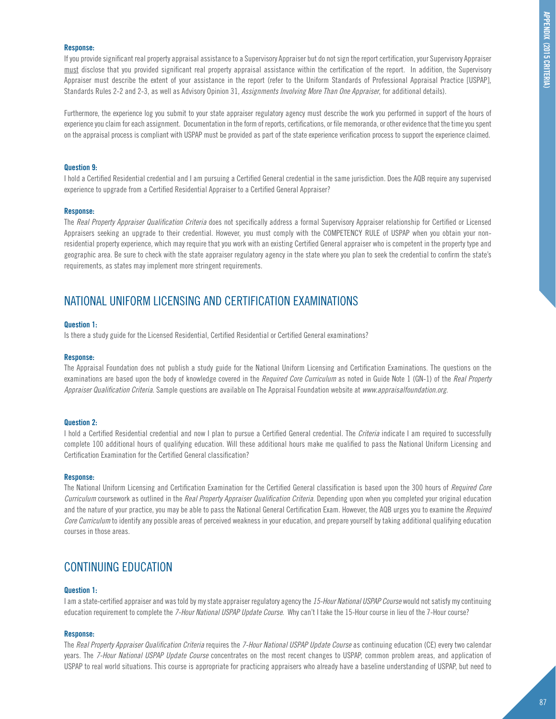#### **Response:**

If you provide significant real property appraisal assistance to a Supervisory Appraiser but do not sign the report certification, your Supervisory Appraiser must disclose that you provided significant real property appraisal assistance within the certification of the report. In addition, the Supervisory Appraiser must describe the extent of your assistance in the report (refer to the Uniform Standards of Professional Appraisal Practice [USPAP], Standards Rules 2-2 and 2-3, as well as Advisory Opinion 31, *Assignments Involving More Than One Appraiser*, for additional details).

Furthermore, the experience log you submit to your state appraiser regulatory agency must describe the work you performed in support of the hours of experience you claim for each assignment. Documentation in the form of reports, certifications, or file memoranda, or other evidence that the time you spent on the appraisal process is compliant with USPAP must be provided as part of the state experience verification process to support the experience claimed.

#### **Question 9:**

I hold a Certified Residential credential and I am pursuing a Certified General credential in the same jurisdiction. Does the AQB require any supervised experience to upgrade from a Certified Residential Appraiser to a Certified General Appraiser?

#### **Response:**

The *Real Property Appraiser Qualification Criteria* does not specifically address a formal Supervisory Appraiser relationship for Certified or Licensed Appraisers seeking an upgrade to their credential. However, you must comply with the COMPETENCY RULE of USPAP when you obtain your nonresidential property experience, which may require that you work with an existing Certified General appraiser who is competent in the property type and geographic area. Be sure to check with the state appraiser regulatory agency in the state where you plan to seek the credential to confirm the state's requirements, as states may implement more stringent requirements.

### NATIONAL UNIFORM LICENSING AND CERTIFICATION EXAMINATIONS

#### **Question 1:**

Is there a study guide for the Licensed Residential, Certified Residential or Certified General examinations?

#### **Response:**

The Appraisal Foundation does not publish a study guide for the National Uniform Licensing and Certification Examinations. The questions on the examinations are based upon the body of knowledge covered in the *Required Core Curriculum* as noted in Guide Note 1 (GN-1) of the *Real Property Appraiser Qualification Criteria*. Sample questions are available on The Appraisal Foundation website at *www.appraisalfoundation.org*.

#### **Question 2:**

I hold a Certified Residential credential and now I plan to pursue a Certified General credential. The *Criteria* indicate I am required to successfully complete 100 additional hours of qualifying education. Will these additional hours make me qualified to pass the National Uniform Licensing and Certification Examination for the Certified General classification?

#### **Response:**

The National Uniform Licensing and Certification Examination for the Certified General classification is based upon the 300 hours of *Required Core Curriculum* coursework as outlined in the *Real Property Appraiser Qualification Criteria*. Depending upon when you completed your original education and the nature of your practice, you may be able to pass the National General Certification Exam. However, the AQB urges you to examine the *Required Core Curriculum* to identify any possible areas of perceived weakness in your education, and prepare yourself by taking additional qualifying education courses in those areas.

### CONTINUING EDUCATION

#### **Question 1:**

I am a state-certified appraiser and was told by my state appraiser regulatory agency the *15-Hour National USPAP Course* would not satisfy my continuing education requirement to complete the *7-Hour National USPAP Update Course*. Why can't I take the 15-Hour course in lieu of the 7-Hour course?

#### **Response:**

The *Real Property Appraiser Qualification Criteria* requires the *7-Hour National USPAP Update Course* as continuing education (CE) every two calendar years. The *7-Hour National USPAP Update Course* concentrates on the most recent changes to USPAP, common problem areas, and application of USPAP to real world situations. This course is appropriate for practicing appraisers who already have a baseline understanding of USPAP, but need to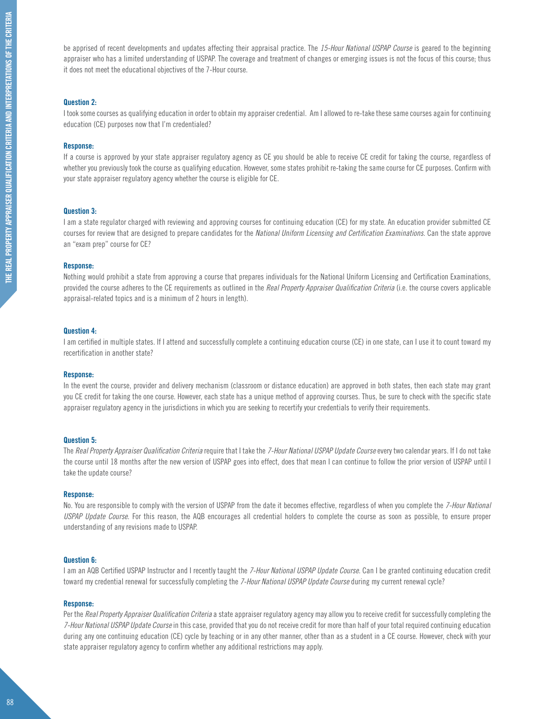be apprised of recent developments and updates affecting their appraisal practice. The *15-Hour National USPAP Course* is geared to the beginning appraiser who has a limited understanding of USPAP. The coverage and treatment of changes or emerging issues is not the focus of this course; thus it does not meet the educational objectives of the 7-Hour course.

#### **Question 2:**

I took some courses as qualifying education in order to obtain my appraiser credential. Am I allowed to re-take these same courses again for continuing education (CE) purposes now that I'm credentialed?

#### **Response:**

If a course is approved by your state appraiser regulatory agency as CE you should be able to receive CE credit for taking the course, regardless of whether you previously took the course as qualifying education. However, some states prohibit re-taking the same course for CE purposes. Confirm with your state appraiser regulatory agency whether the course is eligible for CE.

#### **Question 3:**

I am a state regulator charged with reviewing and approving courses for continuing education (CE) for my state. An education provider submitted CE courses for review that are designed to prepare candidates for the *National Uniform Licensing and Certification Examinations*. Can the state approve an "exam prep" course for CE?

#### **Response:**

Nothing would prohibit a state from approving a course that prepares individuals for the National Uniform Licensing and Certification Examinations, provided the course adheres to the CE requirements as outlined in the *Real Property Appraiser Qualification Criteria* (i.e. the course covers applicable appraisal-related topics and is a minimum of 2 hours in length).

#### **Question 4:**

I am certified in multiple states. If I attend and successfully complete a continuing education course (CE) in one state, can I use it to count toward my recertification in another state?

#### **Response:**

In the event the course, provider and delivery mechanism (classroom or distance education) are approved in both states, then each state may grant you CE credit for taking the one course. However, each state has a unique method of approving courses. Thus, be sure to check with the specific state appraiser regulatory agency in the jurisdictions in which you are seeking to recertify your credentials to verify their requirements.

#### **Question 5:**

The *Real Property Appraiser Qualification Criteria* require that I take the *7-Hour National USPAP Update Course* every two calendar years. If I do not take the course until 18 months after the new version of USPAP goes into effect, does that mean I can continue to follow the prior version of USPAP until I take the update course?

#### **Response:**

No. You are responsible to comply with the version of USPAP from the date it becomes effective, regardless of when you complete the *7-Hour National USPAP Update Course*. For this reason, the AQB encourages all credential holders to complete the course as soon as possible, to ensure proper understanding of any revisions made to USPAP.

#### **Question 6:**

I am an AQB Certified USPAP Instructor and I recently taught the *7-Hour National USPAP Update Course*. Can I be granted continuing education credit toward my credential renewal for successfully completing the *7-Hour National USPAP Update Course* during my current renewal cycle?

#### **Response:**

Per the *Real Property Appraiser Qualification Criteria* a state appraiser regulatory agency may allow you to receive credit for successfully completing the *7-Hour National USPAP Update Course* in this case, provided that you do not receive credit for more than half of your total required continuing education during any one continuing education (CE) cycle by teaching or in any other manner, other than as a student in a CE course. However, check with your state appraiser regulatory agency to confirm whether any additional restrictions may apply.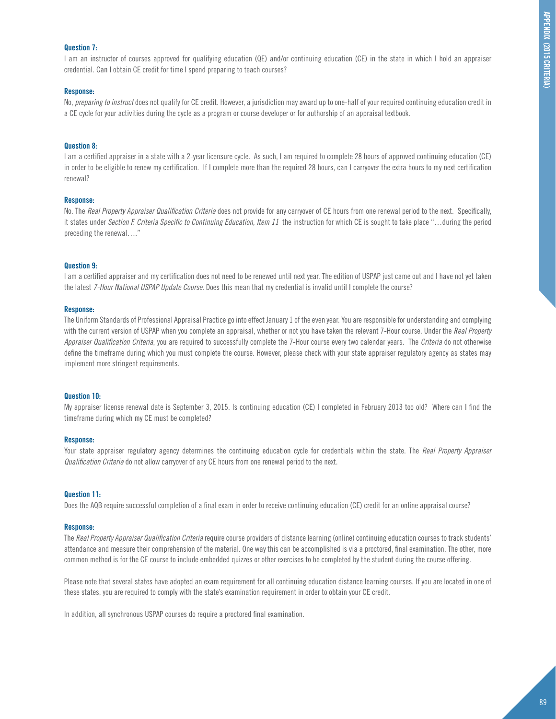#### **Question 7:**

I am an instructor of courses approved for qualifying education (QE) and/or continuing education (CE) in the state in which I hold an appraiser credential. Can I obtain CE credit for time I spend preparing to teach courses?

#### **Response:**

No, *preparing to instruct* does not qualify for CE credit. However, a jurisdiction may award up to one-half of your required continuing education credit in a CE cycle for your activities during the cycle as a program or course developer or for authorship of an appraisal textbook.

#### **Question 8:**

I am a certified appraiser in a state with a 2-year licensure cycle. As such, I am required to complete 28 hours of approved continuing education (CE) in order to be eligible to renew my certification. If I complete more than the required 28 hours, can I carryover the extra hours to my next certification renewal?

#### **Response:**

No. The *Real Property Appraiser Qualification Criteria* does not provide for any carryover of CE hours from one renewal period to the next. Specifically, it states under *Section F. Criteria Specific to Continuing Education, Item 11* the instruction for which CE is sought to take place "…during the period preceding the renewal…."

#### **Question 9:**

I am a certified appraiser and my certification does not need to be renewed until next year. The edition of USPAP just came out and I have not yet taken the latest *7-Hour National USPAP Update Course*. Does this mean that my credential is invalid until I complete the course?

#### **Response:**

The Uniform Standards of Professional Appraisal Practice go into effect January 1 of the even year. You are responsible for understanding and complying with the current version of USPAP when you complete an appraisal, whether or not you have taken the relevant 7-Hour course. Under the *Real Property Appraiser Qualification Criteria*, you are required to successfully complete the 7-Hour course every two calendar years. The *Criteria* do not otherwise define the timeframe during which you must complete the course. However, please check with your state appraiser regulatory agency as states may implement more stringent requirements.

#### **Question 10:**

My appraiser license renewal date is September 3, 2015. Is continuing education (CE) I completed in February 2013 too old? Where can I find the timeframe during which my CE must be completed?

#### **Response:**

Your state appraiser regulatory agency determines the continuing education cycle for credentials within the state. The *Real Property Appraiser Qualification Criteria* do not allow carryover of any CE hours from one renewal period to the next.

#### **Question 11:**

Does the AQB require successful completion of a final exam in order to receive continuing education (CE) credit for an online appraisal course?

#### **Response:**

The *Real Property Appraiser Qualification Criteria* require course providers of distance learning (online) continuing education courses to track students' attendance and measure their comprehension of the material. One way this can be accomplished is via a proctored, final examination. The other, more common method is for the CE course to include embedded quizzes or other exercises to be completed by the student during the course offering.

Please note that several states have adopted an exam requirement for all continuing education distance learning courses. If you are located in one of these states, you are required to comply with the state's examination requirement in order to obtain your CE credit.

In addition, all synchronous USPAP courses do require a proctored final examination.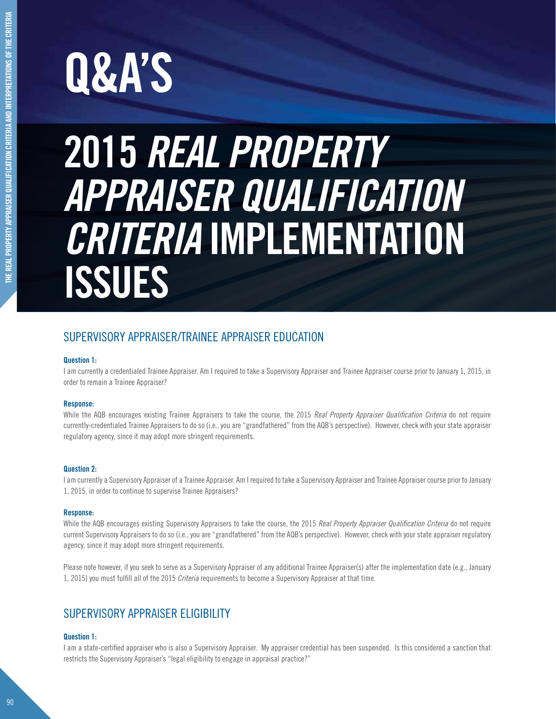# **Q&A'S**

# **2015** *REAL PROPERTY APPRAISER QUALIFICATION CRITERIA* **implementation ISSUES**

## SUPERVISORY APPRAISER/TRAINEE APPRAISER EDUCATION

#### **Question 1:**

I am currently a credentialed Trainee Appraiser. Am I required to take a Supervisory Appraiser and Trainee Appraiser course prior to January 1, 2015, in order to remain a Trainee Appraiser?

#### **Response:**

While the AQB encourages existing Trainee Appraisers to take the course, the 2015 *Real Property Appraiser Qualification Criteria* do not require currently-credentialed Trainee Appraisers to do so (i.e., you are "grandfathered" from the AQB's perspective). However, check with your state appraiser regulatory agency, since it may adopt more stringent requirements.

#### **Question 2:**

I am currently a Supervisory Appraiser of a Trainee Appraiser. Am I required to take a Supervisory Appraiser and Trainee Appraiser course prior to January 1, 2015, in order to continue to supervise Trainee Appraisers?

#### **Response:**

While the AQB encourages existing Supervisory Appraisers to take the course, the 2015 *Real Property Appraiser Qualification Criteria* do not require current Supervisory Appraisers to do so (i.e., you are "grandfathered" from the AQB's perspective). However, check with your state appraiser regulatory agency, since it may adopt more stringent requirements.

Please note however, if you seek to serve as a Supervisory Appraiser of any additional Trainee Appraiser(s) after the implementation date (e.g., January 1, 2015) you must fulfill all of the 2015 *Criteria* requirements to become a Supervisory Appraiser at that time.

### SUPERVISORY APPRAISER ELIGIBILITY

#### **Question 1:**

I am a state-certified appraiser who is also a Supervisory Appraiser. My appraiser credential has been suspended. Is this considered a sanction that restricts the Supervisory Appraiser's "legal eligibility to engage in appraisal practice?"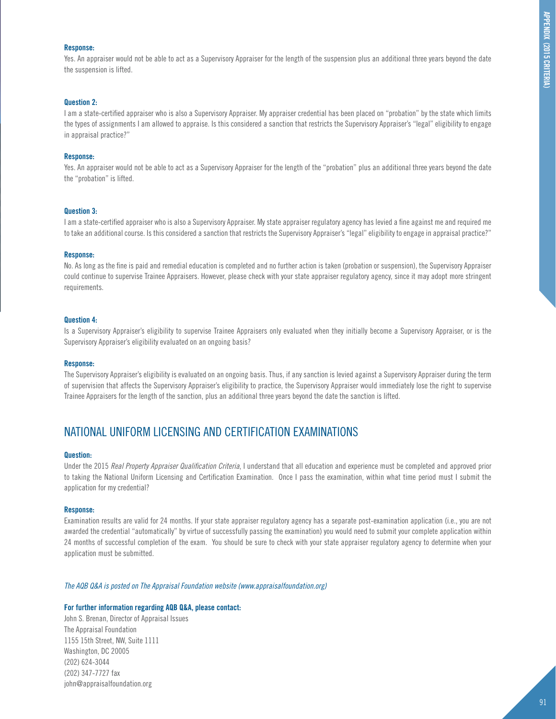#### **Response:**

Yes. An appraiser would not be able to act as a Supervisory Appraiser for the length of the suspension plus an additional three years beyond the date the suspension is lifted.

#### **Question 2:**

I am a state-certified appraiser who is also a Supervisory Appraiser. My appraiser credential has been placed on "probation" by the state which limits the types of assignments I am allowed to appraise. Is this considered a sanction that restricts the Supervisory Appraiser's "legal" eligibility to engage in appraisal practice?"

#### **Response:**

Yes. An appraiser would not be able to act as a Supervisory Appraiser for the length of the "probation" plus an additional three years beyond the date the "probation" is lifted.

#### **Question 3:**

I am a state-certified appraiser who is also a Supervisory Appraiser. My state appraiser regulatory agency has levied a fine against me and required me to take an additional course. Is this considered a sanction that restricts the Supervisory Appraiser's "legal" eligibility to engage in appraisal practice?"

#### **Response:**

No. As long as the fine is paid and remedial education is completed and no further action is taken (probation or suspension), the Supervisory Appraiser could continue to supervise Trainee Appraisers. However, please check with your state appraiser regulatory agency, since it may adopt more stringent requirements.

#### **Question 4:**

Is a Supervisory Appraiser's eligibility to supervise Trainee Appraisers only evaluated when they initially become a Supervisory Appraiser, or is the Supervisory Appraiser's eligibility evaluated on an ongoing basis?

#### **Response:**

The Supervisory Appraiser's eligibility is evaluated on an ongoing basis. Thus, if any sanction is levied against a Supervisory Appraiser during the term of supervision that affects the Supervisory Appraiser's eligibility to practice, the Supervisory Appraiser would immediately lose the right to supervise Trainee Appraisers for the length of the sanction, plus an additional three years beyond the date the sanction is lifted.

### NATIONAL UNIFORM LICENSING AND CERTIFICATION EXAMINATIONS

#### **Question:**

Under the 2015 *Real Property Appraiser Qualification Criteria*, I understand that all education and experience must be completed and approved prior to taking the National Uniform Licensing and Certification Examination. Once I pass the examination, within what time period must I submit the application for my credential?

#### **Response:**

Examination results are valid for 24 months. If your state appraiser regulatory agency has a separate post-examination application (i.e., you are not awarded the credential "automatically" by virtue of successfully passing the examination) you would need to submit your complete application within 24 months of successful completion of the exam. You should be sure to check with your state appraiser regulatory agency to determine when your application must be submitted.

#### *The AQB Q&A is posted on The Appraisal Foundation website (www.appraisalfoundation.org)*

#### **For further information regarding AQB Q&A, please contact:**

John S. Brenan, Director of Appraisal Issues The Appraisal Foundation 1155 15th Street, NW, Suite 1111 Washington, DC 20005 (202) 624-3044 (202) 347-7727 fax john@appraisalfoundation.org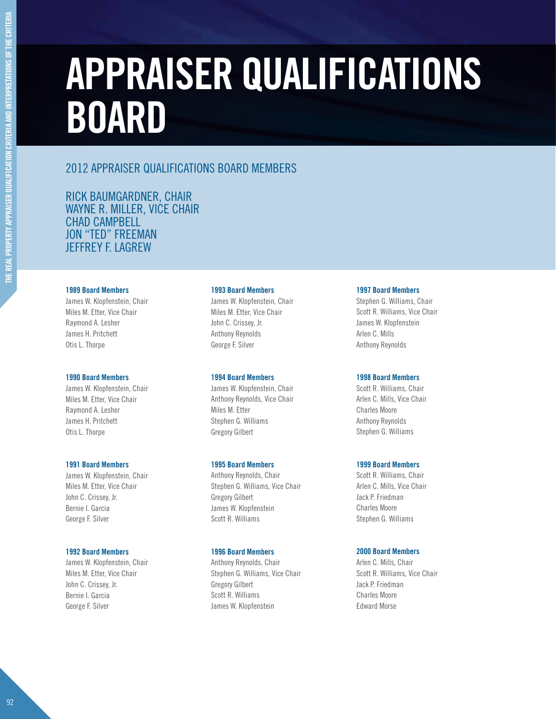# **Appraiser Qualifications Board**

## 2012 Appraiser Qualifications Board Members

Rick Baumgardner, Chair Wayne R. Miller, Vice Chair CHAD CAMPBELL Jon "Ted" Freeman Jeffrey F. Lagrew

#### **1989 Board Members**

James W. Klopfenstein, Chair Miles M. Etter, Vice Chair Raymond A. Lesher James H. Pritchett Otis L. Thorpe

#### **1990 Board Members**

James W. Klopfenstein, Chair Miles M. Etter, Vice Chair Raymond A. Lesher James H. Pritchett Otis L. Thorpe

#### **1991 Board Members**

James W. Klopfenstein, Chair Miles M. Etter, Vice Chair John C. Crissey, Jr. Bernie I. Garcia George F. Silver

#### **1992 Board Members**

James W. Klopfenstein, Chair Miles M. Etter, Vice Chair John C. Crissey, Jr. Bernie I. Garcia George F. Silver

#### **1993 Board Members**

James W. Klopfenstein, Chair Miles M. Etter, Vice Chair John C. Crissey, Jr. Anthony Reynolds George F. Silver

#### **1994 Board Members**

James W. Klopfenstein, Chair Anthony Reynolds, Vice Chair Miles M. Etter Stephen G. Williams Gregory Gilbert

#### **1995 Board Members**

Anthony Reynolds, Chair Stephen G. Williams, Vice Chair Gregory Gilbert James W. Klopfenstein Scott R. Williams

#### **1996 Board Members**

Anthony Reynolds, Chair Stephen G. Williams, Vice Chair Gregory Gilbert Scott R. Williams James W. Klopfenstein

#### **1997 Board Members**

Stephen G. Williams, Chair Scott R. Williams, Vice Chair James W. Klopfenstein Arlen C. Mills Anthony Reynolds

#### **1998 Board Members**

Scott R. Williams, Chair Arlen C. Mills, Vice Chair Charles Moore Anthony Reynolds Stephen G. Williams

#### **1999 Board Members**

Scott R. Williams, Chair Arlen C. Mills, Vice Chair Jack P. Friedman Charles Moore Stephen G. Williams

#### **2000 Board Members**

Arlen C. Mills, Chair Scott R. Williams, Vice Chair Jack P. Friedman Charles Moore Edward Morse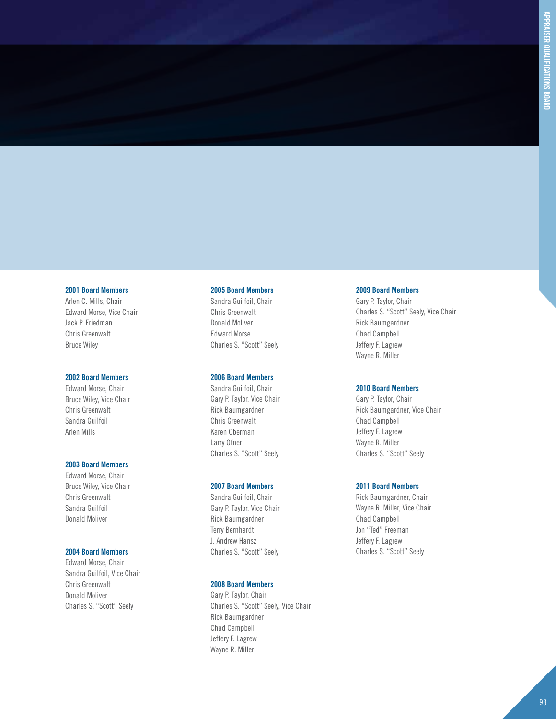#### **2001 Board Members**

Arlen C. Mills, Chair Edward Morse, Vice Chair Jack P. Friedman Chris Greenwalt Bruce Wiley

#### **2002 Board Members**

Edward Morse, Chair Bruce Wiley, Vice Chair Chris Greenwalt Sandra Guilfoil Arlen Mills

#### **2003 Board Members**

Edward Morse, Chair Bruce Wiley, Vice Chair Chris Greenwalt Sandra Guilfoil Donald Moliver

#### **2004 Board Members**

Edward Morse, Chair Sandra Guilfoil, Vice Chair Chris Greenwalt Donald Moliver Charles S. "Scott" Seely

#### **2005 Board Members**

Sandra Guilfoil, Chair Chris Greenwalt Donald Moliver Edward Morse Charles S. "Scott" Seely

#### **2006 Board Members**

Sandra Guilfoil, Chair Gary P. Taylor, Vice Chair Rick Baumgardner Chris Greenwalt Karen Oberman Larry Ofner Charles S. "Scott" Seely

#### **2007 Board Members**

Sandra Guilfoil, Chair Gary P. Taylor, Vice Chair Rick Baumgardner Terry Bernhardt J. Andrew Hansz Charles S. "Scott" Seely

#### **2008 Board Members**

Gary P. Taylor, Chair Charles S. "Scott" Seely, Vice Chair Rick Baumgardner Chad Campbell Jeffery F. Lagrew Wayne R. Miller

#### **2009 Board Members**

Gary P. Taylor, Chair Charles S. "Scott" Seely, Vice Chair Rick Baumgardner Chad Campbell Jeffery F. Lagrew Wayne R. Miller

#### **2010 Board Members**

Gary P. Taylor, Chair Rick Baumgardner, Vice Chair Chad Campbell Jeffery F. Lagrew Wayne R. Miller Charles S. "Scott" Seely

#### **2011 Board Members**

Rick Baumgardner, Chair Wayne R. Miller, Vice Chair Chad Campbell Jon "Ted" Freeman Jeffery F. Lagrew Charles S. "Scott" Seely